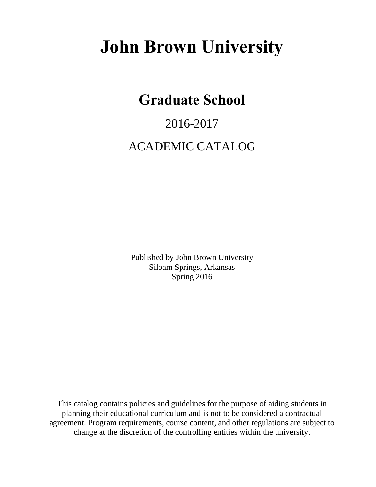# **John Brown University**

# **Graduate School**

# 2016-2017 ACADEMIC CATALOG

Published by John Brown University Siloam Springs, Arkansas Spring 2016

This catalog contains policies and guidelines for the purpose of aiding students in planning their educational curriculum and is not to be considered a contractual agreement. Program requirements, course content, and other regulations are subject to change at the discretion of the controlling entities within the university.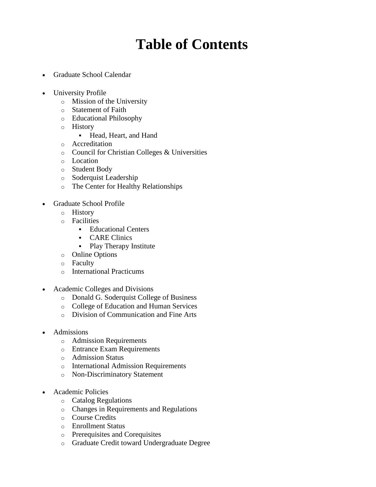# **Table of Contents**

- Graduate School Calendar
- University Profile
	- o Mission of the University
	- o Statement of Faith
	- o Educational Philosophy
	- o History
		- Head, Heart, and Hand
	- o Accreditation
	- o Council for Christian Colleges & Universities
	- o Location
	- o Student Body
	- o Soderquist Leadership
	- o The Center for Healthy Relationships
- Graduate School Profile
	- o History
	- o Facilities
		- Educational Centers
		- **CARE Clinics**
		- Play Therapy Institute
	- o Online Options
	- o Faculty
	- o International Practicums
- Academic Colleges and Divisions
	- o Donald G. Soderquist College of Business
	- o College of Education and Human Services
	- o Division of Communication and Fine Arts
- Admissions
	- o Admission Requirements
	- o Entrance Exam Requirements
	- o Admission Status
	- o International Admission Requirements
	- o Non-Discriminatory Statement
- Academic Policies
	- o Catalog Regulations
	- o Changes in Requirements and Regulations
	- o Course Credits
	- o Enrollment Status
	- o Prerequisites and Corequisites
	- o Graduate Credit toward Undergraduate Degree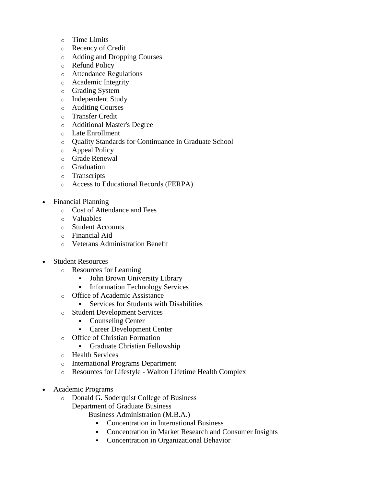- o Time Limits
- o Recency of Credit
- o Adding and Dropping Courses
- o Refund Policy
- o Attendance Regulations
- o Academic Integrity
- o Grading System
- o Independent Study
- o Auditing Courses
- o Transfer Credit
- o Additional Master's Degree
- o Late Enrollment
- o Quality Standards for Continuance in Graduate School
- o Appeal Policy
- o Grade Renewal
- o Graduation
- o Transcripts
- o Access to Educational Records (FERPA)
- Financial Planning
	- o Cost of Attendance and Fees
	- o Valuables
	- o Student Accounts
	- o Financial Aid
	- o Veterans Administration Benefit
- Student Resources
	- o Resources for Learning
		- John Brown University Library
		- **Information Technology Services**
	- o Office of Academic Assistance
		- Services for Students with Disabilities
	- o Student Development Services
		- Counseling Center
		- **Career Development Center**
	- o Office of Christian Formation
		- Graduate Christian Fellowship
	- o Health Services
	- o International Programs Department
	- o Resources for Lifestyle Walton Lifetime Health Complex
- Academic Programs
	- o Donald G. Soderquist College of Business Department of Graduate Business
		- Business Administration (M.B.A.)
			- Concentration in International Business
			- Concentration in Market Research and Consumer Insights
			- Concentration in Organizational Behavior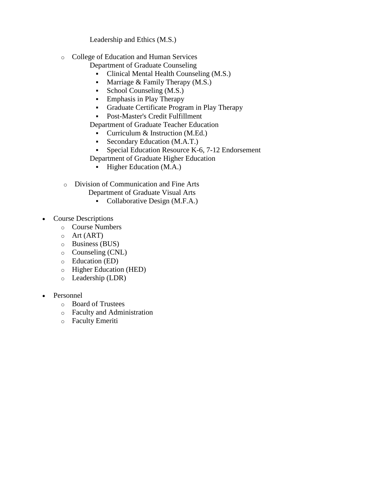Leadership and Ethics (M.S.)

o College of Education and Human Services

Department of Graduate Counseling

- Clinical Mental Health Counseling (M.S.)
- Marriage  $&$  Family Therapy (M.S.)
- School Counseling (M.S.)
- **Emphasis in Play Therapy**
- Graduate Certificate Program in Play Therapy
- Post-Master's Credit Fulfillment

Department of Graduate Teacher Education

- Curriculum & Instruction (M.Ed.)
- Secondary Education (M.A.T.)
- **Special Education Resource K-6, 7-12 Endorsement**
- Department of Graduate Higher Education
	- **Higher Education (M.A.)**
- o Division of Communication and Fine Arts
	- Department of Graduate Visual Arts
		- Collaborative Design (M.F.A.)
- Course Descriptions
	- o Course Numbers
	- o Art (ART)
	- o Business (BUS)
	- o Counseling (CNL)
	- o Education (ED)
	- o Higher Education (HED)
	- o Leadership (LDR)
- Personnel
	- o Board of Trustees
	- o Faculty and Administration
	- o Faculty Emeriti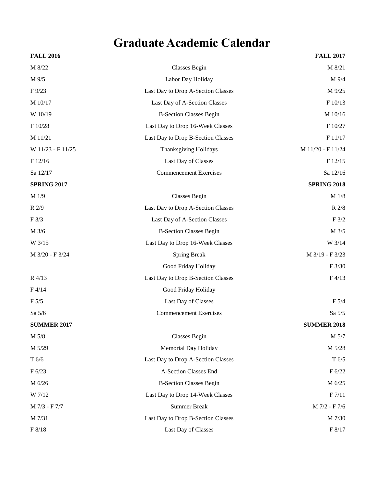# **Graduate Academic Calendar**

|                                    | <b>FALL 2017</b>   |
|------------------------------------|--------------------|
| <b>Classes Begin</b>               | M 8/21             |
| Labor Day Holiday                  | M 9/4              |
| Last Day to Drop A-Section Classes | M 9/25             |
| Last Day of A-Section Classes      | F 10/13            |
| <b>B-Section Classes Begin</b>     | M 10/16            |
| Last Day to Drop 16-Week Classes   | F 10/27            |
| Last Day to Drop B-Section Classes | F 11/17            |
| <b>Thanksgiving Holidays</b>       | M 11/20 - F 11/24  |
| Last Day of Classes                | F 12/15            |
| <b>Commencement Exercises</b>      | Sa 12/16           |
|                                    | <b>SPRING 2018</b> |
| Classes Begin                      | M 1/8              |
| Last Day to Drop A-Section Classes | R 2/8              |
| Last Day of A-Section Classes      | $\rm F$ $3/2$      |
| <b>B-Section Classes Begin</b>     | M 3/5              |
| Last Day to Drop 16-Week Classes   | W 3/14             |
| <b>Spring Break</b>                | M 3/19 - F 3/23    |
| Good Friday Holiday                | F 3/30             |
| Last Day to Drop B-Section Classes | F4/13              |
| Good Friday Holiday                |                    |
| Last Day of Classes                | F 5/4              |
| <b>Commencement Exercises</b>      | Sa 5/5             |
|                                    | <b>SUMMER 2018</b> |
| <b>Classes Begin</b>               | M 5/7              |
| Memorial Day Holiday               | M 5/28             |
| Last Day to Drop A-Section Classes | T 6/5              |
| A-Section Classes End              | F 6/22             |
| <b>B-Section Classes Begin</b>     | M 6/25             |
| Last Day to Drop 14-Week Classes   | F 7/11             |
| <b>Summer Break</b>                | M 7/2 - F 7/6      |
| Last Day to Drop B-Section Classes | M 7/30             |
| Last Day of Classes                | F 8/17             |
|                                    |                    |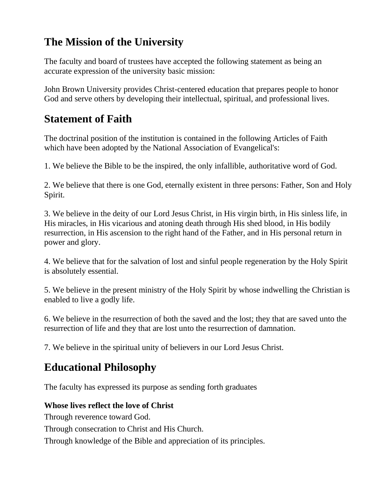### **The Mission of the University**

The faculty and board of trustees have accepted the following statement as being an accurate expression of the university basic mission:

John Brown University provides Christ-centered education that prepares people to honor God and serve others by developing their intellectual, spiritual, and professional lives.

### **Statement of Faith**

The doctrinal position of the institution is contained in the following Articles of Faith which have been adopted by the National Association of Evangelical's:

1. We believe the Bible to be the inspired, the only infallible, authoritative word of God.

2. We believe that there is one God, eternally existent in three persons: Father, Son and Holy Spirit.

3. We believe in the deity of our Lord Jesus Christ, in His virgin birth, in His sinless life, in His miracles, in His vicarious and atoning death through His shed blood, in His bodily resurrection, in His ascension to the right hand of the Father, and in His personal return in power and glory.

4. We believe that for the salvation of lost and sinful people regeneration by the Holy Spirit is absolutely essential.

5. We believe in the present ministry of the Holy Spirit by whose indwelling the Christian is enabled to live a godly life.

6. We believe in the resurrection of both the saved and the lost; they that are saved unto the resurrection of life and they that are lost unto the resurrection of damnation.

7. We believe in the spiritual unity of believers in our Lord Jesus Christ.

### **Educational Philosophy**

The faculty has expressed its purpose as sending forth graduates

### **Whose lives reflect the love of Christ**

Through reverence toward God.

Through consecration to Christ and His Church.

Through knowledge of the Bible and appreciation of its principles.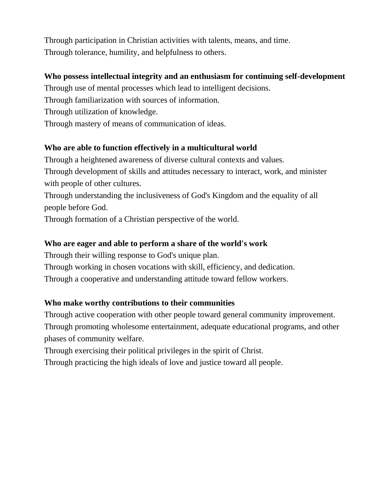Through participation in Christian activities with talents, means, and time. Through tolerance, humility, and helpfulness to others.

### **Who possess intellectual integrity and an enthusiasm for continuing self-development**

Through use of mental processes which lead to intelligent decisions.

Through familiarization with sources of information.

Through utilization of knowledge.

Through mastery of means of communication of ideas.

### **Who are able to function effectively in a multicultural world**

Through a heightened awareness of diverse cultural contexts and values. Through development of skills and attitudes necessary to interact, work, and minister with people of other cultures.

Through understanding the inclusiveness of God's Kingdom and the equality of all people before God.

Through formation of a Christian perspective of the world.

### **Who are eager and able to perform a share of the world's work**

Through their willing response to God's unique plan.

Through working in chosen vocations with skill, efficiency, and dedication.

Through a cooperative and understanding attitude toward fellow workers.

### **Who make worthy contributions to their communities**

Through active cooperation with other people toward general community improvement.

Through promoting wholesome entertainment, adequate educational programs, and other phases of community welfare.

Through exercising their political privileges in the spirit of Christ.

Through practicing the high ideals of love and justice toward all people.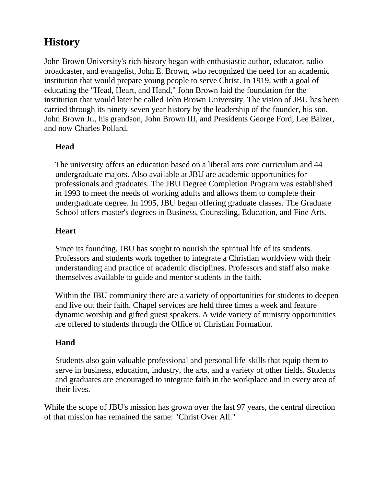### **History**

John Brown University's rich history began with enthusiastic author, educator, radio broadcaster, and evangelist, John E. Brown, who recognized the need for an academic institution that would prepare young people to serve Christ. In 1919, with a goal of educating the "Head, Heart, and Hand," John Brown laid the foundation for the institution that would later be called John Brown University. The vision of JBU has been carried through its ninety-seven year history by the leadership of the founder, his son, John Brown Jr., his grandson, John Brown III, and Presidents George Ford, Lee Balzer, and now Charles Pollard.

### **Head**

The university offers an education based on a liberal arts core curriculum and 44 undergraduate majors. Also available at JBU are academic opportunities for professionals and graduates. The JBU Degree Completion Program was established in 1993 to meet the needs of working adults and allows them to complete their undergraduate degree. In 1995, JBU began offering graduate classes. The Graduate School offers master's degrees in Business, Counseling, Education, and Fine Arts.

### **Heart**

Since its founding, JBU has sought to nourish the spiritual life of its students. Professors and students work together to integrate a Christian worldview with their understanding and practice of academic disciplines. Professors and staff also make themselves available to guide and mentor students in the faith.

Within the JBU community there are a variety of opportunities for students to deepen and live out their faith. Chapel services are held three times a week and feature dynamic worship and gifted guest speakers. A wide variety of ministry opportunities are offered to students through the Office of Christian Formation.

### **Hand**

Students also gain valuable professional and personal life-skills that equip them to serve in business, education, industry, the arts, and a variety of other fields. Students and graduates are encouraged to integrate faith in the workplace and in every area of their lives.

While the scope of JBU's mission has grown over the last 97 years, the central direction of that mission has remained the same: "Christ Over All."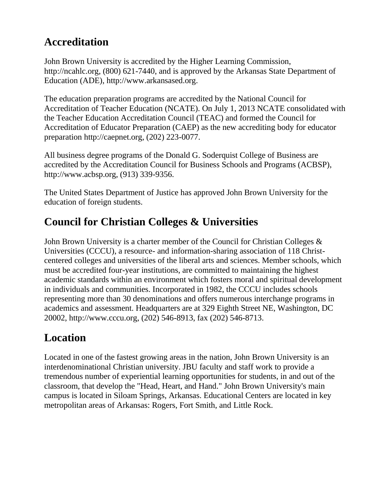### **Accreditation**

John Brown University is accredited by the Higher Learning Commission, http://ncahlc.org, (800) 621-7440, and is approved by the Arkansas State Department of Education (ADE), http://www.arkansased.org.

The education preparation programs are accredited by the National Council for Accreditation of Teacher Education (NCATE). On July 1, 2013 NCATE consolidated with the Teacher Education Accreditation Council (TEAC) and formed the Council for Accreditation of Educator Preparation (CAEP) as the new accrediting body for educator preparation http://caepnet.org, (202) 223-0077.

All business degree programs of the Donald G. Soderquist College of Business are accredited by the Accreditation Council for Business Schools and Programs (ACBSP), http://www.acbsp.org, (913) 339-9356.

The United States Department of Justice has approved John Brown University for the education of foreign students.

### **Council for Christian Colleges & Universities**

John Brown University is a charter member of the Council for Christian Colleges & Universities (CCCU), a resource- and information-sharing association of 118 Christcentered colleges and universities of the liberal arts and sciences. Member schools, which must be accredited four-year institutions, are committed to maintaining the highest academic standards within an environment which fosters moral and spiritual development in individuals and communities. Incorporated in 1982, the CCCU includes schools representing more than 30 denominations and offers numerous interchange programs in academics and assessment. Headquarters are at 329 Eighth Street NE, Washington, DC 20002, http://www.cccu.org, (202) 546-8913, fax (202) 546-8713.

## **Location**

Located in one of the fastest growing areas in the nation, John Brown University is an interdenominational Christian university. JBU faculty and staff work to provide a tremendous number of experiential learning opportunities for students, in and out of the classroom, that develop the "Head, Heart, and Hand." John Brown University's main campus is located in Siloam Springs, Arkansas. Educational Centers are located in key metropolitan areas of Arkansas: Rogers, Fort Smith, and Little Rock.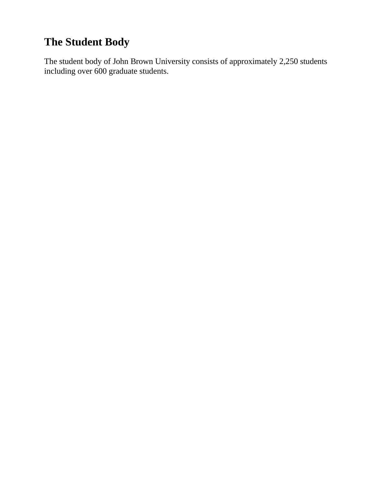# **The Student Body**

The student body of John Brown University consists of approximately 2,250 students including over 600 graduate students.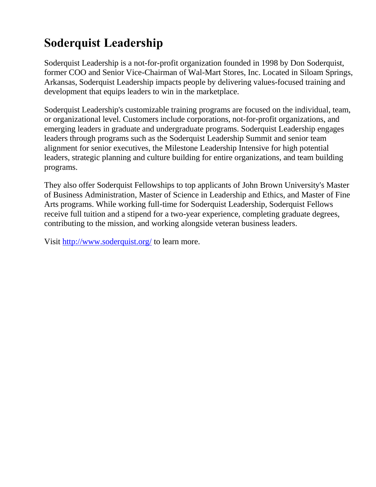# **Soderquist Leadership**

Soderquist Leadership is a not-for-profit organization founded in 1998 by Don Soderquist, former COO and Senior Vice-Chairman of Wal-Mart Stores, Inc. Located in Siloam Springs, Arkansas, Soderquist Leadership impacts people by delivering values-focused training and development that equips leaders to win in the marketplace.

Soderquist Leadership's customizable training programs are focused on the individual, team, or organizational level. Customers include corporations, not-for-profit organizations, and emerging leaders in graduate and undergraduate programs. Soderquist Leadership engages leaders through programs such as the Soderquist Leadership Summit and senior team alignment for senior executives, the Milestone Leadership Intensive for high potential leaders, strategic planning and culture building for entire organizations, and team building programs.

They also offer Soderquist Fellowships to top applicants of John Brown University's Master of Business Administration, Master of Science in Leadership and Ethics, and Master of Fine Arts programs. While working full-time for Soderquist Leadership, Soderquist Fellows receive full tuition and a stipend for a two-year experience, completing graduate degrees, contributing to the mission, and working alongside veteran business leaders.

Visit <http://www.soderquist.org/> to learn more.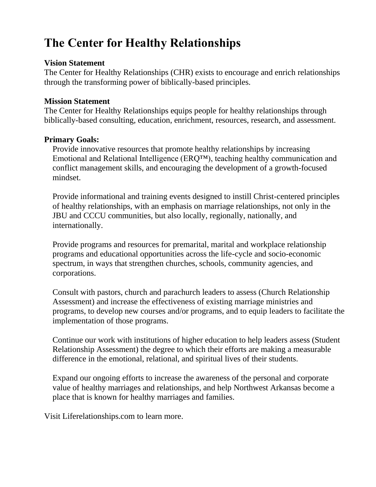# **The Center for Healthy Relationships**

#### **Vision Statement**

The Center for Healthy Relationships (CHR) exists to encourage and enrich relationships through the transforming power of biblically-based principles.

#### **Mission Statement**

The Center for Healthy Relationships equips people for healthy relationships through biblically-based consulting, education, enrichment, resources, research, and assessment.

#### **Primary Goals:**

Provide innovative resources that promote healthy relationships by increasing Emotional and Relational Intelligence (ERQ™), teaching healthy communication and conflict management skills, and encouraging the development of a growth-focused mindset.

Provide informational and training events designed to instill Christ-centered principles of healthy relationships, with an emphasis on marriage relationships, not only in the JBU and CCCU communities, but also locally, regionally, nationally, and internationally.

Provide programs and resources for premarital, marital and workplace relationship programs and educational opportunities across the life-cycle and socio-economic spectrum, in ways that strengthen churches, schools, community agencies, and corporations.

Consult with pastors, church and parachurch leaders to assess (Church Relationship Assessment) and increase the effectiveness of existing marriage ministries and programs, to develop new courses and/or programs, and to equip leaders to facilitate the implementation of those programs.

Continue our work with institutions of higher education to help leaders assess (Student Relationship Assessment) the degree to which their efforts are making a measurable difference in the emotional, relational, and spiritual lives of their students.

Expand our ongoing efforts to increase the awareness of the personal and corporate value of healthy marriages and relationships, and help Northwest Arkansas become a place that is known for healthy marriages and families.

Visit Liferelationships.com to learn more.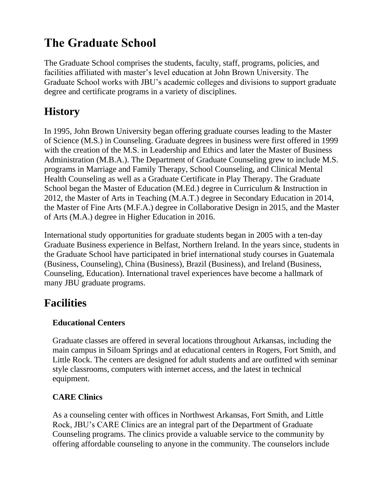# **The Graduate School**

The Graduate School comprises the students, faculty, staff, programs, policies, and facilities affiliated with master's level education at John Brown University. The Graduate School works with JBU's academic colleges and divisions to support graduate degree and certificate programs in a variety of disciplines.

### **History**

In 1995, John Brown University began offering graduate courses leading to the Master of Science (M.S.) in Counseling. Graduate degrees in business were first offered in 1999 with the creation of the M.S. in Leadership and Ethics and later the Master of Business Administration (M.B.A.). The Department of Graduate Counseling grew to include M.S. programs in Marriage and Family Therapy, School Counseling, and Clinical Mental Health Counseling as well as a Graduate Certificate in Play Therapy. The Graduate School began the Master of Education (M.Ed.) degree in Curriculum & Instruction in 2012, the Master of Arts in Teaching (M.A.T.) degree in Secondary Education in 2014, the Master of Fine Arts (M.F.A.) degree in Collaborative Design in 2015, and the Master of Arts (M.A.) degree in Higher Education in 2016.

International study opportunities for graduate students began in 2005 with a ten-day Graduate Business experience in Belfast, Northern Ireland. In the years since, students in the Graduate School have participated in brief international study courses in Guatemala (Business, Counseling), China (Business), Brazil (Business), and Ireland (Business, Counseling, Education). International travel experiences have become a hallmark of many JBU graduate programs.

### **Facilities**

### **Educational Centers**

Graduate classes are offered in several locations throughout Arkansas, including the main campus in Siloam Springs and at educational centers in Rogers, Fort Smith, and Little Rock. The centers are designed for adult students and are outfitted with seminar style classrooms, computers with internet access, and the latest in technical equipment.

### **CARE Clinics**

As a counseling center with offices in Northwest Arkansas, Fort Smith, and Little Rock, JBU's CARE Clinics are an integral part of the Department of Graduate Counseling programs. The clinics provide a valuable service to the community by offering affordable counseling to anyone in the community. The counselors include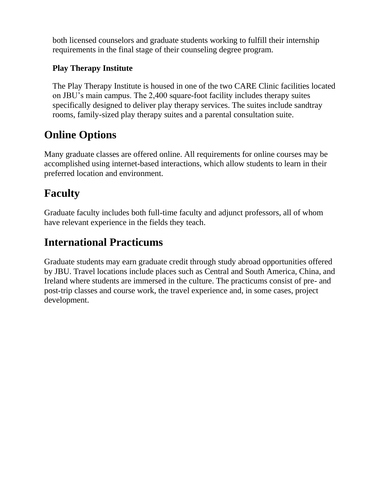both licensed counselors and graduate students working to fulfill their internship requirements in the final stage of their counseling degree program.

### **Play Therapy Institute**

The Play Therapy Institute is housed in one of the two CARE Clinic facilities located on JBU's main campus. The 2,400 square-foot facility includes therapy suites specifically designed to deliver play therapy services. The suites include sandtray rooms, family-sized play therapy suites and a parental consultation suite.

### **Online Options**

Many graduate classes are offered online. All requirements for online courses may be accomplished using internet-based interactions, which allow students to learn in their preferred location and environment.

### **Faculty**

Graduate faculty includes both full-time faculty and adjunct professors, all of whom have relevant experience in the fields they teach.

### **International Practicums**

Graduate students may earn graduate credit through study abroad opportunities offered by JBU. Travel locations include places such as Central and South America, China, and Ireland where students are immersed in the culture. The practicums consist of pre- and post-trip classes and course work, the travel experience and, in some cases, project development.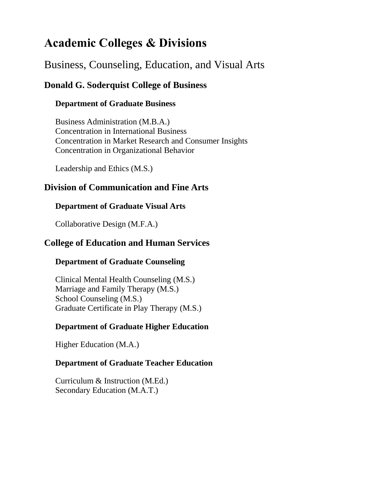### **Academic Colleges & Divisions**

### Business, Counseling, Education, and Visual Arts

### **Donald G. Soderquist College of Business**

### **Department of Graduate Business**

Business Administration (M.B.A.) Concentration in International Business Concentration in Market Research and Consumer Insights Concentration in Organizational Behavior

Leadership and Ethics (M.S.)

### **Division of Communication and Fine Arts**

### **Department of Graduate Visual Arts**

Collaborative Design (M.F.A.)

### **College of Education and Human Services**

### **Department of Graduate Counseling**

Clinical Mental Health Counseling (M.S.) Marriage and Family Therapy (M.S.) School Counseling (M.S.) Graduate Certificate in Play Therapy (M.S.)

### **Department of Graduate Higher Education**

Higher Education (M.A.)

### **Department of Graduate Teacher Education**

Curriculum & Instruction (M.Ed.) Secondary Education (M.A.T.)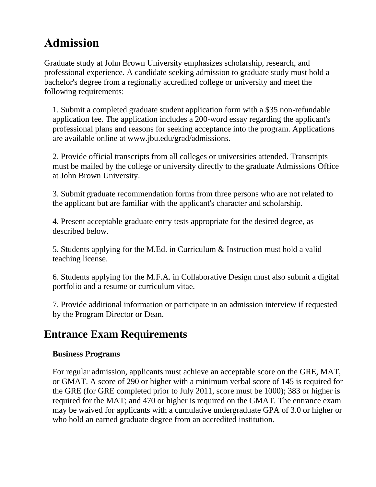# **Admission**

Graduate study at John Brown University emphasizes scholarship, research, and professional experience. A candidate seeking admission to graduate study must hold a bachelor's degree from a regionally accredited college or university and meet the following requirements:

1. Submit a completed graduate student application form with a \$35 non-refundable application fee. The application includes a 200-word essay regarding the applicant's professional plans and reasons for seeking acceptance into the program. Applications are available online at www.jbu.edu/grad/admissions.

2. Provide official transcripts from all colleges or universities attended. Transcripts must be mailed by the college or university directly to the graduate Admissions Office at John Brown University.

3. Submit graduate recommendation forms from three persons who are not related to the applicant but are familiar with the applicant's character and scholarship.

4. Present acceptable graduate entry tests appropriate for the desired degree, as described below.

5. Students applying for the M.Ed. in Curriculum & Instruction must hold a valid teaching license.

6. Students applying for the M.F.A. in Collaborative Design must also submit a digital portfolio and a resume or curriculum vitae.

7. Provide additional information or participate in an admission interview if requested by the Program Director or Dean.

### **Entrance Exam Requirements**

### **Business Programs**

For regular admission, applicants must achieve an acceptable score on the GRE, MAT, or GMAT. A score of 290 or higher with a minimum verbal score of 145 is required for the GRE (for GRE completed prior to July 2011, score must be 1000); 383 or higher is required for the MAT; and 470 or higher is required on the GMAT. The entrance exam may be waived for applicants with a cumulative undergraduate GPA of 3.0 or higher or who hold an earned graduate degree from an accredited institution.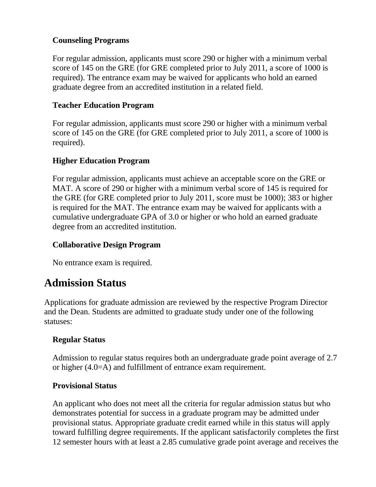#### **Counseling Programs**

For regular admission, applicants must score 290 or higher with a minimum verbal score of 145 on the GRE (for GRE completed prior to July 2011, a score of 1000 is required). The entrance exam may be waived for applicants who hold an earned graduate degree from an accredited institution in a related field.

### **Teacher Education Program**

For regular admission, applicants must score 290 or higher with a minimum verbal score of 145 on the GRE (for GRE completed prior to July 2011, a score of 1000 is required).

### **Higher Education Program**

For regular admission, applicants must achieve an acceptable score on the GRE or MAT. A score of 290 or higher with a minimum verbal score of 145 is required for the GRE (for GRE completed prior to July 2011, score must be 1000); 383 or higher is required for the MAT. The entrance exam may be waived for applicants with a cumulative undergraduate GPA of 3.0 or higher or who hold an earned graduate degree from an accredited institution.

### **Collaborative Design Program**

No entrance exam is required.

### **Admission Status**

Applications for graduate admission are reviewed by the respective Program Director and the Dean. Students are admitted to graduate study under one of the following statuses:

### **Regular Status**

Admission to regular status requires both an undergraduate grade point average of 2.7 or higher (4.0=A) and fulfillment of entrance exam requirement.

#### **Provisional Status**

An applicant who does not meet all the criteria for regular admission status but who demonstrates potential for success in a graduate program may be admitted under provisional status. Appropriate graduate credit earned while in this status will apply toward fulfilling degree requirements. If the applicant satisfactorily completes the first 12 semester hours with at least a 2.85 cumulative grade point average and receives the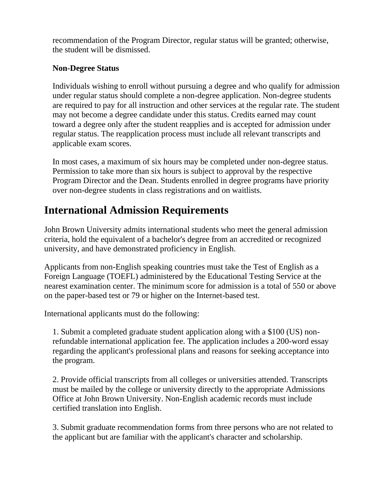recommendation of the Program Director, regular status will be granted; otherwise, the student will be dismissed.

### **Non-Degree Status**

Individuals wishing to enroll without pursuing a degree and who qualify for admission under regular status should complete a non-degree application. Non-degree students are required to pay for all instruction and other services at the regular rate. The student may not become a degree candidate under this status. Credits earned may count toward a degree only after the student reapplies and is accepted for admission under regular status. The reapplication process must include all relevant transcripts and applicable exam scores.

In most cases, a maximum of six hours may be completed under non-degree status. Permission to take more than six hours is subject to approval by the respective Program Director and the Dean. Students enrolled in degree programs have priority over non-degree students in class registrations and on waitlists.

### **International Admission Requirements**

John Brown University admits international students who meet the general admission criteria, hold the equivalent of a bachelor's degree from an accredited or recognized university, and have demonstrated proficiency in English.

Applicants from non-English speaking countries must take the Test of English as a Foreign Language (TOEFL) administered by the Educational Testing Service at the nearest examination center. The minimum score for admission is a total of 550 or above on the paper-based test or 79 or higher on the Internet-based test.

International applicants must do the following:

1. Submit a completed graduate student application along with a \$100 (US) nonrefundable international application fee. The application includes a 200-word essay regarding the applicant's professional plans and reasons for seeking acceptance into the program.

2. Provide official transcripts from all colleges or universities attended. Transcripts must be mailed by the college or university directly to the appropriate Admissions Office at John Brown University. Non-English academic records must include certified translation into English.

3. Submit graduate recommendation forms from three persons who are not related to the applicant but are familiar with the applicant's character and scholarship.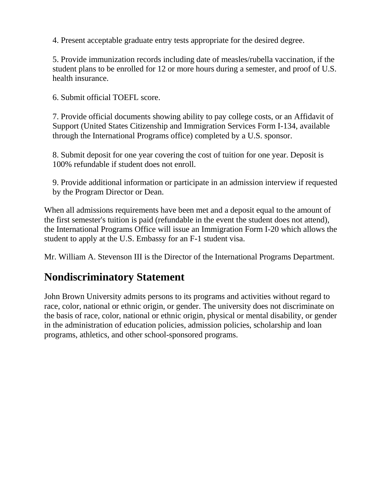4. Present acceptable graduate entry tests appropriate for the desired degree.

5. Provide immunization records including date of measles/rubella vaccination, if the student plans to be enrolled for 12 or more hours during a semester, and proof of U.S. health insurance.

6. Submit official TOEFL score.

7. Provide official documents showing ability to pay college costs, or an Affidavit of Support (United States Citizenship and Immigration Services Form I-134, available through the International Programs office) completed by a U.S. sponsor.

8. Submit deposit for one year covering the cost of tuition for one year. Deposit is 100% refundable if student does not enroll.

9. Provide additional information or participate in an admission interview if requested by the Program Director or Dean.

When all admissions requirements have been met and a deposit equal to the amount of the first semester's tuition is paid (refundable in the event the student does not attend), the International Programs Office will issue an Immigration Form I-20 which allows the student to apply at the U.S. Embassy for an F-1 student visa.

Mr. William A. Stevenson III is the Director of the International Programs Department.

### **Nondiscriminatory Statement**

John Brown University admits persons to its programs and activities without regard to race, color, national or ethnic origin, or gender. The university does not discriminate on the basis of race, color, national or ethnic origin, physical or mental disability, or gender in the administration of education policies, admission policies, scholarship and loan programs, athletics, and other school-sponsored programs.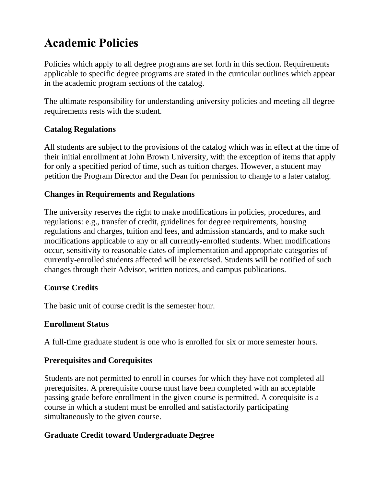# **Academic Policies**

Policies which apply to all degree programs are set forth in this section. Requirements applicable to specific degree programs are stated in the curricular outlines which appear in the academic program sections of the catalog.

The ultimate responsibility for understanding university policies and meeting all degree requirements rests with the student.

### **Catalog Regulations**

All students are subject to the provisions of the catalog which was in effect at the time of their initial enrollment at John Brown University, with the exception of items that apply for only a specified period of time, such as tuition charges. However, a student may petition the Program Director and the Dean for permission to change to a later catalog.

#### **Changes in Requirements and Regulations**

The university reserves the right to make modifications in policies, procedures, and regulations: e.g., transfer of credit, guidelines for degree requirements, housing regulations and charges, tuition and fees, and admission standards, and to make such modifications applicable to any or all currently-enrolled students. When modifications occur, sensitivity to reasonable dates of implementation and appropriate categories of currently-enrolled students affected will be exercised. Students will be notified of such changes through their Advisor, written notices, and campus publications.

#### **Course Credits**

The basic unit of course credit is the semester hour.

### **Enrollment Status**

A full-time graduate student is one who is enrolled for six or more semester hours.

### **Prerequisites and Corequisites**

Students are not permitted to enroll in courses for which they have not completed all prerequisites. A prerequisite course must have been completed with an acceptable passing grade before enrollment in the given course is permitted. A corequisite is a course in which a student must be enrolled and satisfactorily participating simultaneously to the given course.

### **Graduate Credit toward Undergraduate Degree**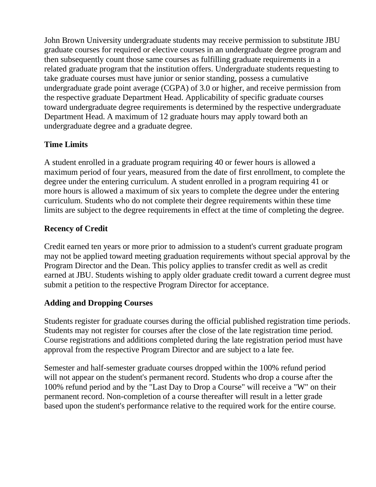John Brown University undergraduate students may receive permission to substitute JBU graduate courses for required or elective courses in an undergraduate degree program and then subsequently count those same courses as fulfilling graduate requirements in a related graduate program that the institution offers. Undergraduate students requesting to take graduate courses must have junior or senior standing, possess a cumulative undergraduate grade point average (CGPA) of 3.0 or higher, and receive permission from the respective graduate Department Head. Applicability of specific graduate courses toward undergraduate degree requirements is determined by the respective undergraduate Department Head. A maximum of 12 graduate hours may apply toward both an undergraduate degree and a graduate degree.

### **Time Limits**

A student enrolled in a graduate program requiring 40 or fewer hours is allowed a maximum period of four years, measured from the date of first enrollment, to complete the degree under the entering curriculum. A student enrolled in a program requiring 41 or more hours is allowed a maximum of six years to complete the degree under the entering curriculum. Students who do not complete their degree requirements within these time limits are subject to the degree requirements in effect at the time of completing the degree.

### **Recency of Credit**

Credit earned ten years or more prior to admission to a student's current graduate program may not be applied toward meeting graduation requirements without special approval by the Program Director and the Dean. This policy applies to transfer credit as well as credit earned at JBU. Students wishing to apply older graduate credit toward a current degree must submit a petition to the respective Program Director for acceptance.

### **Adding and Dropping Courses**

Students register for graduate courses during the official published registration time periods. Students may not register for courses after the close of the late registration time period. Course registrations and additions completed during the late registration period must have approval from the respective Program Director and are subject to a late fee.

Semester and half-semester graduate courses dropped within the 100% refund period will not appear on the student's permanent record. Students who drop a course after the 100% refund period and by the "Last Day to Drop a Course" will receive a "W" on their permanent record. Non-completion of a course thereafter will result in a letter grade based upon the student's performance relative to the required work for the entire course.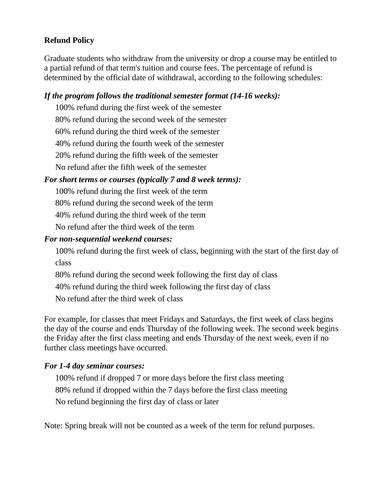### **Refund Policy**

Graduate students who withdraw from the university or drop a course may be entitled to a partial refund of that term's tuition and course fees. The percentage of refund is determined by the official date of withdrawal, according to the following schedules:

#### *If the program follows the traditional semester format (14-16 weeks):*

100% refund during the first week of the semester 80% refund during the second week of the semester 60% refund during the third week of the semester 40% refund during the fourth week of the semester 20% refund during the fifth week of the semester No refund after the fifth week of the semester

#### *For short terms or courses (typically 7 and 8 week terms):*

100% refund during the first week of the term

80% refund during the second week of the term

40% refund during the third week of the term

No refund after the third week of the term

#### *For non-sequential weekend courses:*

100% refund during the first week of class, beginning with the start of the first day of class

80% refund during the second week following the first day of class

40% refund during the third week following the first day of class

No refund after the third week of class

For example, for classes that meet Fridays and Saturdays, the first week of class begins the day of the course and ends Thursday of the following week. The second week begins the Friday after the first class meeting and ends Thursday of the next week, even if no further class meetings have occurred.

#### *For 1-4 day seminar courses:*

100% refund if dropped 7 or more days before the first class meeting 80% refund if dropped within the 7 days before the first class meeting No refund beginning the first day of class or later

Note: Spring break will not be counted as a week of the term for refund purposes.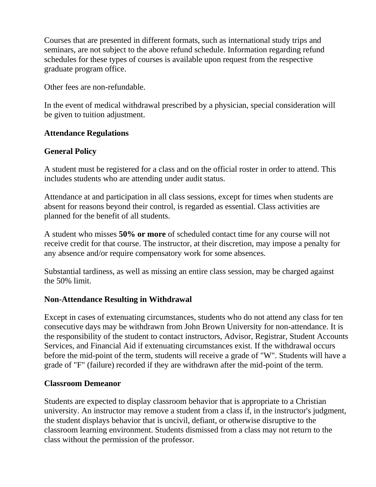Courses that are presented in different formats, such as international study trips and seminars, are not subject to the above refund schedule. Information regarding refund schedules for these types of courses is available upon request from the respective graduate program office.

Other fees are non-refundable.

In the event of medical withdrawal prescribed by a physician, special consideration will be given to tuition adjustment.

### **Attendance Regulations**

### **General Policy**

A student must be registered for a class and on the official roster in order to attend. This includes students who are attending under audit status.

Attendance at and participation in all class sessions, except for times when students are absent for reasons beyond their control, is regarded as essential. Class activities are planned for the benefit of all students.

A student who misses **50% or more** of scheduled contact time for any course will not receive credit for that course. The instructor, at their discretion, may impose a penalty for any absence and/or require compensatory work for some absences.

Substantial tardiness, as well as missing an entire class session, may be charged against the 50% limit.

#### **Non-Attendance Resulting in Withdrawal**

Except in cases of extenuating circumstances, students who do not attend any class for ten consecutive days may be withdrawn from John Brown University for non-attendance. It is the responsibility of the student to contact instructors, Advisor, Registrar, Student Accounts Services, and Financial Aid if extenuating circumstances exist. If the withdrawal occurs before the mid-point of the term, students will receive a grade of "W". Students will have a grade of "F" (failure) recorded if they are withdrawn after the mid-point of the term.

#### **Classroom Demeanor**

Students are expected to display classroom behavior that is appropriate to a Christian university. An instructor may remove a student from a class if, in the instructor's judgment, the student displays behavior that is uncivil, defiant, or otherwise disruptive to the classroom learning environment. Students dismissed from a class may not return to the class without the permission of the professor.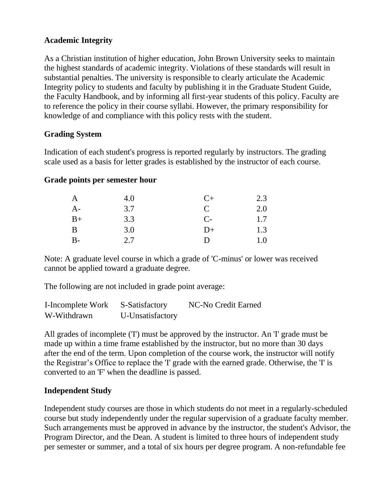### **Academic Integrity**

As a Christian institution of higher education, John Brown University seeks to maintain the highest standards of academic integrity. Violations of these standards will result in substantial penalties. The university is responsible to clearly articulate the Academic Integrity policy to students and faculty by publishing it in the Graduate Student Guide, the Faculty Handbook, and by informing all first-year students of this policy. Faculty are to reference the policy in their course syllabi. However, the primary responsibility for knowledge of and compliance with this policy rests with the student.

#### **Grading System**

Indication of each student's progress is reported regularly by instructors. The grading scale used as a basis for letter grades is established by the instructor of each course.

#### **Grade points per semester hour**

| $\mathbf{A}$ | 4.0 | $C+$         | 2.3 |
|--------------|-----|--------------|-----|
| $A-$         | 3.7 | C            | 2.0 |
| $B+$         | 3.3 | $C-$         | 1.7 |
| B            | 3.0 | $D+$         | 1.3 |
| $B -$        | 2.7 | $\mathbf{D}$ | 1.0 |

Note: A graduate level course in which a grade of 'C-minus' or lower was received cannot be applied toward a graduate degree.

The following are not included in grade point average:

| I-Incomplete Work | S-Satisfactory   | NC-No Credit Earned |
|-------------------|------------------|---------------------|
| W-Withdrawn       | U-Unsatisfactory |                     |

All grades of incomplete ('I') must be approved by the instructor. An 'I' grade must be made up within a time frame established by the instructor, but no more than 30 days after the end of the term. Upon completion of the course work, the instructor will notify the Registrar's Office to replace the 'I' grade with the earned grade. Otherwise, the 'I' is converted to an 'F' when the deadline is passed.

#### **Independent Study**

Independent study courses are those in which students do not meet in a regularly-scheduled course but study independently under the regular supervision of a graduate faculty member. Such arrangements must be approved in advance by the instructor, the student's Advisor, the Program Director, and the Dean. A student is limited to three hours of independent study per semester or summer, and a total of six hours per degree program. A non-refundable fee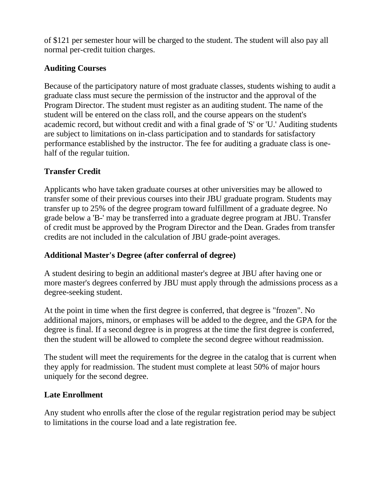of \$121 per semester hour will be charged to the student. The student will also pay all normal per-credit tuition charges.

### **Auditing Courses**

Because of the participatory nature of most graduate classes, students wishing to audit a graduate class must secure the permission of the instructor and the approval of the Program Director. The student must register as an auditing student. The name of the student will be entered on the class roll, and the course appears on the student's academic record, but without credit and with a final grade of 'S' or 'U.' Auditing students are subject to limitations on in-class participation and to standards for satisfactory performance established by the instructor. The fee for auditing a graduate class is onehalf of the regular tuition.

### **Transfer Credit**

Applicants who have taken graduate courses at other universities may be allowed to transfer some of their previous courses into their JBU graduate program. Students may transfer up to 25% of the degree program toward fulfillment of a graduate degree. No grade below a 'B-' may be transferred into a graduate degree program at JBU. Transfer of credit must be approved by the Program Director and the Dean. Grades from transfer credits are not included in the calculation of JBU grade-point averages.

### **Additional Master's Degree (after conferral of degree)**

A student desiring to begin an additional master's degree at JBU after having one or more master's degrees conferred by JBU must apply through the admissions process as a degree-seeking student.

At the point in time when the first degree is conferred, that degree is "frozen". No additional majors, minors, or emphases will be added to the degree, and the GPA for the degree is final. If a second degree is in progress at the time the first degree is conferred, then the student will be allowed to complete the second degree without readmission.

The student will meet the requirements for the degree in the catalog that is current when they apply for readmission. The student must complete at least 50% of major hours uniquely for the second degree.

### **Late Enrollment**

Any student who enrolls after the close of the regular registration period may be subject to limitations in the course load and a late registration fee.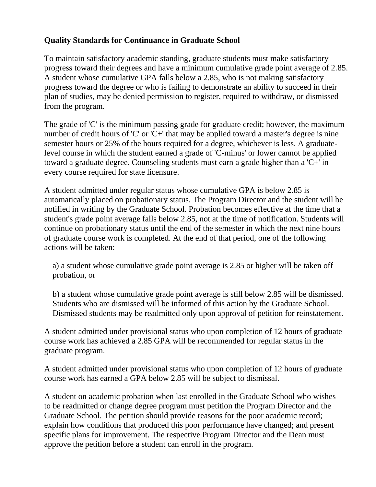### **Quality Standards for Continuance in Graduate School**

To maintain satisfactory academic standing, graduate students must make satisfactory progress toward their degrees and have a minimum cumulative grade point average of 2.85. A student whose cumulative GPA falls below a 2.85, who is not making satisfactory progress toward the degree or who is failing to demonstrate an ability to succeed in their plan of studies, may be denied permission to register, required to withdraw, or dismissed from the program.

The grade of 'C' is the minimum passing grade for graduate credit; however, the maximum number of credit hours of 'C' or 'C+' that may be applied toward a master's degree is nine semester hours or 25% of the hours required for a degree, whichever is less. A graduatelevel course in which the student earned a grade of 'C-minus' or lower cannot be applied toward a graduate degree. Counseling students must earn a grade higher than a 'C+' in every course required for state licensure.

A student admitted under regular status whose cumulative GPA is below 2.85 is automatically placed on probationary status. The Program Director and the student will be notified in writing by the Graduate School. Probation becomes effective at the time that a student's grade point average falls below 2.85, not at the time of notification. Students will continue on probationary status until the end of the semester in which the next nine hours of graduate course work is completed. At the end of that period, one of the following actions will be taken:

a) a student whose cumulative grade point average is 2.85 or higher will be taken off probation, or

b) a student whose cumulative grade point average is still below 2.85 will be dismissed. Students who are dismissed will be informed of this action by the Graduate School. Dismissed students may be readmitted only upon approval of petition for reinstatement.

A student admitted under provisional status who upon completion of 12 hours of graduate course work has achieved a 2.85 GPA will be recommended for regular status in the graduate program.

A student admitted under provisional status who upon completion of 12 hours of graduate course work has earned a GPA below 2.85 will be subject to dismissal.

A student on academic probation when last enrolled in the Graduate School who wishes to be readmitted or change degree program must petition the Program Director and the Graduate School. The petition should provide reasons for the poor academic record; explain how conditions that produced this poor performance have changed; and present specific plans for improvement. The respective Program Director and the Dean must approve the petition before a student can enroll in the program.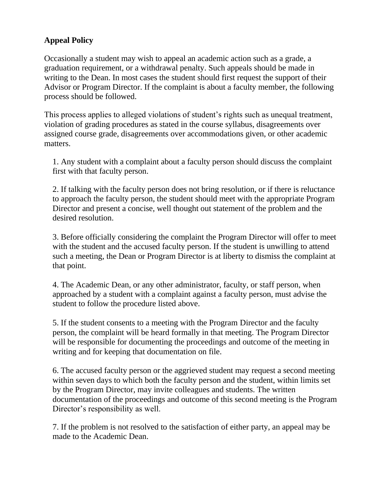### **Appeal Policy**

Occasionally a student may wish to appeal an academic action such as a grade, a graduation requirement, or a withdrawal penalty. Such appeals should be made in writing to the Dean. In most cases the student should first request the support of their Advisor or Program Director. If the complaint is about a faculty member, the following process should be followed.

This process applies to alleged violations of student's rights such as unequal treatment, violation of grading procedures as stated in the course syllabus, disagreements over assigned course grade, disagreements over accommodations given, or other academic matters.

1. Any student with a complaint about a faculty person should discuss the complaint first with that faculty person.

2. If talking with the faculty person does not bring resolution, or if there is reluctance to approach the faculty person, the student should meet with the appropriate Program Director and present a concise, well thought out statement of the problem and the desired resolution.

3. Before officially considering the complaint the Program Director will offer to meet with the student and the accused faculty person. If the student is unwilling to attend such a meeting, the Dean or Program Director is at liberty to dismiss the complaint at that point.

4. The Academic Dean, or any other administrator, faculty, or staff person, when approached by a student with a complaint against a faculty person, must advise the student to follow the procedure listed above.

5. If the student consents to a meeting with the Program Director and the faculty person, the complaint will be heard formally in that meeting. The Program Director will be responsible for documenting the proceedings and outcome of the meeting in writing and for keeping that documentation on file.

6. The accused faculty person or the aggrieved student may request a second meeting within seven days to which both the faculty person and the student, within limits set by the Program Director, may invite colleagues and students. The written documentation of the proceedings and outcome of this second meeting is the Program Director's responsibility as well.

7. If the problem is not resolved to the satisfaction of either party, an appeal may be made to the Academic Dean.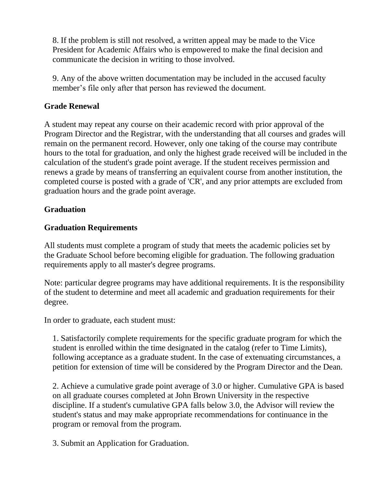8. If the problem is still not resolved, a written appeal may be made to the Vice President for Academic Affairs who is empowered to make the final decision and communicate the decision in writing to those involved.

9. Any of the above written documentation may be included in the accused faculty member's file only after that person has reviewed the document.

### **Grade Renewal**

A student may repeat any course on their academic record with prior approval of the Program Director and the Registrar, with the understanding that all courses and grades will remain on the permanent record. However, only one taking of the course may contribute hours to the total for graduation, and only the highest grade received will be included in the calculation of the student's grade point average. If the student receives permission and renews a grade by means of transferring an equivalent course from another institution, the completed course is posted with a grade of 'CR', and any prior attempts are excluded from graduation hours and the grade point average.

### **Graduation**

### **Graduation Requirements**

All students must complete a program of study that meets the academic policies set by the Graduate School before becoming eligible for graduation. The following graduation requirements apply to all master's degree programs.

Note: particular degree programs may have additional requirements. It is the responsibility of the student to determine and meet all academic and graduation requirements for their degree.

In order to graduate, each student must:

1. Satisfactorily complete requirements for the specific graduate program for which the student is enrolled within the time designated in the catalog (refer to Time Limits), following acceptance as a graduate student. In the case of extenuating circumstances, a petition for extension of time will be considered by the Program Director and the Dean.

2. Achieve a cumulative grade point average of 3.0 or higher. Cumulative GPA is based on all graduate courses completed at John Brown University in the respective discipline. If a student's cumulative GPA falls below 3.0, the Advisor will review the student's status and may make appropriate recommendations for continuance in the program or removal from the program.

3. Submit an Application for Graduation.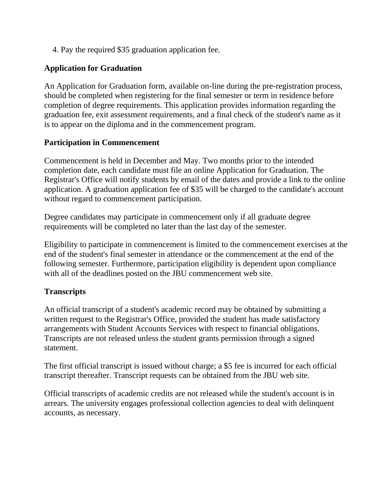4. Pay the required \$35 graduation application fee.

### **Application for Graduation**

An Application for Graduation form, available on-line during the pre-registration process, should be completed when registering for the final semester or term in residence before completion of degree requirements. This application provides information regarding the graduation fee, exit assessment requirements, and a final check of the student's name as it is to appear on the diploma and in the commencement program.

### **Participation in Commencement**

Commencement is held in December and May. Two months prior to the intended completion date, each candidate must file an online Application for Graduation. The Registrar's Office will notify students by email of the dates and provide a link to the online application. A graduation application fee of \$35 will be charged to the candidate's account without regard to commencement participation.

Degree candidates may participate in commencement only if all graduate degree requirements will be completed no later than the last day of the semester.

Eligibility to participate in commencement is limited to the commencement exercises at the end of the student's final semester in attendance or the commencement at the end of the following semester. Furthermore, participation eligibility is dependent upon compliance with all of the deadlines posted on the JBU commencement web site.

### **Transcripts**

An official transcript of a student's academic record may be obtained by submitting a written request to the Registrar's Office, provided the student has made satisfactory arrangements with Student Accounts Services with respect to financial obligations. Transcripts are not released unless the student grants permission through a signed statement.

The first official transcript is issued without charge; a \$5 fee is incurred for each official transcript thereafter. Transcript requests can be obtained from the JBU web site.

Official transcripts of academic credits are not released while the student's account is in arrears. The university engages professional collection agencies to deal with delinquent accounts, as necessary.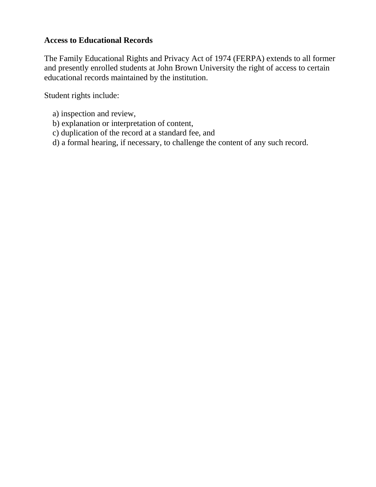### **Access to Educational Records**

The Family Educational Rights and Privacy Act of 1974 (FERPA) extends to all former and presently enrolled students at John Brown University the right of access to certain educational records maintained by the institution.

Student rights include:

- a) inspection and review,
- b) explanation or interpretation of content,
- c) duplication of the record at a standard fee, and
- d) a formal hearing, if necessary, to challenge the content of any such record.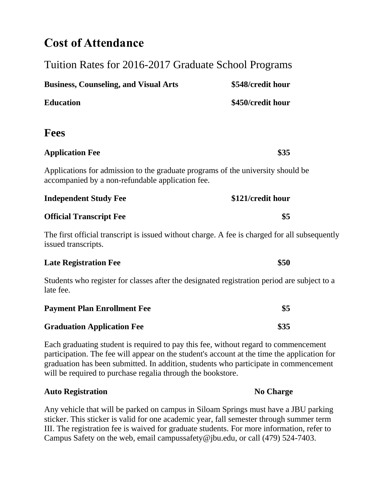### **Cost of Attendance**

| Tuition Rates for 2016-2017 Graduate School Programs                                                                                |                   |  |  |
|-------------------------------------------------------------------------------------------------------------------------------------|-------------------|--|--|
| <b>Business, Counseling, and Visual Arts</b>                                                                                        | \$548/credit hour |  |  |
| <b>Education</b>                                                                                                                    | \$450/credit hour |  |  |
| <b>Fees</b>                                                                                                                         |                   |  |  |
| <b>Application Fee</b>                                                                                                              | \$35              |  |  |
| Applications for admission to the graduate programs of the university should be<br>accompanied by a non-refundable application fee. |                   |  |  |
| <b>Independent Study Fee</b>                                                                                                        | \$121/credit hour |  |  |
| <b>Official Transcript Fee</b>                                                                                                      | \$5               |  |  |
| The first official transcript is issued without charge. A fee is charged for all subsequently<br>issued transcripts.                |                   |  |  |
| <b>Late Registration Fee</b>                                                                                                        | \$50              |  |  |
| Students who register for classes after the designated registration period are subject to a<br>late fee.                            |                   |  |  |
| <b>Payment Plan Enrollment Fee</b>                                                                                                  | \$5               |  |  |
| <b>Graduation Application Fee</b>                                                                                                   | \$35              |  |  |

Each graduating student is required to pay this fee, without regard to commencement participation. The fee will appear on the student's account at the time the application for graduation has been submitted. In addition, students who participate in commencement will be required to purchase regalia through the bookstore.

#### **Auto Registration No Charge**

Any vehicle that will be parked on campus in Siloam Springs must have a JBU parking sticker. This sticker is valid for one academic year, fall semester through summer term III. The registration fee is waived for graduate students. For more information, refer to Campus Safety on the web, email campussafety@jbu.edu, or call (479) 524-7403.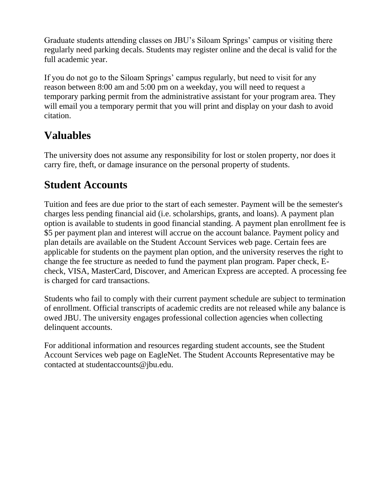Graduate students attending classes on JBU's Siloam Springs' campus or visiting there regularly need parking decals. Students may register online and the decal is valid for the full academic year.

If you do not go to the Siloam Springs' campus regularly, but need to visit for any reason between 8:00 am and 5:00 pm on a weekday, you will need to request a temporary parking permit from the administrative assistant for your program area. They will email you a temporary permit that you will print and display on your dash to avoid citation.

### **Valuables**

The university does not assume any responsibility for lost or stolen property, nor does it carry fire, theft, or damage insurance on the personal property of students.

### **Student Accounts**

Tuition and fees are due prior to the start of each semester. Payment will be the semester's charges less pending financial aid (i.e. scholarships, grants, and loans). A payment plan option is available to students in good financial standing. A payment plan enrollment fee is \$5 per payment plan and interest will accrue on the account balance. Payment policy and plan details are available on the Student Account Services web page. Certain fees are applicable for students on the payment plan option, and the university reserves the right to change the fee structure as needed to fund the payment plan program. Paper check, Echeck, VISA, MasterCard, Discover, and American Express are accepted. A processing fee is charged for card transactions.

Students who fail to comply with their current payment schedule are subject to termination of enrollment. Official transcripts of academic credits are not released while any balance is owed JBU. The university engages professional collection agencies when collecting delinquent accounts.

For additional information and resources regarding student accounts, see the Student Account Services web page on EagleNet. The Student Accounts Representative may be contacted at studentaccounts@jbu.edu.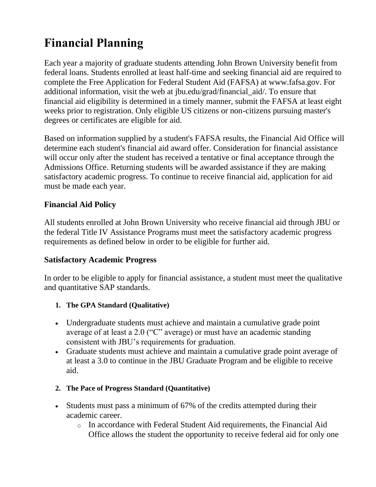# **Financial Planning**

Each year a majority of graduate students attending John Brown University benefit from federal loans. Students enrolled at least half-time and seeking financial aid are required to complete the Free Application for Federal Student Aid (FAFSA) at www.fafsa.gov. For additional information, visit the web at jbu.edu/grad/financial\_aid/. To ensure that financial aid eligibility is determined in a timely manner, submit the FAFSA at least eight weeks prior to registration. Only eligible US citizens or non-citizens pursuing master's degrees or certificates are eligible for aid.

Based on information supplied by a student's FAFSA results, the Financial Aid Office will determine each student's financial aid award offer. Consideration for financial assistance will occur only after the student has received a tentative or final acceptance through the Admissions Office. Returning students will be awarded assistance if they are making satisfactory academic progress. To continue to receive financial aid, application for aid must be made each year.

### **Financial Aid Policy**

All students enrolled at John Brown University who receive financial aid through JBU or the federal Title IV Assistance Programs must meet the satisfactory academic progress requirements as defined below in order to be eligible for further aid.

#### **Satisfactory Academic Progress**

In order to be eligible to apply for financial assistance, a student must meet the qualitative and quantitative SAP standards.

#### **1. The GPA Standard (Qualitative)**

- Undergraduate students must achieve and maintain a cumulative grade point average of at least a 2.0 ("C" average) or must have an academic standing consistent with JBU's requirements for graduation.
- Graduate students must achieve and maintain a cumulative grade point average of at least a 3.0 to continue in the JBU Graduate Program and be eligible to receive aid.
- **2. The Pace of Progress Standard (Quantitative)**
- Students must pass a minimum of 67% of the credits attempted during their academic career.
	- o In accordance with Federal Student Aid requirements, the Financial Aid Office allows the student the opportunity to receive federal aid for only one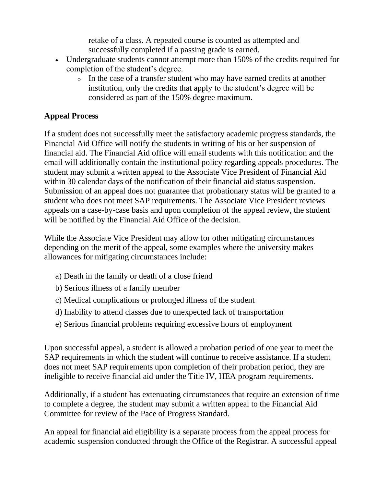retake of a class. A repeated course is counted as attempted and successfully completed if a passing grade is earned.

- Undergraduate students cannot attempt more than 150% of the credits required for completion of the student's degree.
	- o In the case of a transfer student who may have earned credits at another institution, only the credits that apply to the student's degree will be considered as part of the 150% degree maximum.

### **Appeal Process**

If a student does not successfully meet the satisfactory academic progress standards, the Financial Aid Office will notify the students in writing of his or her suspension of financial aid. The Financial Aid office will email students with this notification and the email will additionally contain the institutional policy regarding appeals procedures. The student may submit a written appeal to the Associate Vice President of Financial Aid within 30 calendar days of the notification of their financial aid status suspension. Submission of an appeal does not guarantee that probationary status will be granted to a student who does not meet SAP requirements. The Associate Vice President reviews appeals on a case-by-case basis and upon completion of the appeal review, the student will be notified by the Financial Aid Office of the decision.

While the Associate Vice President may allow for other mitigating circumstances depending on the merit of the appeal, some examples where the university makes allowances for mitigating circumstances include:

- a) Death in the family or death of a close friend
- b) Serious illness of a family member
- c) Medical complications or prolonged illness of the student
- d) Inability to attend classes due to unexpected lack of transportation
- e) Serious financial problems requiring excessive hours of employment

Upon successful appeal, a student is allowed a probation period of one year to meet the SAP requirements in which the student will continue to receive assistance. If a student does not meet SAP requirements upon completion of their probation period, they are ineligible to receive financial aid under the Title IV, HEA program requirements.

Additionally, if a student has extenuating circumstances that require an extension of time to complete a degree, the student may submit a written appeal to the Financial Aid Committee for review of the Pace of Progress Standard.

An appeal for financial aid eligibility is a separate process from the appeal process for academic suspension conducted through the Office of the Registrar. A successful appeal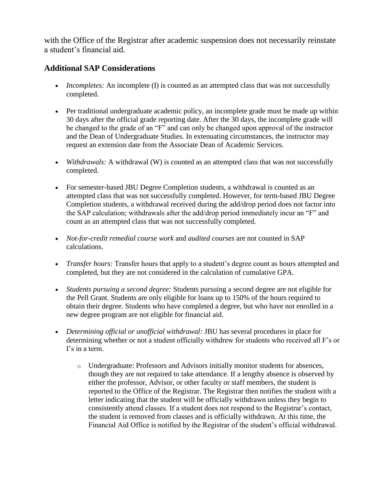with the Office of the Registrar after academic suspension does not necessarily reinstate a student's financial aid.

#### **Additional SAP Considerations**

- *Incompletes:* An incomplete (I) is counted as an attempted class that was not successfully completed.
- Per traditional undergraduate academic policy, an incomplete grade must be made up within 30 days after the official grade reporting date. After the 30 days, the incomplete grade will be changed to the grade of an "F" and can only be changed upon approval of the instructor and the Dean of Undergraduate Studies. In extenuating circumstances, the instructor may request an extension date from the Associate Dean of Academic Services.
- *Withdrawals:* A withdrawal (W) is counted as an attempted class that was not successfully completed.
- For semester-based JBU Degree Completion students, a withdrawal is counted as an attempted class that was not successfully completed. However, for term-based JBU Degree Completion students, a withdrawal received during the add/drop period does not factor into the SAP calculation; withdrawals after the add/drop period immediately incur an "F" and count as an attempted class that was not successfully completed.
- *Not-for-credit remedial course work* and *audited courses* are not counted in SAP calculations.
- *Transfer hours:* Transfer hours that apply to a student's degree count as hours attempted and completed, but they are not considered in the calculation of cumulative GPA.
- *Students pursuing a second degree:* Students pursuing a second degree are not eligible for the Pell Grant. Students are only eligible for loans up to 150% of the hours required to obtain their degree. Students who have completed a degree, but who have not enrolled in a new degree program are not eligible for financial aid.
- *Determining official or unofficial withdrawal:* JBU has several procedures in place for determining whether or not a student officially withdrew for students who received all F's or I's in a term.
	- o Undergraduate: Professors and Advisors initially monitor students for absences, though they are not required to take attendance. If a lengthy absence is observed by either the professor, Advisor, or other faculty or staff members, the student is reported to the Office of the Registrar. The Registrar then notifies the student with a letter indicating that the student will be officially withdrawn unless they begin to consistently attend classes. If a student does not respond to the Registrar's contact, the student is removed from classes and is officially withdrawn. At this time, the Financial Aid Office is notified by the Registrar of the student's official withdrawal.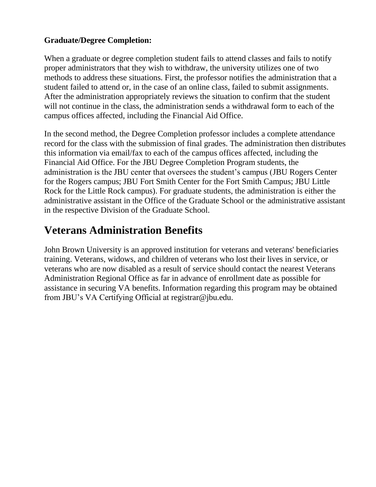### **Graduate/Degree Completion:**

When a graduate or degree completion student fails to attend classes and fails to notify proper administrators that they wish to withdraw, the university utilizes one of two methods to address these situations. First, the professor notifies the administration that a student failed to attend or, in the case of an online class, failed to submit assignments. After the administration appropriately reviews the situation to confirm that the student will not continue in the class, the administration sends a withdrawal form to each of the campus offices affected, including the Financial Aid Office.

In the second method, the Degree Completion professor includes a complete attendance record for the class with the submission of final grades. The administration then distributes this information via email/fax to each of the campus offices affected, including the Financial Aid Office. For the JBU Degree Completion Program students, the administration is the JBU center that oversees the student's campus (JBU Rogers Center for the Rogers campus; JBU Fort Smith Center for the Fort Smith Campus; JBU Little Rock for the Little Rock campus). For graduate students, the administration is either the administrative assistant in the Office of the Graduate School or the administrative assistant in the respective Division of the Graduate School.

### **Veterans Administration Benefits**

John Brown University is an approved institution for veterans and veterans' beneficiaries training. Veterans, widows, and children of veterans who lost their lives in service, or veterans who are now disabled as a result of service should contact the nearest Veterans Administration Regional Office as far in advance of enrollment date as possible for assistance in securing VA benefits. Information regarding this program may be obtained from JBU's VA Certifying Official at registrar@jbu.edu.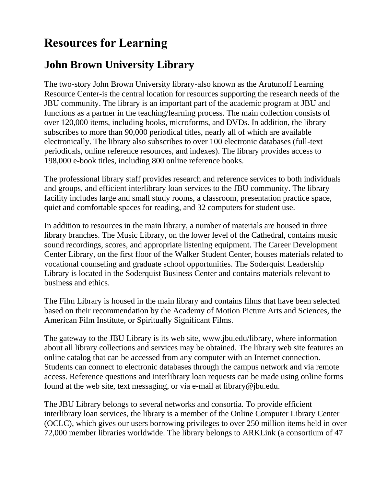### **Resources for Learning**

### **John Brown University Library**

The two-story John Brown University library-also known as the Arutunoff Learning Resource Center-is the central location for resources supporting the research needs of the JBU community. The library is an important part of the academic program at JBU and functions as a partner in the teaching/learning process. The main collection consists of over 120,000 items, including books, microforms, and DVDs. In addition, the library subscribes to more than 90,000 periodical titles, nearly all of which are available electronically. The library also subscribes to over 100 electronic databases (full-text periodicals, online reference resources, and indexes). The library provides access to 198,000 e-book titles, including 800 online reference books.

The professional library staff provides research and reference services to both individuals and groups, and efficient interlibrary loan services to the JBU community. The library facility includes large and small study rooms, a classroom, presentation practice space, quiet and comfortable spaces for reading, and 32 computers for student use.

In addition to resources in the main library, a number of materials are housed in three library branches. The Music Library, on the lower level of the Cathedral, contains music sound recordings, scores, and appropriate listening equipment. The Career Development Center Library, on the first floor of the Walker Student Center, houses materials related to vocational counseling and graduate school opportunities. The Soderquist Leadership Library is located in the Soderquist Business Center and contains materials relevant to business and ethics.

The Film Library is housed in the main library and contains films that have been selected based on their recommendation by the Academy of Motion Picture Arts and Sciences, the American Film Institute, or Spiritually Significant Films.

The gateway to the JBU Library is its web site, www.jbu.edu/library, where information about all library collections and services may be obtained. The library web site features an online catalog that can be accessed from any computer with an Internet connection. Students can connect to electronic databases through the campus network and via remote access. Reference questions and interlibrary loan requests can be made using online forms found at the web site, text messaging, or via e-mail at library@jbu.edu.

The JBU Library belongs to several networks and consortia. To provide efficient interlibrary loan services, the library is a member of the Online Computer Library Center (OCLC), which gives our users borrowing privileges to over 250 million items held in over 72,000 member libraries worldwide. The library belongs to ARKLink (a consortium of 47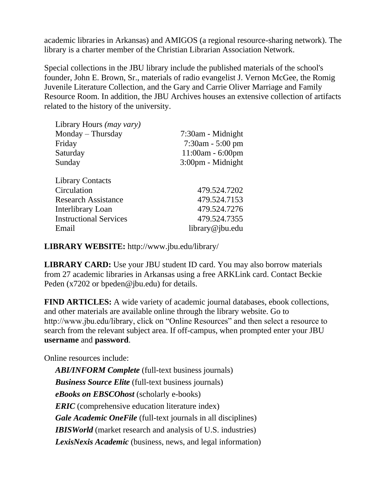academic libraries in Arkansas) and AMIGOS (a regional resource-sharing network). The library is a charter member of the Christian Librarian Association Network.

Special collections in the JBU library include the published materials of the school's founder, John E. Brown, Sr., materials of radio evangelist J. Vernon McGee, the Romig Juvenile Literature Collection, and the Gary and Carrie Oliver Marriage and Family Resource Room. In addition, the JBU Archives houses an extensive collection of artifacts related to the history of the university.

| Library Hours (may vary)      |                       |
|-------------------------------|-----------------------|
| Monday – Thursday             | 7:30am - Midnight     |
| Friday                        | $7:30$ am - $5:00$ pm |
| Saturday                      | $11:00am - 6:00pm$    |
| Sunday                        | $3:00$ pm - Midnight  |
| <b>Library Contacts</b>       |                       |
| Circulation                   | 479.524.7202          |
| <b>Research Assistance</b>    | 479.524.7153          |
| Interlibrary Loan             | 479.524.7276          |
| <b>Instructional Services</b> | 479.524.7355          |
| Email                         | library@jbu.edu       |

**LIBRARY WEBSITE:** http://www.jbu.edu/library/

**LIBRARY CARD:** Use your JBU student ID card. You may also borrow materials from 27 academic libraries in Arkansas using a free ARKLink card. Contact Beckie Peden (x7202 or bpeden@jbu.edu) for details.

**FIND ARTICLES:** A wide variety of academic journal databases, ebook collections, and other materials are available online through the library website. Go to http://www.jbu.edu/library, click on "Online Resources" and then select a resource to search from the relevant subject area. If off-campus, when prompted enter your JBU **username** and **password**.

Online resources include:

*ABI/INFORM Complete* (full-text business journals) *Business Source Elite* (full-text business journals) *eBooks on EBSCOhost* (scholarly e-books) *ERIC* (comprehensive education literature index) *Gale Academic OneFile* (full-text journals in all disciplines) *IBISWorld* (market research and analysis of U.S. industries) *LexisNexis Academic* (business, news, and legal information)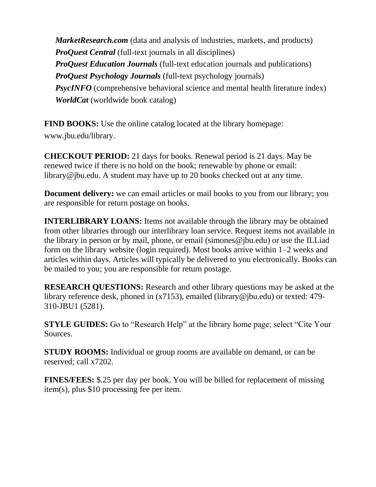*MarketResearch.com* (data and analysis of industries, markets, and products) *ProQuest Central* (full-text journals in all disciplines) *ProQuest Education Journals* (full-text education journals and publications) *ProQuest Psychology Journals* (full-text psychology journals) *PsycINFO* (comprehensive behavioral science and mental health literature index) *WorldCat* (worldwide book catalog)

**FIND BOOKS:** Use the online catalog located at the library homepage: www.jbu.edu/library.

**CHECKOUT PERIOD:** 21 days for books. Renewal period is 21 days. May be renewed twice if there is no hold on the book; renewable by phone or email: library@jbu.edu. A student may have up to 20 books checked out at any time.

**Document delivery:** we can email articles or mail books to you from our library; you are responsible for return postage on books.

**INTERLIBRARY LOANS:** Items not available through the library may be obtained from other libraries through our interlibrary loan service. Request items not available in the library in person or by mail, phone, or email (simones@jbu.edu) or use the ILLiad form on the library website (login required). Most books arrive within 1–2 weeks and articles within days. Articles will typically be delivered to you electronically. Books can be mailed to you; you are responsible for return postage.

**RESEARCH QUESTIONS:** Research and other library questions may be asked at the library reference desk, phoned in (x7153), emailed (library@jbu.edu) or texted: 479- 310-JBU1 (5281).

**STYLE GUIDES:** Go to "Research Help" at the library home page; select "Cite Your" Sources.

**STUDY ROOMS:** Individual or group rooms are available on demand, or can be reserved; call x7202.

**FINES/FEES:** \$.25 per day per book. You will be billed for replacement of missing item(s), plus \$10 processing fee per item.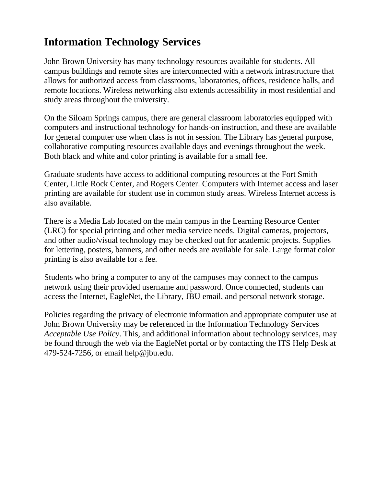### **Information Technology Services**

John Brown University has many technology resources available for students. All campus buildings and remote sites are interconnected with a network infrastructure that allows for authorized access from classrooms, laboratories, offices, residence halls, and remote locations. Wireless networking also extends accessibility in most residential and study areas throughout the university.

On the Siloam Springs campus, there are general classroom laboratories equipped with computers and instructional technology for hands-on instruction, and these are available for general computer use when class is not in session. The Library has general purpose, collaborative computing resources available days and evenings throughout the week. Both black and white and color printing is available for a small fee.

Graduate students have access to additional computing resources at the Fort Smith Center, Little Rock Center, and Rogers Center. Computers with Internet access and laser printing are available for student use in common study areas. Wireless Internet access is also available.

There is a Media Lab located on the main campus in the Learning Resource Center (LRC) for special printing and other media service needs. Digital cameras, projectors, and other audio/visual technology may be checked out for academic projects. Supplies for lettering, posters, banners, and other needs are available for sale. Large format color printing is also available for a fee.

Students who bring a computer to any of the campuses may connect to the campus network using their provided username and password. Once connected, students can access the Internet, EagleNet, the Library, JBU email, and personal network storage.

Policies regarding the privacy of electronic information and appropriate computer use at John Brown University may be referenced in the Information Technology Services *Acceptable Use Policy*. This, and additional information about technology services, may be found through the web via the EagleNet portal or by contacting the ITS Help Desk at 479-524-7256, or email help@jbu.edu.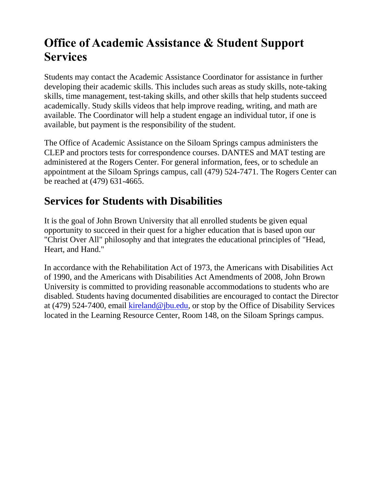## **Office of Academic Assistance & Student Support Services**

Students may contact the Academic Assistance Coordinator for assistance in further developing their academic skills. This includes such areas as study skills, note-taking skills, time management, test-taking skills, and other skills that help students succeed academically. Study skills videos that help improve reading, writing, and math are available. The Coordinator will help a student engage an individual tutor, if one is available, but payment is the responsibility of the student.

The Office of Academic Assistance on the Siloam Springs campus administers the CLEP and proctors tests for correspondence courses. DANTES and MAT testing are administered at the Rogers Center. For general information, fees, or to schedule an appointment at the Siloam Springs campus, call (479) 524-7471. The Rogers Center can be reached at (479) 631-4665.

### **Services for Students with Disabilities**

It is the goal of John Brown University that all enrolled students be given equal opportunity to succeed in their quest for a higher education that is based upon our "Christ Over All" philosophy and that integrates the educational principles of "Head, Heart, and Hand."

In accordance with the Rehabilitation Act of 1973, the Americans with Disabilities Act of 1990, and the Americans with Disabilities Act Amendments of 2008, John Brown University is committed to providing reasonable accommodations to students who are disabled. Students having documented disabilities are encouraged to contact the Director at (479) 524-7400, email [kireland@jbu.edu,](mailto:kireland@jbu.edu) or stop by the Office of Disability Services located in the Learning Resource Center, Room 148, on the Siloam Springs campus.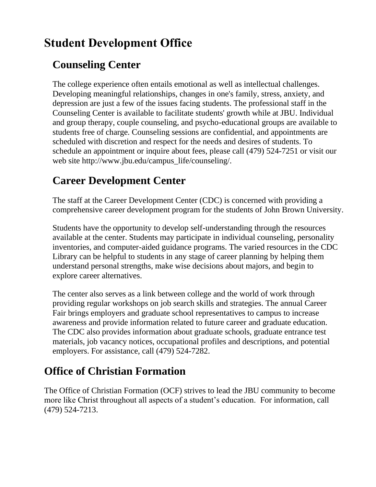## **Student Development Office**

### **Counseling Center**

The college experience often entails emotional as well as intellectual challenges. Developing meaningful relationships, changes in one's family, stress, anxiety, and depression are just a few of the issues facing students. The professional staff in the Counseling Center is available to facilitate students' growth while at JBU. Individual and group therapy, couple counseling, and psycho-educational groups are available to students free of charge. Counseling sessions are confidential, and appointments are scheduled with discretion and respect for the needs and desires of students. To schedule an appointment or inquire about fees, please call (479) 524-7251 or visit our web site http://www.jbu.edu/campus\_life/counseling/.

## **Career Development Center**

The staff at the Career Development Center (CDC) is concerned with providing a comprehensive career development program for the students of John Brown University.

Students have the opportunity to develop self-understanding through the resources available at the center. Students may participate in individual counseling, personality inventories, and computer-aided guidance programs. The varied resources in the CDC Library can be helpful to students in any stage of career planning by helping them understand personal strengths, make wise decisions about majors, and begin to explore career alternatives.

The center also serves as a link between college and the world of work through providing regular workshops on job search skills and strategies. The annual Career Fair brings employers and graduate school representatives to campus to increase awareness and provide information related to future career and graduate education. The CDC also provides information about graduate schools, graduate entrance test materials, job vacancy notices, occupational profiles and descriptions, and potential employers. For assistance, call (479) 524-7282.

### **Office of Christian Formation**

The Office of Christian Formation (OCF) strives to lead the JBU community to become more like Christ throughout all aspects of a student's education. For information, call (479) 524-7213.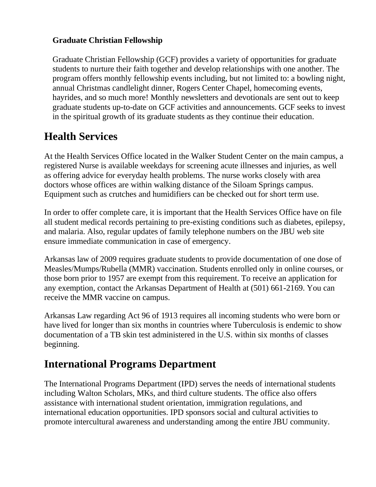#### **Graduate Christian Fellowship**

Graduate Christian Fellowship (GCF) provides a variety of opportunities for graduate students to nurture their faith together and develop relationships with one another. The program offers monthly fellowship events including, but not limited to: a bowling night, annual Christmas candlelight dinner, Rogers Center Chapel, homecoming events, hayrides, and so much more! Monthly newsletters and devotionals are sent out to keep graduate students up-to-date on GCF activities and announcements. GCF seeks to invest in the spiritual growth of its graduate students as they continue their education.

### **Health Services**

At the Health Services Office located in the Walker Student Center on the main campus, a registered Nurse is available weekdays for screening acute illnesses and injuries, as well as offering advice for everyday health problems. The nurse works closely with area doctors whose offices are within walking distance of the Siloam Springs campus. Equipment such as crutches and humidifiers can be checked out for short term use.

In order to offer complete care, it is important that the Health Services Office have on file all student medical records pertaining to pre-existing conditions such as diabetes, epilepsy, and malaria. Also, regular updates of family telephone numbers on the JBU web site ensure immediate communication in case of emergency.

Arkansas law of 2009 requires graduate students to provide documentation of one dose of Measles/Mumps/Rubella (MMR) vaccination. Students enrolled only in online courses, or those born prior to 1957 are exempt from this requirement. To receive an application for any exemption, contact the Arkansas Department of Health at (501) 661-2169. You can receive the MMR vaccine on campus.

Arkansas Law regarding Act 96 of 1913 requires all incoming students who were born or have lived for longer than six months in countries where Tuberculosis is endemic to show documentation of a TB skin test administered in the U.S. within six months of classes beginning.

### **International Programs Department**

The International Programs Department (IPD) serves the needs of international students including Walton Scholars, MKs, and third culture students. The office also offers assistance with international student orientation, immigration regulations, and international education opportunities. IPD sponsors social and cultural activities to promote intercultural awareness and understanding among the entire JBU community.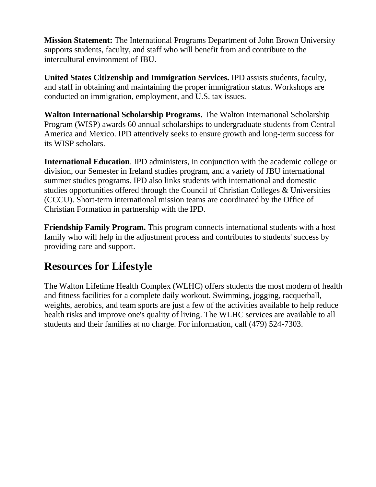**Mission Statement:** The International Programs Department of John Brown University supports students, faculty, and staff who will benefit from and contribute to the intercultural environment of JBU.

**United States Citizenship and Immigration Services.** IPD assists students, faculty, and staff in obtaining and maintaining the proper immigration status. Workshops are conducted on immigration, employment, and U.S. tax issues.

**Walton International Scholarship Programs.** The Walton International Scholarship Program (WISP) awards 60 annual scholarships to undergraduate students from Central America and Mexico. IPD attentively seeks to ensure growth and long-term success for its WISP scholars.

**International Education**. IPD administers, in conjunction with the academic college or division, our Semester in Ireland studies program, and a variety of JBU international summer studies programs. IPD also links students with international and domestic studies opportunities offered through the Council of Christian Colleges & Universities (CCCU). Short-term international mission teams are coordinated by the Office of Christian Formation in partnership with the IPD.

**Friendship Family Program.** This program connects international students with a host family who will help in the adjustment process and contributes to students' success by providing care and support.

### **Resources for Lifestyle**

The Walton Lifetime Health Complex (WLHC) offers students the most modern of health and fitness facilities for a complete daily workout. Swimming, jogging, racquetball, weights, aerobics, and team sports are just a few of the activities available to help reduce health risks and improve one's quality of living. The WLHC services are available to all students and their families at no charge. For information, call (479) 524-7303.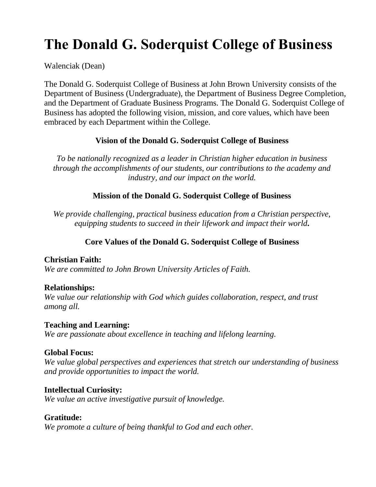# **The Donald G. Soderquist College of Business**

Walenciak (Dean)

The Donald G. Soderquist College of Business at John Brown University consists of the Department of Business (Undergraduate), the Department of Business Degree Completion, and the Department of Graduate Business Programs. The Donald G. Soderquist College of Business has adopted the following vision, mission, and core values, which have been embraced by each Department within the College.

#### **Vision of the Donald G. Soderquist College of Business**

*To be nationally recognized as a leader in Christian higher education in business through the accomplishments of our students, our contributions to the academy and industry, and our impact on the world.*

#### **Mission of the Donald G. Soderquist College of Business**

*We provide challenging, practical business education from a Christian perspective, equipping students to succeed in their lifework and impact their world.*

#### **Core Values of the Donald G. Soderquist College of Business**

#### **Christian Faith:**

*We are committed to John Brown University Articles of Faith.*

#### **Relationships:**

*We value our relationship with God which guides collaboration, respect, and trust among all.*

#### **Teaching and Learning:**

*We are passionate about excellence in teaching and lifelong learning.*

#### **Global Focus:**

*We value global perspectives and experiences that stretch our understanding of business and provide opportunities to impact the world.*

#### **Intellectual Curiosity:**

*We value an active investigative pursuit of knowledge.*

#### **Gratitude:**

*We promote a culture of being thankful to God and each other.*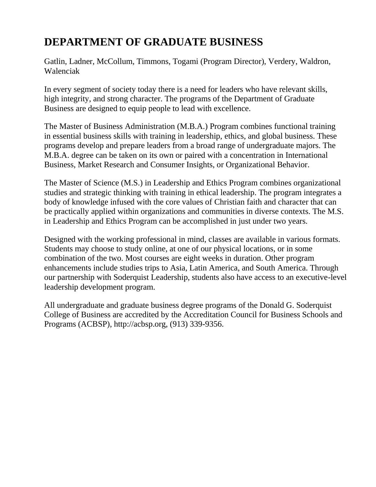### **DEPARTMENT OF GRADUATE BUSINESS**

Gatlin, Ladner, McCollum, Timmons, Togami (Program Director), Verdery, Waldron, Walenciak

In every segment of society today there is a need for leaders who have relevant skills, high integrity, and strong character. The programs of the Department of Graduate Business are designed to equip people to lead with excellence.

The Master of Business Administration (M.B.A.) Program combines functional training in essential business skills with training in leadership, ethics, and global business. These programs develop and prepare leaders from a broad range of undergraduate majors. The M.B.A. degree can be taken on its own or paired with a concentration in International Business, Market Research and Consumer Insights, or Organizational Behavior.

The Master of Science (M.S.) in Leadership and Ethics Program combines organizational studies and strategic thinking with training in ethical leadership. The program integrates a body of knowledge infused with the core values of Christian faith and character that can be practically applied within organizations and communities in diverse contexts. The M.S. in Leadership and Ethics Program can be accomplished in just under two years.

Designed with the working professional in mind, classes are available in various formats. Students may choose to study online, at one of our physical locations, or in some combination of the two. Most courses are eight weeks in duration. Other program enhancements include studies trips to Asia, Latin America, and South America. Through our partnership with Soderquist Leadership, students also have access to an executive-level leadership development program.

All undergraduate and graduate business degree programs of the Donald G. Soderquist College of Business are accredited by the Accreditation Council for Business Schools and Programs (ACBSP), http://acbsp.org, (913) 339-9356.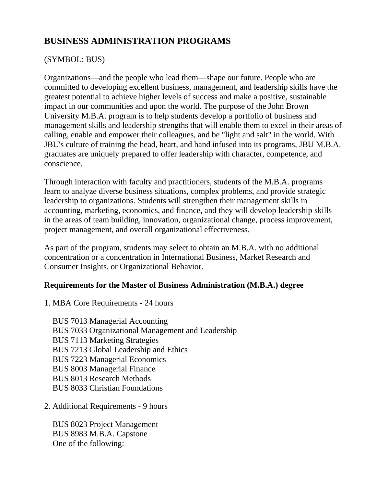### **BUSINESS ADMINISTRATION PROGRAMS**

#### (SYMBOL: BUS)

Organizations—and the people who lead them—shape our future. People who are committed to developing excellent business, management, and leadership skills have the greatest potential to achieve higher levels of success and make a positive, sustainable impact in our communities and upon the world. The purpose of the John Brown University M.B.A. program is to help students develop a portfolio of business and management skills and leadership strengths that will enable them to excel in their areas of calling, enable and empower their colleagues, and be "light and salt" in the world. With JBU's culture of training the head, heart, and hand infused into its programs, JBU M.B.A. graduates are uniquely prepared to offer leadership with character, competence, and conscience.

Through interaction with faculty and practitioners, students of the M.B.A. programs learn to analyze diverse business situations, complex problems, and provide strategic leadership to organizations. Students will strengthen their management skills in accounting, marketing, economics, and finance, and they will develop leadership skills in the areas of team building, innovation, organizational change, process improvement, project management, and overall organizational effectiveness.

As part of the program, students may select to obtain an M.B.A. with no additional concentration or a concentration in International Business, Market Research and Consumer Insights, or Organizational Behavior.

#### **Requirements for the Master of Business Administration (M.B.A.) degree**

1. MBA Core Requirements - 24 hours

BUS 7013 Managerial Accounting BUS 7033 Organizational Management and Leadership BUS 7113 Marketing Strategies BUS 7213 Global Leadership and Ethics BUS 7223 Managerial Economics BUS 8003 Managerial Finance BUS 8013 Research Methods BUS 8033 Christian Foundations

2. Additional Requirements - 9 hours

BUS 8023 Project Management BUS 8983 M.B.A. Capstone One of the following: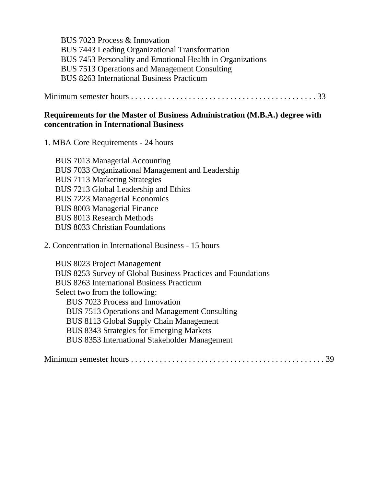BUS 7023 Process & Innovation BUS 7443 Leading Organizational Transformation BUS 7453 Personality and Emotional Health in Organizations BUS 7513 Operations and Management Consulting BUS 8263 International Business Practicum

Minimum semester hours . . . . . . . . . . . . . . . . . . . . . . . . . . . . . . . . . . . . . . . . . . . . . 33

#### **Requirements for the Master of Business Administration (M.B.A.) degree with concentration in International Business**

1. MBA Core Requirements - 24 hours

BUS 7013 Managerial Accounting BUS 7033 Organizational Management and Leadership BUS 7113 Marketing Strategies BUS 7213 Global Leadership and Ethics BUS 7223 Managerial Economics BUS 8003 Managerial Finance BUS 8013 Research Methods BUS 8033 Christian Foundations

2. Concentration in International Business - 15 hours

BUS 8023 Project Management BUS 8253 Survey of Global Business Practices and Foundations BUS 8263 International Business Practicum Select two from the following: BUS 7023 Process and Innovation BUS 7513 Operations and Management Consulting BUS 8113 Global Supply Chain Management BUS 8343 Strategies for Emerging Markets BUS 8353 International Stakeholder Management

Minimum semester hours . . . . . . . . . . . . . . . . . . . . . . . . . . . . . . . . . . . . . . . . . . . . . . . 39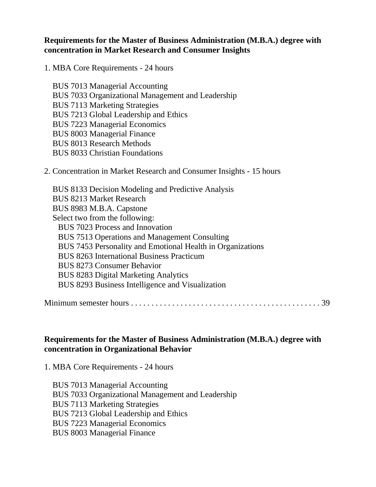#### **Requirements for the Master of Business Administration (M.B.A.) degree with concentration in Market Research and Consumer Insights**

1. MBA Core Requirements - 24 hours

BUS 7013 Managerial Accounting BUS 7033 Organizational Management and Leadership BUS 7113 Marketing Strategies BUS 7213 Global Leadership and Ethics BUS 7223 Managerial Economics BUS 8003 Managerial Finance BUS 8013 Research Methods BUS 8033 Christian Foundations

2. Concentration in Market Research and Consumer Insights - 15 hours

BUS 8133 Decision Modeling and Predictive Analysis BUS 8213 Market Research BUS 8983 M.B.A. Capstone Select two from the following: BUS 7023 Process and Innovation BUS 7513 Operations and Management Consulting BUS 7453 Personality and Emotional Health in Organizations BUS 8263 International Business Practicum BUS 8273 Consumer Behavior BUS 8283 Digital Marketing Analytics BUS 8293 Business Intelligence and Visualization

Minimum semester hours . . . . . . . . . . . . . . . . . . . . . . . . . . . . . . . . . . . . . . . . . . . . . . 39

#### **Requirements for the Master of Business Administration (M.B.A.) degree with concentration in Organizational Behavior**

1. MBA Core Requirements - 24 hours

BUS 7013 Managerial Accounting BUS 7033 Organizational Management and Leadership BUS 7113 Marketing Strategies BUS 7213 Global Leadership and Ethics BUS 7223 Managerial Economics BUS 8003 Managerial Finance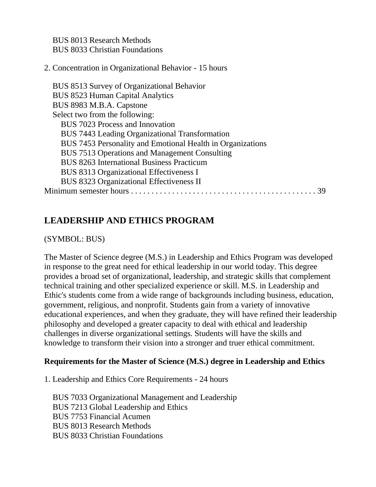BUS 8013 Research Methods BUS 8033 Christian Foundations

#### 2. Concentration in Organizational Behavior - 15 hours

BUS 8513 Survey of Organizational Behavior BUS 8523 Human Capital Analytics BUS 8983 M.B.A. Capstone Select two from the following: BUS 7023 Process and Innovation BUS 7443 Leading Organizational Transformation BUS 7453 Personality and Emotional Health in Organizations BUS 7513 Operations and Management Consulting BUS 8263 International Business Practicum BUS 8313 Organizational Effectiveness I BUS 8323 Organizational Effectiveness II Minimum semester hours . . . . . . . . . . . . . . . . . . . . . . . . . . . . . . . . . . . . . . . . . . . . . 39

#### **LEADERSHIP AND ETHICS PROGRAM**

(SYMBOL: BUS)

The Master of Science degree (M.S.) in Leadership and Ethics Program was developed in response to the great need for ethical leadership in our world today. This degree provides a broad set of organizational, leadership, and strategic skills that complement technical training and other specialized experience or skill. M.S. in Leadership and Ethic's students come from a wide range of backgrounds including business, education, government, religious, and nonprofit. Students gain from a variety of innovative educational experiences, and when they graduate, they will have refined their leadership philosophy and developed a greater capacity to deal with ethical and leadership challenges in diverse organizational settings. Students will have the skills and knowledge to transform their vision into a stronger and truer ethical commitment.

#### **Requirements for the Master of Science (M.S.) degree in Leadership and Ethics**

1. Leadership and Ethics Core Requirements - 24 hours

BUS 7033 Organizational Management and Leadership BUS 7213 Global Leadership and Ethics BUS 7753 Financial Acumen BUS 8013 Research Methods BUS 8033 Christian Foundations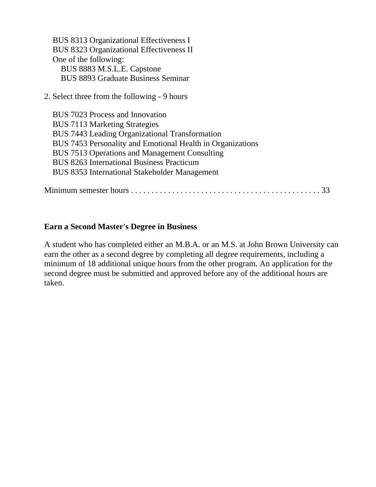BUS 8313 Organizational Effectiveness I BUS 8323 Organizational Effectiveness II One of the following: BUS 8883 M.S.L.E. Capstone BUS 8893 Graduate Business Seminar

2. Select three from the following - 9 hours

BUS 7023 Process and Innovation BUS 7113 Marketing Strategies BUS 7443 Leading Organizational Transformation BUS 7453 Personality and Emotional Health in Organizations BUS 7513 Operations and Management Consulting BUS 8263 International Business Practicum BUS 8353 International Stakeholder Management

Minimum semester hours . . . . . . . . . . . . . . . . . . . . . . . . . . . . . . . . . . . . . . . . . . . . . . 33

#### **Earn a Second Master's Degree in Business**

A student who has completed either an M.B.A. or an M.S. at John Brown University can earn the other as a second degree by completing all degree requirements, including a minimum of 18 additional unique hours from the other program. An application for the second degree must be submitted and approved before any of the additional hours are taken.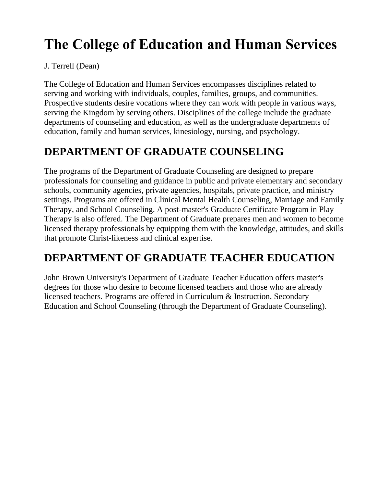# **The College of Education and Human Services**

#### J. Terrell (Dean)

The College of Education and Human Services encompasses disciplines related to serving and working with individuals, couples, families, groups, and communities. Prospective students desire vocations where they can work with people in various ways, serving the Kingdom by serving others. Disciplines of the college include the graduate departments of counseling and education, as well as the undergraduate departments of education, family and human services, kinesiology, nursing, and psychology.

### **DEPARTMENT OF GRADUATE COUNSELING**

The programs of the Department of Graduate Counseling are designed to prepare professionals for counseling and guidance in public and private elementary and secondary schools, community agencies, private agencies, hospitals, private practice, and ministry settings. Programs are offered in Clinical Mental Health Counseling, Marriage and Family Therapy, and School Counseling. A post-master's Graduate Certificate Program in Play Therapy is also offered. The Department of Graduate prepares men and women to become licensed therapy professionals by equipping them with the knowledge, attitudes, and skills that promote Christ-likeness and clinical expertise.

### **DEPARTMENT OF GRADUATE TEACHER EDUCATION**

John Brown University's Department of Graduate Teacher Education offers master's degrees for those who desire to become licensed teachers and those who are already licensed teachers. Programs are offered in Curriculum & Instruction, Secondary Education and School Counseling (through the Department of Graduate Counseling).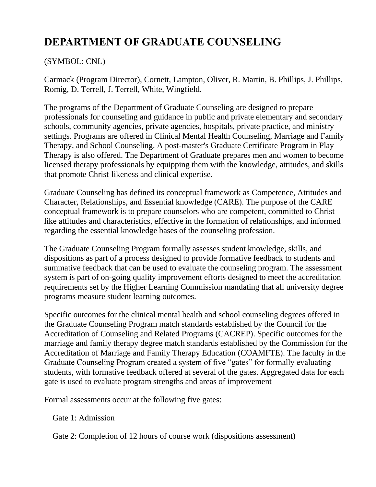### **DEPARTMENT OF GRADUATE COUNSELING**

#### (SYMBOL: CNL)

Carmack (Program Director), Cornett, Lampton, Oliver, R. Martin, B. Phillips, J. Phillips, Romig, D. Terrell, J. Terrell, White, Wingfield.

The programs of the Department of Graduate Counseling are designed to prepare professionals for counseling and guidance in public and private elementary and secondary schools, community agencies, private agencies, hospitals, private practice, and ministry settings. Programs are offered in Clinical Mental Health Counseling, Marriage and Family Therapy, and School Counseling. A post-master's Graduate Certificate Program in Play Therapy is also offered. The Department of Graduate prepares men and women to become licensed therapy professionals by equipping them with the knowledge, attitudes, and skills that promote Christ-likeness and clinical expertise.

Graduate Counseling has defined its conceptual framework as Competence, Attitudes and Character, Relationships, and Essential knowledge (CARE). The purpose of the CARE conceptual framework is to prepare counselors who are competent, committed to Christlike attitudes and characteristics, effective in the formation of relationships, and informed regarding the essential knowledge bases of the counseling profession.

The Graduate Counseling Program formally assesses student knowledge, skills, and dispositions as part of a process designed to provide formative feedback to students and summative feedback that can be used to evaluate the counseling program. The assessment system is part of on-going quality improvement efforts designed to meet the accreditation requirements set by the Higher Learning Commission mandating that all university degree programs measure student learning outcomes.

Specific outcomes for the clinical mental health and school counseling degrees offered in the Graduate Counseling Program match standards established by the Council for the Accreditation of Counseling and Related Programs (CACREP). Specific outcomes for the marriage and family therapy degree match standards established by the Commission for the Accreditation of Marriage and Family Therapy Education (COAMFTE). The faculty in the Graduate Counseling Program created a system of five "gates" for formally evaluating students, with formative feedback offered at several of the gates. Aggregated data for each gate is used to evaluate program strengths and areas of improvement

Formal assessments occur at the following five gates:

Gate 1: Admission

Gate 2: Completion of 12 hours of course work (dispositions assessment)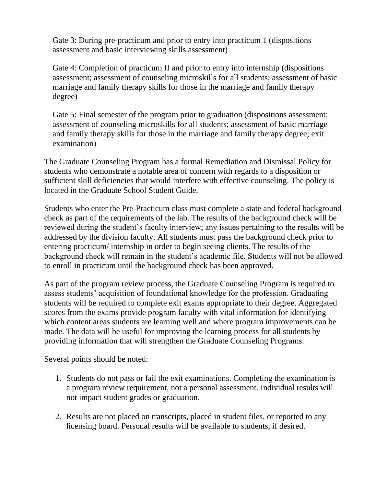Gate 3: During pre-practicum and prior to entry into practicum 1 (dispositions assessment and basic interviewing skills assessment)

Gate 4: Completion of practicum II and prior to entry into internship (dispositions assessment; assessment of counseling microskills for all students; assessment of basic marriage and family therapy skills for those in the marriage and family therapy degree)

Gate 5: Final semester of the program prior to graduation (dispositions assessment; assessment of counseling microskills for all students; assessment of basic marriage and family therapy skills for those in the marriage and family therapy degree; exit examination)

The Graduate Counseling Program has a formal Remediation and Dismissal Policy for students who demonstrate a notable area of concern with regards to a disposition or sufficient skill deficiencies that would interfere with effective counseling. The policy is located in the Graduate School Student Guide.

Students who enter the Pre-Practicum class must complete a state and federal background check as part of the requirements of the lab. The results of the background check will be reviewed during the student's faculty interview; any issues pertaining to the results will be addressed by the division faculty. All students must pass the background check prior to entering practicum/ internship in order to begin seeing clients. The results of the background check will remain in the student's academic file. Students will not be allowed to enroll in practicum until the background check has been approved.

As part of the program review process, the Graduate Counseling Program is required to assess students' acquisition of foundational knowledge for the profession. Graduating students will be required to complete exit exams appropriate to their degree. Aggregated scores from the exams provide program faculty with vital information for identifying which content areas students are learning well and where program improvements can be made. The data will be useful for improving the learning process for all students by providing information that will strengthen the Graduate Counseling Programs.

Several points should be noted:

- 1. Students do not pass or fail the exit examinations. Completing the examination is a program review requirement, not a personal assessment. Individual results will not impact student grades or graduation.
- 2. Results are not placed on transcripts, placed in student files, or reported to any licensing board. Personal results will be available to students, if desired.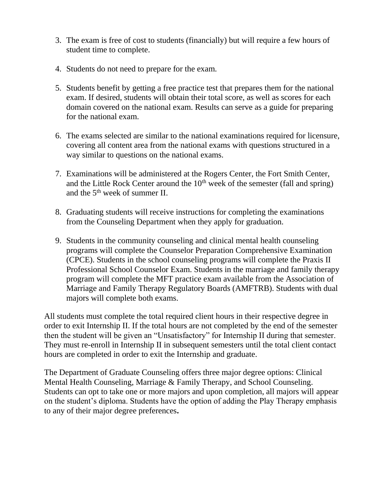- 3. The exam is free of cost to students (financially) but will require a few hours of student time to complete.
- 4. Students do not need to prepare for the exam.
- 5. Students benefit by getting a free practice test that prepares them for the national exam. If desired, students will obtain their total score, as well as scores for each domain covered on the national exam. Results can serve as a guide for preparing for the national exam.
- 6. The exams selected are similar to the national examinations required for licensure, covering all content area from the national exams with questions structured in a way similar to questions on the national exams.
- 7. Examinations will be administered at the Rogers Center, the Fort Smith Center, and the Little Rock Center around the  $10<sup>th</sup>$  week of the semester (fall and spring) and the  $5<sup>th</sup>$  week of summer II.
- 8. Graduating students will receive instructions for completing the examinations from the Counseling Department when they apply for graduation.
- 9. Students in the community counseling and clinical mental health counseling programs will complete the Counselor Preparation Comprehensive Examination (CPCE). Students in the school counseling programs will complete the Praxis II Professional School Counselor Exam. Students in the marriage and family therapy program will complete the MFT practice exam available from the Association of Marriage and Family Therapy Regulatory Boards (AMFTRB). Students with dual majors will complete both exams.

All students must complete the total required client hours in their respective degree in order to exit Internship II. If the total hours are not completed by the end of the semester then the student will be given an "Unsatisfactory" for Internship II during that semester. They must re-enroll in Internship II in subsequent semesters until the total client contact hours are completed in order to exit the Internship and graduate.

The Department of Graduate Counseling offers three major degree options: Clinical Mental Health Counseling, Marriage & Family Therapy, and School Counseling. Students can opt to take one or more majors and upon completion, all majors will appear on the student's diploma. Students have the option of adding the Play Therapy emphasis to any of their major degree preferences**.**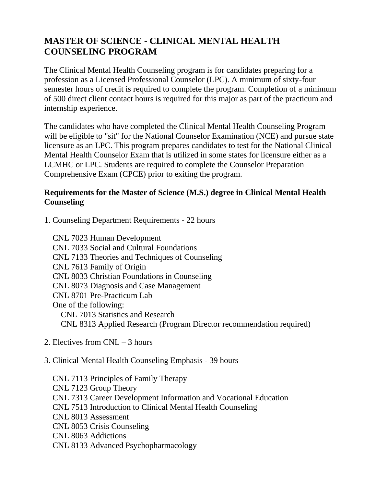#### **MASTER OF SCIENCE - CLINICAL MENTAL HEALTH COUNSELING PROGRAM**

The Clinical Mental Health Counseling program is for candidates preparing for a profession as a Licensed Professional Counselor (LPC). A minimum of sixty-four semester hours of credit is required to complete the program. Completion of a minimum of 500 direct client contact hours is required for this major as part of the practicum and internship experience.

The candidates who have completed the Clinical Mental Health Counseling Program will be eligible to "sit" for the National Counselor Examination (NCE) and pursue state licensure as an LPC. This program prepares candidates to test for the National Clinical Mental Health Counselor Exam that is utilized in some states for licensure either as a LCMHC or LPC. Students are required to complete the Counselor Preparation Comprehensive Exam (CPCE) prior to exiting the program.

#### **Requirements for the Master of Science (M.S.) degree in Clinical Mental Health Counseling**

1. Counseling Department Requirements - 22 hours

CNL 7023 Human Development CNL 7033 Social and Cultural Foundations CNL 7133 Theories and Techniques of Counseling CNL 7613 Family of Origin CNL 8033 Christian Foundations in Counseling CNL 8073 Diagnosis and Case Management CNL 8701 Pre-Practicum Lab One of the following: CNL 7013 Statistics and Research CNL 8313 Applied Research (Program Director recommendation required)

2. Electives from CNL – 3 hours

#### 3. Clinical Mental Health Counseling Emphasis - 39 hours

CNL 7113 Principles of Family Therapy CNL 7123 Group Theory CNL 7313 Career Development Information and Vocational Education CNL 7513 Introduction to Clinical Mental Health Counseling CNL 8013 Assessment CNL 8053 Crisis Counseling CNL 8063 Addictions CNL 8133 Advanced Psychopharmacology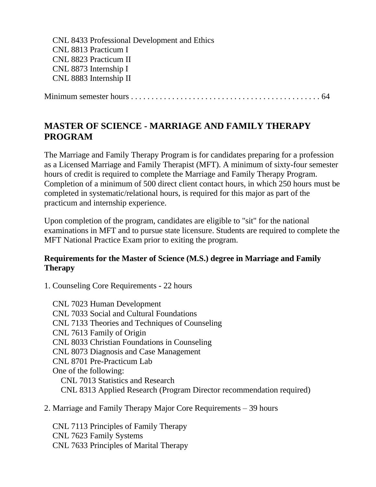CNL 8433 Professional Development and Ethics CNL 8813 Practicum I CNL 8823 Practicum II CNL 8873 Internship I CNL 8883 Internship II

Minimum semester hours . . . . . . . . . . . . . . . . . . . . . . . . . . . . . . . . . . . . . . . . . . . . . . 64

#### **MASTER OF SCIENCE - MARRIAGE AND FAMILY THERAPY PROGRAM**

The Marriage and Family Therapy Program is for candidates preparing for a profession as a Licensed Marriage and Family Therapist (MFT). A minimum of sixty-four semester hours of credit is required to complete the Marriage and Family Therapy Program. Completion of a minimum of 500 direct client contact hours, in which 250 hours must be completed in systematic/relational hours, is required for this major as part of the practicum and internship experience.

Upon completion of the program, candidates are eligible to "sit" for the national examinations in MFT and to pursue state licensure. Students are required to complete the MFT National Practice Exam prior to exiting the program.

#### **Requirements for the Master of Science (M.S.) degree in Marriage and Family Therapy**

1. Counseling Core Requirements - 22 hours

CNL 7023 Human Development CNL 7033 Social and Cultural Foundations CNL 7133 Theories and Techniques of Counseling CNL 7613 Family of Origin CNL 8033 Christian Foundations in Counseling CNL 8073 Diagnosis and Case Management CNL 8701 Pre-Practicum Lab One of the following: CNL 7013 Statistics and Research CNL 8313 Applied Research (Program Director recommendation required)

2. Marriage and Family Therapy Major Core Requirements – 39 hours

CNL 7113 Principles of Family Therapy CNL 7623 Family Systems CNL 7633 Principles of Marital Therapy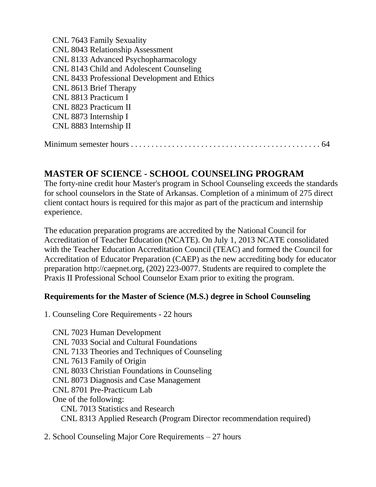CNL 7643 Family Sexuality CNL 8043 Relationship Assessment CNL 8133 Advanced Psychopharmacology CNL 8143 Child and Adolescent Counseling CNL 8433 Professional Development and Ethics CNL 8613 Brief Therapy CNL 8813 Practicum I CNL 8823 Practicum II CNL 8873 Internship I CNL 8883 Internship II Minimum semester hours . . . . . . . . . . . . . . . . . . . . . . . . . . . . . . . . . . . . . . . . . . . . . . 64

#### **MASTER OF SCIENCE - SCHOOL COUNSELING PROGRAM**

The forty-nine credit hour Master's program in School Counseling exceeds the standards for school counselors in the State of Arkansas. Completion of a minimum of 275 direct client contact hours is required for this major as part of the practicum and internship experience.

The education preparation programs are accredited by the National Council for Accreditation of Teacher Education (NCATE). On July 1, 2013 NCATE consolidated with the Teacher Education Accreditation Council (TEAC) and formed the Council for Accreditation of Educator Preparation (CAEP) as the new accrediting body for educator preparation http://caepnet.org, (202) 223-0077. Students are required to complete the Praxis II Professional School Counselor Exam prior to exiting the program.

#### **Requirements for the Master of Science (M.S.) degree in School Counseling**

1. Counseling Core Requirements - 22 hours

CNL 7023 Human Development CNL 7033 Social and Cultural Foundations CNL 7133 Theories and Techniques of Counseling CNL 7613 Family of Origin CNL 8033 Christian Foundations in Counseling CNL 8073 Diagnosis and Case Management CNL 8701 Pre-Practicum Lab One of the following: CNL 7013 Statistics and Research CNL 8313 Applied Research (Program Director recommendation required)

2. School Counseling Major Core Requirements – 27 hours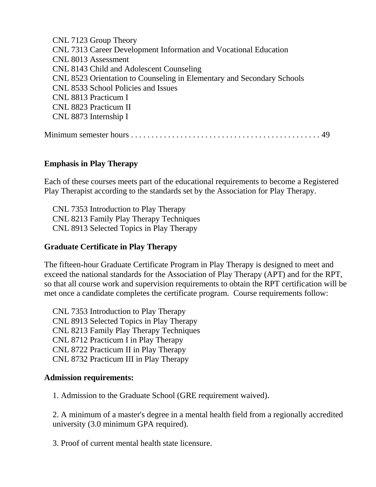CNL 7123 Group Theory CNL 7313 Career Development Information and Vocational Education CNL 8013 Assessment CNL 8143 Child and Adolescent Counseling CNL 8523 Orientation to Counseling in Elementary and Secondary Schools CNL 8533 School Policies and Issues CNL 8813 Practicum I CNL 8823 Practicum II CNL 8873 Internship I Minimum semester hours . . . . . . . . . . . . . . . . . . . . . . . . . . . . . . . . . . . . . . . . . . . . . . 49

#### **Emphasis in Play Therapy**

Each of these courses meets part of the educational requirements to become a Registered Play Therapist according to the standards set by the Association for Play Therapy.

CNL 7353 Introduction to Play Therapy CNL 8213 Family Play Therapy Techniques CNL 8913 Selected Topics in Play Therapy

#### **Graduate Certificate in Play Therapy**

The fifteen-hour Graduate Certificate Program in Play Therapy is designed to meet and exceed the national standards for the Association of Play Therapy (APT) and for the RPT, so that all course work and supervision requirements to obtain the RPT certification will be met once a candidate completes the certificate program. Course requirements follow:

CNL 7353 Introduction to Play Therapy CNL 8913 Selected Topics in Play Therapy CNL 8213 Family Play Therapy Techniques CNL 8712 Practicum I in Play Therapy CNL 8722 Practicum II in Play Therapy CNL 8732 Practicum III in Play Therapy

#### **Admission requirements:**

1. Admission to the Graduate School (GRE requirement waived).

2. A minimum of a master's degree in a mental health field from a regionally accredited university (3.0 minimum GPA required).

3. Proof of current mental health state licensure.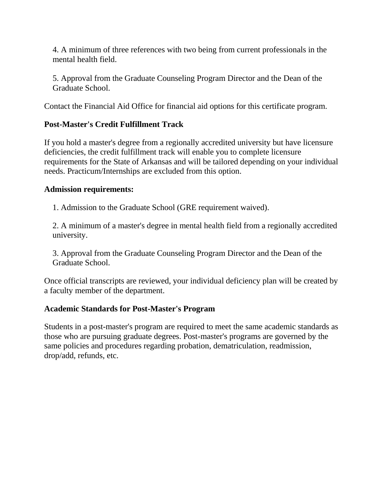4. A minimum of three references with two being from current professionals in the mental health field.

5. Approval from the Graduate Counseling Program Director and the Dean of the Graduate School.

Contact the Financial Aid Office for financial aid options for this certificate program.

#### **Post-Master's Credit Fulfillment Track**

If you hold a master's degree from a regionally accredited university but have licensure deficiencies, the credit fulfillment track will enable you to complete licensure requirements for the State of Arkansas and will be tailored depending on your individual needs. Practicum/Internships are excluded from this option.

#### **Admission requirements:**

1. Admission to the Graduate School (GRE requirement waived).

2. A minimum of a master's degree in mental health field from a regionally accredited university.

3. Approval from the Graduate Counseling Program Director and the Dean of the Graduate School.

Once official transcripts are reviewed, your individual deficiency plan will be created by a faculty member of the department.

#### **Academic Standards for Post-Master's Program**

Students in a post-master's program are required to meet the same academic standards as those who are pursuing graduate degrees. Post-master's programs are governed by the same policies and procedures regarding probation, dematriculation, readmission, drop/add, refunds, etc.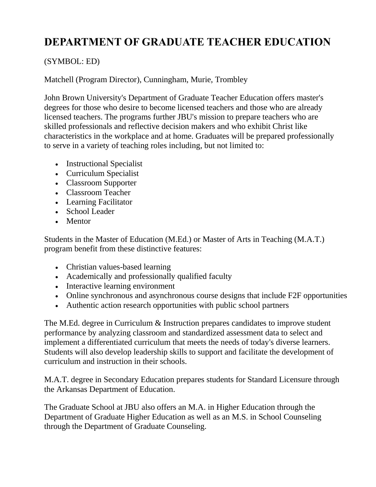### **DEPARTMENT OF GRADUATE TEACHER EDUCATION**

#### (SYMBOL: ED)

Matchell (Program Director), Cunningham, Murie, Trombley

John Brown University's Department of Graduate Teacher Education offers master's degrees for those who desire to become licensed teachers and those who are already licensed teachers. The programs further JBU's mission to prepare teachers who are skilled professionals and reflective decision makers and who exhibit Christ like characteristics in the workplace and at home. Graduates will be prepared professionally to serve in a variety of teaching roles including, but not limited to:

- Instructional Specialist
- Curriculum Specialist
- Classroom Supporter
- Classroom Teacher
- Learning Facilitator
- School Leader
- Mentor

Students in the Master of Education (M.Ed.) or Master of Arts in Teaching (M.A.T.) program benefit from these distinctive features:

- Christian values-based learning
- Academically and professionally qualified faculty
- Interactive learning environment
- Online synchronous and asynchronous course designs that include F2F opportunities
- Authentic action research opportunities with public school partners

The M.Ed. degree in Curriculum & Instruction prepares candidates to improve student performance by analyzing classroom and standardized assessment data to select and implement a differentiated curriculum that meets the needs of today's diverse learners. Students will also develop leadership skills to support and facilitate the development of curriculum and instruction in their schools.

M.A.T. degree in Secondary Education prepares students for Standard Licensure through the Arkansas Department of Education.

The Graduate School at JBU also offers an M.A. in Higher Education through the Department of Graduate Higher Education as well as an M.S. in School Counseling through the Department of Graduate Counseling.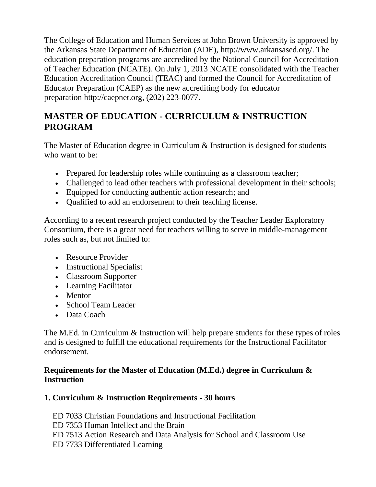The College of Education and Human Services at John Brown University is approved by the Arkansas State Department of Education (ADE), http://www.arkansased.org/. The education preparation programs are accredited by the National Council for Accreditation of Teacher Education (NCATE). On July 1, 2013 NCATE consolidated with the Teacher Education Accreditation Council (TEAC) and formed the Council for Accreditation of Educator Preparation (CAEP) as the new accrediting body for educator preparation http://caepnet.org, (202) 223-0077.

### **MASTER OF EDUCATION - CURRICULUM & INSTRUCTION PROGRAM**

The Master of Education degree in Curriculum & Instruction is designed for students who want to be:

- Prepared for leadership roles while continuing as a classroom teacher;
- Challenged to lead other teachers with professional development in their schools;
- Equipped for conducting authentic action research; and
- Qualified to add an endorsement to their teaching license.

According to a recent research project conducted by the Teacher Leader Exploratory Consortium, there is a great need for teachers willing to serve in middle-management roles such as, but not limited to:

- Resource Provider
- Instructional Specialist
- Classroom Supporter
- Learning Facilitator
- Mentor
- School Team Leader
- Data Coach

The M.Ed. in Curriculum & Instruction will help prepare students for these types of roles and is designed to fulfill the educational requirements for the Instructional Facilitator endorsement.

#### **Requirements for the Master of Education (M.Ed.) degree in Curriculum & Instruction**

#### **1. Curriculum & Instruction Requirements - 30 hours**

ED 7033 Christian Foundations and Instructional Facilitation

- ED 7353 Human Intellect and the Brain
- ED 7513 Action Research and Data Analysis for School and Classroom Use
- ED 7733 Differentiated Learning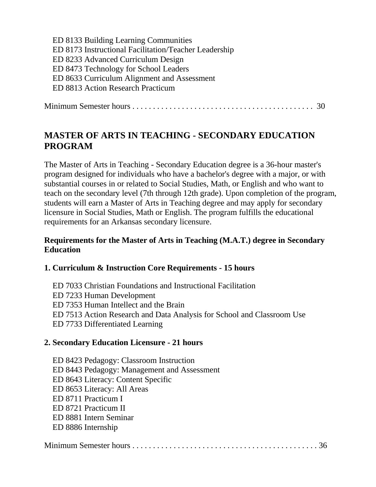| ED 8133 Building Learning Communities                 |
|-------------------------------------------------------|
| ED 8173 Instructional Facilitation/Teacher Leadership |
| ED 8233 Advanced Curriculum Design                    |
| ED 8473 Technology for School Leaders                 |
| ED 8633 Curriculum Alignment and Assessment           |
| ED 8813 Action Research Practicum                     |
|                                                       |

Minimum Semester hours . . . . . . . . . . . . . . . . . . . . . . . . . . . . . . . . . . . . . . . . . . . . 30

### **MASTER OF ARTS IN TEACHING - SECONDARY EDUCATION PROGRAM**

The Master of Arts in Teaching - Secondary Education degree is a 36-hour master's program designed for individuals who have a bachelor's degree with a major, or with substantial courses in or related to Social Studies, Math, or English and who want to teach on the secondary level (7th through 12th grade). Upon completion of the program, students will earn a Master of Arts in Teaching degree and may apply for secondary licensure in Social Studies, Math or English. The program fulfills the educational requirements for an Arkansas secondary licensure.

#### **Requirements for the Master of Arts in Teaching (M.A.T.) degree in Secondary Education**

#### **1. Curriculum & Instruction Core Requirements - 15 hours**

- ED 7033 Christian Foundations and Instructional Facilitation
- ED 7233 Human Development
- ED 7353 Human Intellect and the Brain
- ED 7513 Action Research and Data Analysis for School and Classroom Use
- ED 7733 Differentiated Learning

#### **2. Secondary Education Licensure - 21 hours**

ED 8423 Pedagogy: Classroom Instruction ED 8443 Pedagogy: Management and Assessment ED 8643 Literacy: Content Specific ED 8653 Literacy: All Areas ED 8711 Practicum I ED 8721 Practicum II ED 8881 Intern Seminar ED 8886 Internship

|--|--|--|--|--|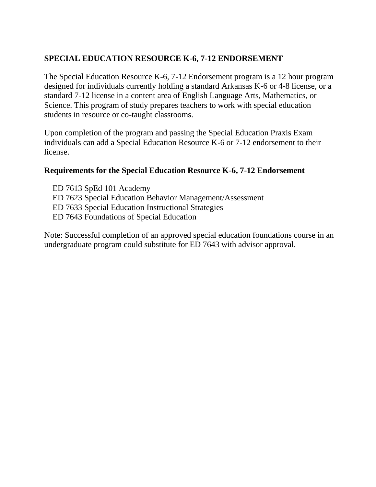#### **SPECIAL EDUCATION RESOURCE K-6, 7-12 ENDORSEMENT**

The Special Education Resource K-6, 7-12 Endorsement program is a 12 hour program designed for individuals currently holding a standard Arkansas K-6 or 4-8 license, or a standard 7-12 license in a content area of English Language Arts, Mathematics, or Science. This program of study prepares teachers to work with special education students in resource or co-taught classrooms.

Upon completion of the program and passing the Special Education Praxis Exam individuals can add a Special Education Resource K-6 or 7-12 endorsement to their license.

#### **Requirements for the Special Education Resource K-6, 7-12 Endorsement**

ED 7613 SpEd 101 Academy ED 7623 Special Education Behavior Management/Assessment ED 7633 Special Education Instructional Strategies ED 7643 Foundations of Special Education

Note: Successful completion of an approved special education foundations course in an undergraduate program could substitute for ED 7643 with advisor approval.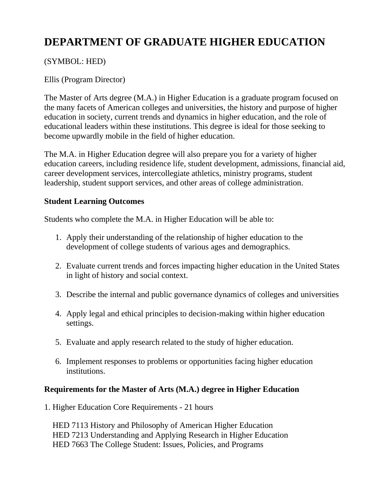### **DEPARTMENT OF GRADUATE HIGHER EDUCATION**

#### (SYMBOL: HED)

#### Ellis (Program Director)

The Master of Arts degree (M.A.) in Higher Education is a graduate program focused on the many facets of American colleges and universities, the history and purpose of higher education in society, current trends and dynamics in higher education, and the role of educational leaders within these institutions. This degree is ideal for those seeking to become upwardly mobile in the field of higher education.

The M.A. in Higher Education degree will also prepare you for a variety of higher education careers, including residence life, student development, admissions, financial aid, career development services, intercollegiate athletics, ministry programs, student leadership, student support services, and other areas of college administration.

#### **Student Learning Outcomes**

Students who complete the M.A. in Higher Education will be able to:

- 1. Apply their understanding of the relationship of higher education to the development of college students of various ages and demographics.
- 2. Evaluate current trends and forces impacting higher education in the United States in light of history and social context.
- 3. Describe the internal and public governance dynamics of colleges and universities
- 4. Apply legal and ethical principles to decision-making within higher education settings.
- 5. Evaluate and apply research related to the study of higher education.
- 6. Implement responses to problems or opportunities facing higher education institutions.

#### **Requirements for the Master of Arts (M.A.) degree in Higher Education**

1. Higher Education Core Requirements - 21 hours

HED 7113 History and Philosophy of American Higher Education HED 7213 Understanding and Applying Research in Higher Education HED 7663 The College Student: Issues, Policies, and Programs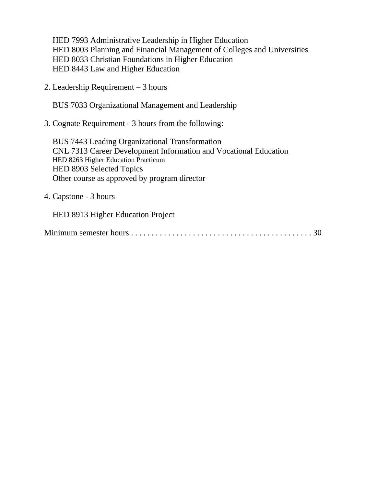HED 7993 Administrative Leadership in Higher Education HED 8003 Planning and Financial Management of Colleges and Universities HED 8033 Christian Foundations in Higher Education HED 8443 Law and Higher Education

2. Leadership Requirement – 3 hours

BUS 7033 Organizational Management and Leadership

3. Cognate Requirement - 3 hours from the following:

BUS 7443 Leading Organizational Transformation CNL 7313 Career Development Information and Vocational Education HED 8263 Higher Education Practicum HED 8903 Selected Topics Other course as approved by program director

4. Capstone - 3 hours

HED 8913 Higher Education Project

|--|--|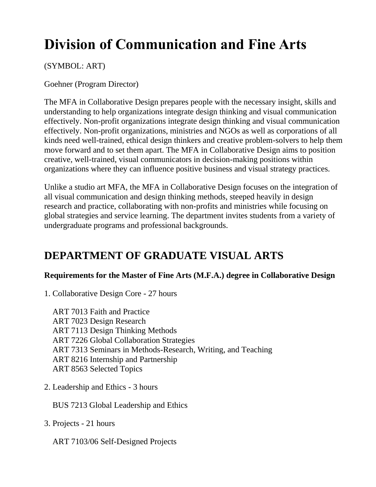# **Division of Communication and Fine Arts**

#### (SYMBOL: ART)

Goehner (Program Director)

The MFA in Collaborative Design prepares people with the necessary insight, skills and understanding to help organizations integrate design thinking and visual communication effectively. Non-profit organizations integrate design thinking and visual communication effectively. Non-profit organizations, ministries and NGOs as well as corporations of all kinds need well-trained, ethical design thinkers and creative problem-solvers to help them move forward and to set them apart. The MFA in Collaborative Design aims to position creative, well-trained, visual communicators in decision-making positions within organizations where they can influence positive business and visual strategy practices.

Unlike a studio art MFA, the MFA in Collaborative Design focuses on the integration of all visual communication and design thinking methods, steeped heavily in design research and practice, collaborating with non-profits and ministries while focusing on global strategies and service learning. The department invites students from a variety of undergraduate programs and professional backgrounds.

### **DEPARTMENT OF GRADUATE VISUAL ARTS**

#### **Requirements for the Master of Fine Arts (M.F.A.) degree in Collaborative Design**

1. Collaborative Design Core - 27 hours

ART 7013 Faith and Practice ART 7023 Design Research ART 7113 Design Thinking Methods ART 7226 Global Collaboration Strategies ART 7313 Seminars in Methods-Research, Writing, and Teaching ART 8216 Internship and Partnership ART 8563 Selected Topics

2. Leadership and Ethics - 3 hours

BUS 7213 Global Leadership and Ethics

3. Projects - 21 hours

ART 7103/06 Self-Designed Projects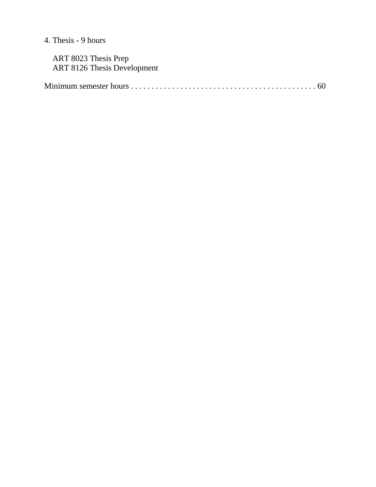### 4. Thesis - 9 hours

| ART 8023 Thesis Prep        |  |
|-----------------------------|--|
| ART 8126 Thesis Development |  |
|                             |  |
|                             |  |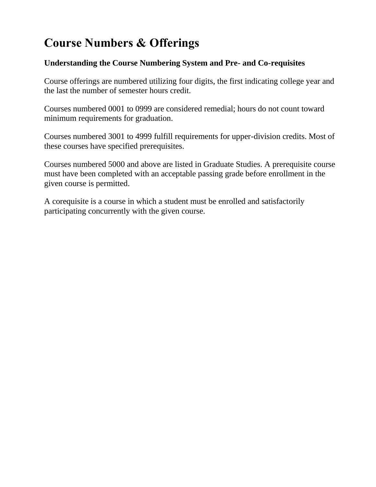## **Course Numbers & Offerings**

#### **Understanding the Course Numbering System and Pre- and Co-requisites**

Course offerings are numbered utilizing four digits, the first indicating college year and the last the number of semester hours credit.

Courses numbered 0001 to 0999 are considered remedial; hours do not count toward minimum requirements for graduation.

Courses numbered 3001 to 4999 fulfill requirements for upper-division credits. Most of these courses have specified prerequisites.

Courses numbered 5000 and above are listed in Graduate Studies. A prerequisite course must have been completed with an acceptable passing grade before enrollment in the given course is permitted.

A corequisite is a course in which a student must be enrolled and satisfactorily participating concurrently with the given course.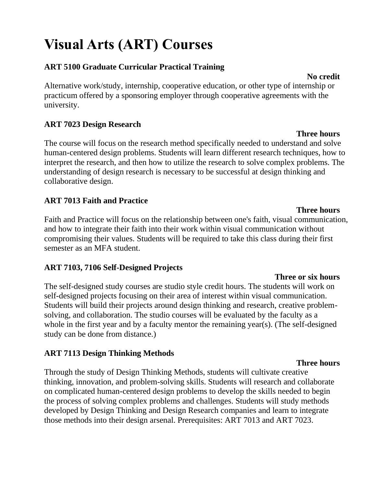# **Visual Arts (ART) Courses**

#### **ART 5100 Graduate Curricular Practical Training**

Alternative work/study, internship, cooperative education, or other type of internship or practicum offered by a sponsoring employer through cooperative agreements with the university.

#### **ART 7023 Design Research**

The course will focus on the research method specifically needed to understand and solve human-centered design problems. Students will learn different research techniques, how to interpret the research, and then how to utilize the research to solve complex problems. The understanding of design research is necessary to be successful at design thinking and collaborative design.

#### **ART 7013 Faith and Practice**

**Three hours** Faith and Practice will focus on the relationship between one's faith, visual communication, and how to integrate their faith into their work within visual communication without compromising their values. Students will be required to take this class during their first semester as an MFA student.

#### **ART 7103, 7106 Self-Designed Projects**

The self-designed study courses are studio style credit hours. The students will work on self-designed projects focusing on their area of interest within visual communication. Students will build their projects around design thinking and research, creative problemsolving, and collaboration. The studio courses will be evaluated by the faculty as a whole in the first year and by a faculty mentor the remaining year(s). (The self-designed study can be done from distance.)

#### **ART 7113 Design Thinking Methods**

Through the study of Design Thinking Methods, students will cultivate creative thinking, innovation, and problem-solving skills. Students will research and collaborate on complicated human-centered design problems to develop the skills needed to begin the process of solving complex problems and challenges. Students will study methods developed by Design Thinking and Design Research companies and learn to integrate those methods into their design arsenal. Prerequisites: ART 7013 and ART 7023.

#### **Three or six hours**

#### **Three hours**

# **No credit**

**Three hours**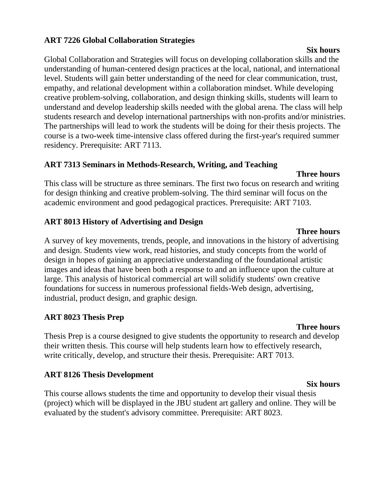#### **ART 7226 Global Collaboration Strategies**

Global Collaboration and Strategies will focus on developing collaboration skills and the understanding of human-centered design practices at the local, national, and international level. Students will gain better understanding of the need for clear communication, trust, empathy, and relational development within a collaboration mindset. While developing creative problem-solving, collaboration, and design thinking skills, students will learn to understand and develop leadership skills needed with the global arena. The class will help students research and develop international partnerships with non-profits and/or ministries. The partnerships will lead to work the students will be doing for their thesis projects. The course is a two-week time-intensive class offered during the first-year's required summer residency. Prerequisite: ART 7113.

#### **ART 7313 Seminars in Methods-Research, Writing, and Teaching**

#### **Three hours**

This class will be structure as three seminars. The first two focus on research and writing for design thinking and creative problem-solving. The third seminar will focus on the academic environment and good pedagogical practices. Prerequisite: ART 7103.

#### **ART 8013 History of Advertising and Design**

A survey of key movements, trends, people, and innovations in the history of advertising and design. Students view work, read histories, and study concepts from the world of design in hopes of gaining an appreciative understanding of the foundational artistic images and ideas that have been both a response to and an influence upon the culture at large. This analysis of historical commercial art will solidify students' own creative foundations for success in numerous professional fields-Web design, advertising, industrial, product design, and graphic design.

#### **ART 8023 Thesis Prep**

#### **Three hours**

Thesis Prep is a course designed to give students the opportunity to research and develop their written thesis. This course will help students learn how to effectively research, write critically, develop, and structure their thesis. Prerequisite: ART 7013.

#### **ART 8126 Thesis Development**

**Six hours** This course allows students the time and opportunity to develop their visual thesis (project) which will be displayed in the JBU student art gallery and online. They will be evaluated by the student's advisory committee. Prerequisite: ART 8023.

### **Six hours**

### **Three hours**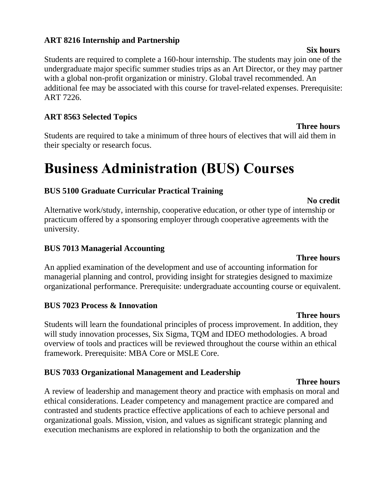#### **ART 8216 Internship and Partnership**

Students are required to complete a 160-hour internship. The students may join one of the undergraduate major specific summer studies trips as an Art Director, or they may partner with a global non-profit organization or ministry. Global travel recommended. An additional fee may be associated with this course for travel-related expenses. Prerequisite: ART 7226.

#### **ART 8563 Selected Topics**

Students are required to take a minimum of three hours of electives that will aid them in their specialty or research focus.

# **Business Administration (BUS) Courses**

#### **BUS 5100 Graduate Curricular Practical Training**

Alternative work/study, internship, cooperative education, or other type of internship or practicum offered by a sponsoring employer through cooperative agreements with the university.

#### **BUS 7013 Managerial Accounting**

An applied examination of the development and use of accounting information for managerial planning and control, providing insight for strategies designed to maximize organizational performance. Prerequisite: undergraduate accounting course or equivalent.

#### **BUS 7023 Process & Innovation**

**Three hours** Students will learn the foundational principles of process improvement. In addition, they will study innovation processes, Six Sigma, TQM and IDEO methodologies. A broad overview of tools and practices will be reviewed throughout the course within an ethical framework. Prerequisite: MBA Core or MSLE Core.

#### **BUS 7033 Organizational Management and Leadership**

A review of leadership and management theory and practice with emphasis on moral and ethical considerations. Leader competency and management practice are compared and contrasted and students practice effective applications of each to achieve personal and organizational goals. Mission, vision, and values as significant strategic planning and execution mechanisms are explored in relationship to both the organization and the

#### **Three hours**

**No credit**

**Three hours**

#### **Six hours**

#### **Three hours**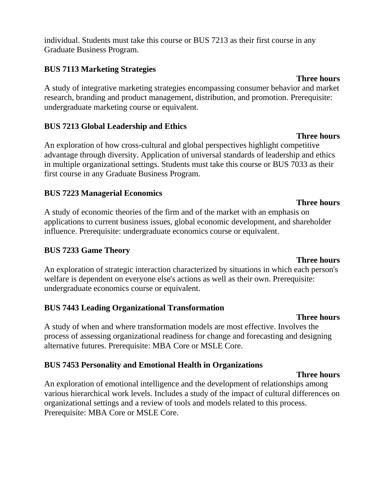individual. Students must take this course or BUS 7213 as their first course in any Graduate Business Program.

#### **BUS 7113 Marketing Strategies**

A study of integrative marketing strategies encompassing consumer behavior and market research, branding and product management, distribution, and promotion. Prerequisite: undergraduate marketing course or equivalent.

#### **BUS 7213 Global Leadership and Ethics**

An exploration of how cross-cultural and global perspectives highlight competitive advantage through diversity. Application of universal standards of leadership and ethics in multiple organizational settings. Students must take this course or BUS 7033 as their first course in any Graduate Business Program.

#### **BUS 7223 Managerial Economics**

A study of economic theories of the firm and of the market with an emphasis on applications to current business issues, global economic development, and shareholder influence. Prerequisite: undergraduate economics course or equivalent.

#### **BUS 7233 Game Theory**

An exploration of strategic interaction characterized by situations in which each person's welfare is dependent on everyone else's actions as well as their own. Prerequisite: undergraduate economics course or equivalent.

#### **BUS 7443 Leading Organizational Transformation**

**Three hours** A study of when and where transformation models are most effective. Involves the process of assessing organizational readiness for change and forecasting and designing alternative futures. Prerequisite: MBA Core or MSLE Core.

#### **BUS 7453 Personality and Emotional Health in Organizations**

An exploration of emotional intelligence and the development of relationships among various hierarchical work levels. Includes a study of the impact of cultural differences on organizational settings and a review of tools and models related to this process. Prerequisite: MBA Core or MSLE Core.

#### **Three hours**

**Three hours**

**Three hours**

#### **Three hours**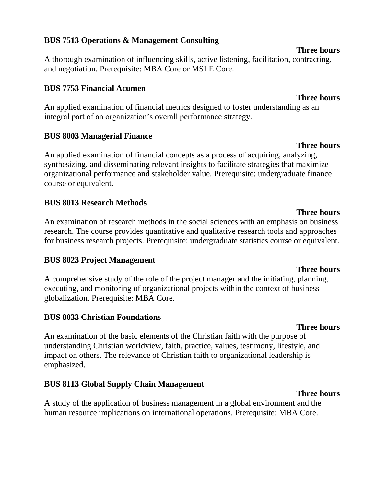#### **BUS 7513 Operations & Management Consulting**

A thorough examination of influencing skills, active listening, facilitation, contracting, and negotiation. Prerequisite: MBA Core or MSLE Core.

#### **BUS 7753 Financial Acumen**

An applied examination of financial metrics designed to foster understanding as an integral part of an organization's overall performance strategy.

#### **BUS 8003 Managerial Finance**

An applied examination of financial concepts as a process of acquiring, analyzing, synthesizing, and disseminating relevant insights to facilitate strategies that maximize organizational performance and stakeholder value. Prerequisite: undergraduate finance course or equivalent.

#### **BUS 8013 Research Methods**

An examination of research methods in the social sciences with an emphasis on business research. The course provides quantitative and qualitative research tools and approaches for business research projects. Prerequisite: undergraduate statistics course or equivalent.

#### **BUS 8023 Project Management**

A comprehensive study of the role of the project manager and the initiating, planning, executing, and monitoring of organizational projects within the context of business globalization. Prerequisite: MBA Core.

#### **BUS 8033 Christian Foundations**

An examination of the basic elements of the Christian faith with the purpose of understanding Christian worldview, faith, practice, values, testimony, lifestyle, and impact on others. The relevance of Christian faith to organizational leadership is emphasized.

#### **BUS 8113 Global Supply Chain Management**

A study of the application of business management in a global environment and the human resource implications on international operations. Prerequisite: MBA Core.

#### **Three hours**

#### **Three hours**

**Three hours**

#### **Three hours**

#### **Three hours**

**Three hours**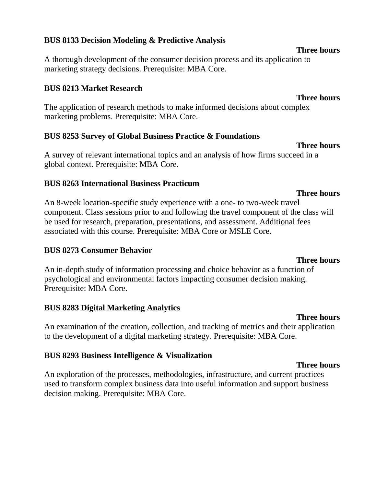#### **BUS 8133 Decision Modeling & Predictive Analysis**

A thorough development of the consumer decision process and its application to marketing strategy decisions. Prerequisite: MBA Core.

#### **BUS 8213 Market Research**

The application of research methods to make informed decisions about complex marketing problems. Prerequisite: MBA Core.

#### **BUS 8253 Survey of Global Business Practice & Foundations**

A survey of relevant international topics and an analysis of how firms succeed in a global context. Prerequisite: MBA Core.

#### **BUS 8263 International Business Practicum**

An 8-week location-specific study experience with a one- to two-week travel component. Class sessions prior to and following the travel component of the class will be used for research, preparation, presentations, and assessment. Additional fees associated with this course. Prerequisite: MBA Core or MSLE Core.

#### **BUS 8273 Consumer Behavior**

An in-depth study of information processing and choice behavior as a function of psychological and environmental factors impacting consumer decision making. Prerequisite: MBA Core.

#### **BUS 8283 Digital Marketing Analytics**

An examination of the creation, collection, and tracking of metrics and their application to the development of a digital marketing strategy. Prerequisite: MBA Core.

#### **BUS 8293 Business Intelligence & Visualization**

An exploration of the processes, methodologies, infrastructure, and current practices used to transform complex business data into useful information and support business decision making. Prerequisite: MBA Core.

#### **Three hours**

#### **Three hours**

**Three hours**

**Three hours**

#### **Three hours**

**Three hours**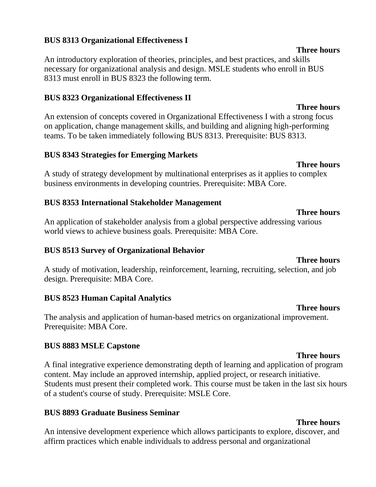#### **BUS 8313 Organizational Effectiveness I**

An introductory exploration of theories, principles, and best practices, and skills necessary for organizational analysis and design. MSLE students who enroll in BUS 8313 must enroll in BUS 8323 the following term.

#### **BUS 8323 Organizational Effectiveness II**

An extension of concepts covered in Organizational Effectiveness I with a strong focus on application, change management skills, and building and aligning high-performing teams. To be taken immediately following BUS 8313. Prerequisite: BUS 8313.

#### **BUS 8343 Strategies for Emerging Markets**

A study of strategy development by multinational enterprises as it applies to complex business environments in developing countries. Prerequisite: MBA Core.

#### **BUS 8353 International Stakeholder Management**

An application of stakeholder analysis from a global perspective addressing various world views to achieve business goals. Prerequisite: MBA Core.

#### **BUS 8513 Survey of Organizational Behavior**

A study of motivation, leadership, reinforcement, learning, recruiting, selection, and job design. Prerequisite: MBA Core.

#### **BUS 8523 Human Capital Analytics**

The analysis and application of human-based metrics on organizational improvement. Prerequisite: MBA Core.

#### **BUS 8883 MSLE Capstone**

A final integrative experience demonstrating depth of learning and application of program content. May include an approved internship, applied project, or research initiative. Students must present their completed work. This course must be taken in the last six hours of a student's course of study. Prerequisite: MSLE Core.

#### **BUS 8893 Graduate Business Seminar**

An intensive development experience which allows participants to explore, discover, and affirm practices which enable individuals to address personal and organizational

#### **Three hours**

#### **Three hours**

**Three hours**

### **Three hours**

## **Three hours**

#### **Three hours**

#### **Three hours**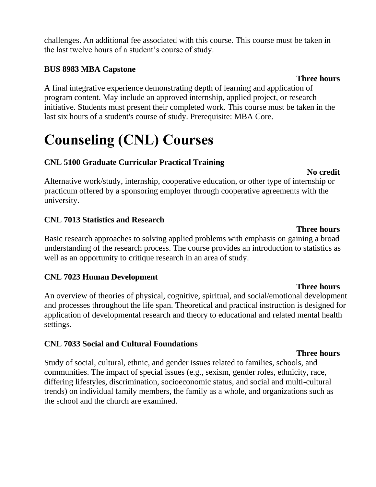challenges. An additional fee associated with this course. This course must be taken in the last twelve hours of a student's course of study.

#### **BUS 8983 MBA Capstone**

A final integrative experience demonstrating depth of learning and application of program content. May include an approved internship, applied project, or research initiative. Students must present their completed work. This course must be taken in the last six hours of a student's course of study. Prerequisite: MBA Core.

# **Counseling (CNL) Courses**

### **CNL 5100 Graduate Curricular Practical Training**

#### **No credit**

Alternative work/study, internship, cooperative education, or other type of internship or practicum offered by a sponsoring employer through cooperative agreements with the university.

#### **CNL 7013 Statistics and Research**

Basic research approaches to solving applied problems with emphasis on gaining a broad understanding of the research process. The course provides an introduction to statistics as well as an opportunity to critique research in an area of study.

#### **CNL 7023 Human Development**

**Three hours** An overview of theories of physical, cognitive, spiritual, and social/emotional development and processes throughout the life span. Theoretical and practical instruction is designed for application of developmental research and theory to educational and related mental health settings.

### **CNL 7033 Social and Cultural Foundations**

Study of social, cultural, ethnic, and gender issues related to families, schools, and communities. The impact of special issues (e.g., sexism, gender roles, ethnicity, race, differing lifestyles, discrimination, socioeconomic status, and social and multi-cultural trends) on individual family members, the family as a whole, and organizations such as the school and the church are examined.

#### **Three hours**

#### **Three hours**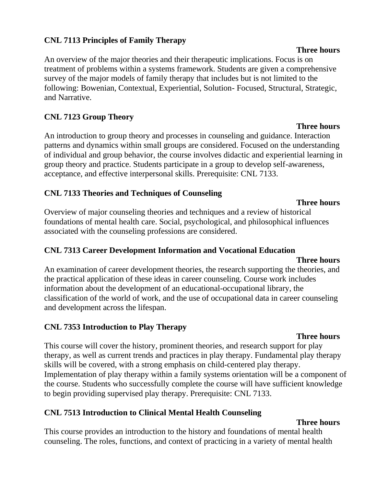#### **CNL 7113 Principles of Family Therapy**

An overview of the major theories and their therapeutic implications. Focus is on treatment of problems within a systems framework. Students are given a comprehensive survey of the major models of family therapy that includes but is not limited to the following: Bowenian, Contextual, Experiential, Solution- Focused, Structural, Strategic, and Narrative.

#### **CNL 7123 Group Theory**

An introduction to group theory and processes in counseling and guidance. Interaction patterns and dynamics within small groups are considered. Focused on the understanding of individual and group behavior, the course involves didactic and experiential learning in group theory and practice. Students participate in a group to develop self-awareness, acceptance, and effective interpersonal skills. Prerequisite: CNL 7133.

#### **CNL 7133 Theories and Techniques of Counseling**

Overview of major counseling theories and techniques and a review of historical foundations of mental health care. Social, psychological, and philosophical influences associated with the counseling professions are considered.

#### **CNL 7313 Career Development Information and Vocational Education**

#### **Three hours**

An examination of career development theories, the research supporting the theories, and the practical application of these ideas in career counseling. Course work includes information about the development of an educational-occupational library, the classification of the world of work, and the use of occupational data in career counseling and development across the lifespan.

#### **CNL 7353 Introduction to Play Therapy**

#### **Three hours**

This course will cover the history, prominent theories, and research support for play therapy, as well as current trends and practices in play therapy. Fundamental play therapy skills will be covered, with a strong emphasis on child-centered play therapy. Implementation of play therapy within a family systems orientation will be a component of the course. Students who successfully complete the course will have sufficient knowledge to begin providing supervised play therapy. Prerequisite: CNL 7133.

#### **CNL 7513 Introduction to Clinical Mental Health Counseling**

#### **Three hours**

This course provides an introduction to the history and foundations of mental health counseling. The roles, functions, and context of practicing in a variety of mental health

#### **Three hours**

#### **Three hours**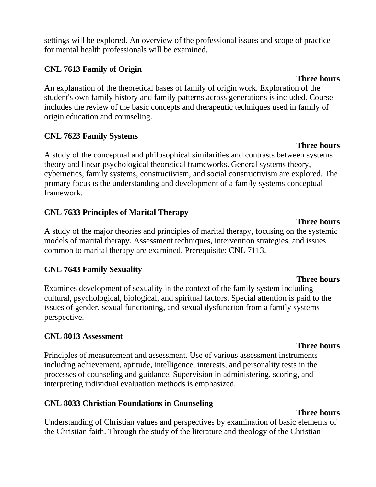settings will be explored. An overview of the professional issues and scope of practice for mental health professionals will be examined.

#### **CNL 7613 Family of Origin**

An explanation of the theoretical bases of family of origin work. Exploration of the student's own family history and family patterns across generations is included. Course includes the review of the basic concepts and therapeutic techniques used in family of origin education and counseling.

#### **CNL 7623 Family Systems**

A study of the conceptual and philosophical similarities and contrasts between systems theory and linear psychological theoretical frameworks. General systems theory, cybernetics, family systems, constructivism, and social constructivism are explored. The primary focus is the understanding and development of a family systems conceptual framework.

#### **CNL 7633 Principles of Marital Therapy**

A study of the major theories and principles of marital therapy, focusing on the systemic models of marital therapy. Assessment techniques, intervention strategies, and issues common to marital therapy are examined. Prerequisite: CNL 7113.

#### **CNL 7643 Family Sexuality**

Examines development of sexuality in the context of the family system including cultural, psychological, biological, and spiritual factors. Special attention is paid to the issues of gender, sexual functioning, and sexual dysfunction from a family systems perspective.

#### **CNL 8013 Assessment**

Principles of measurement and assessment. Use of various assessment instruments including achievement, aptitude, intelligence, interests, and personality tests in the processes of counseling and guidance. Supervision in administering, scoring, and interpreting individual evaluation methods is emphasized.

#### **CNL 8033 Christian Foundations in Counseling**

#### **Three hours**

Understanding of Christian values and perspectives by examination of basic elements of the Christian faith. Through the study of the literature and theology of the Christian

### **Three hours**

#### **Three hours**

# **Three hours**

### **Three hours**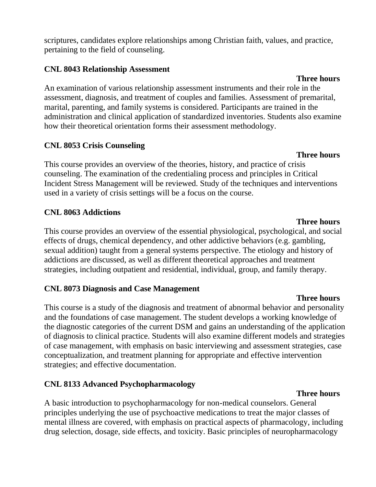scriptures, candidates explore relationships among Christian faith, values, and practice, pertaining to the field of counseling.

#### **CNL 8043 Relationship Assessment**

An examination of various relationship assessment instruments and their role in the assessment, diagnosis, and treatment of couples and families. Assessment of premarital, marital, parenting, and family systems is considered. Participants are trained in the administration and clinical application of standardized inventories. Students also examine how their theoretical orientation forms their assessment methodology.

#### **CNL 8053 Crisis Counseling**

**Three hours** This course provides an overview of the theories, history, and practice of crisis counseling. The examination of the credentialing process and principles in Critical Incident Stress Management will be reviewed. Study of the techniques and interventions used in a variety of crisis settings will be a focus on the course.

#### **CNL 8063 Addictions**

**Three hours** This course provides an overview of the essential physiological, psychological, and social effects of drugs, chemical dependency, and other addictive behaviors (e.g. gambling, sexual addition) taught from a general systems perspective. The etiology and history of addictions are discussed, as well as different theoretical approaches and treatment strategies, including outpatient and residential, individual, group, and family therapy.

#### **CNL 8073 Diagnosis and Case Management**

This course is a study of the diagnosis and treatment of abnormal behavior and personality and the foundations of case management. The student develops a working knowledge of the diagnostic categories of the current DSM and gains an understanding of the application of diagnosis to clinical practice. Students will also examine different models and strategies of case management, with emphasis on basic interviewing and assessment strategies, case conceptualization, and treatment planning for appropriate and effective intervention strategies; and effective documentation.

### **CNL 8133 Advanced Psychopharmacology**

A basic introduction to psychopharmacology for non-medical counselors. General principles underlying the use of psychoactive medications to treat the major classes of mental illness are covered, with emphasis on practical aspects of pharmacology, including drug selection, dosage, side effects, and toxicity. Basic principles of neuropharmacology

# **Three hours**

#### **Three hours**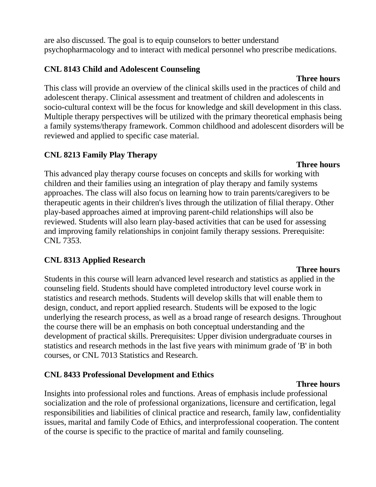are also discussed. The goal is to equip counselors to better understand psychopharmacology and to interact with medical personnel who prescribe medications.

#### **CNL 8143 Child and Adolescent Counseling**

#### **Three hours**

This class will provide an overview of the clinical skills used in the practices of child and adolescent therapy. Clinical assessment and treatment of children and adolescents in socio-cultural context will be the focus for knowledge and skill development in this class. Multiple therapy perspectives will be utilized with the primary theoretical emphasis being a family systems/therapy framework. Common childhood and adolescent disorders will be reviewed and applied to specific case material.

#### **CNL 8213 Family Play Therapy**

This advanced play therapy course focuses on concepts and skills for working with children and their families using an integration of play therapy and family systems approaches. The class will also focus on learning how to train parents/caregivers to be therapeutic agents in their children's lives through the utilization of filial therapy. Other play-based approaches aimed at improving parent-child relationships will also be reviewed. Students will also learn play-based activities that can be used for assessing and improving family relationships in conjoint family therapy sessions. Prerequisite: CNL 7353.

### **CNL 8313 Applied Research**

Students in this course will learn advanced level research and statistics as applied in the counseling field. Students should have completed introductory level course work in statistics and research methods. Students will develop skills that will enable them to design, conduct, and report applied research. Students will be exposed to the logic underlying the research process, as well as a broad range of research designs. Throughout the course there will be an emphasis on both conceptual understanding and the development of practical skills. Prerequisites: Upper division undergraduate courses in statistics and research methods in the last five years with minimum grade of 'B' in both courses, or CNL 7013 Statistics and Research.

### **CNL 8433 Professional Development and Ethics**

#### **Three hours**

Insights into professional roles and functions. Areas of emphasis include professional socialization and the role of professional organizations, licensure and certification, legal responsibilities and liabilities of clinical practice and research, family law, confidentiality issues, marital and family Code of Ethics, and interprofessional cooperation. The content of the course is specific to the practice of marital and family counseling.

#### **Three hours**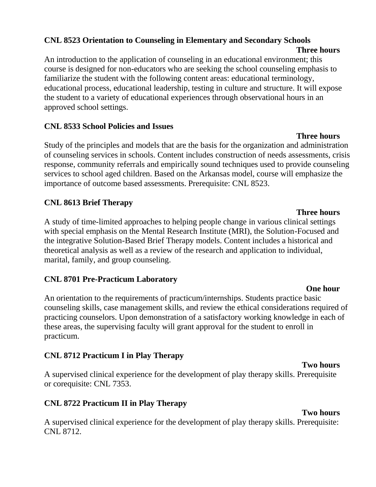#### **CNL 8523 Orientation to Counseling in Elementary and Secondary Schools**

An introduction to the application of counseling in an educational environment; this course is designed for non-educators who are seeking the school counseling emphasis to familiarize the student with the following content areas: educational terminology, educational process, educational leadership, testing in culture and structure. It will expose the student to a variety of educational experiences through observational hours in an approved school settings.

#### **CNL 8533 School Policies and Issues**

Study of the principles and models that are the basis for the organization and administration of counseling services in schools. Content includes construction of needs assessments, crisis response, community referrals and empirically sound techniques used to provide counseling services to school aged children. Based on the Arkansas model, course will emphasize the importance of outcome based assessments. Prerequisite: CNL 8523.

### **CNL 8613 Brief Therapy**

A study of time-limited approaches to helping people change in various clinical settings with special emphasis on the Mental Research Institute (MRI), the Solution-Focused and the integrative Solution-Based Brief Therapy models. Content includes a historical and theoretical analysis as well as a review of the research and application to individual, marital, family, and group counseling.

### **CNL 8701 Pre-Practicum Laboratory**

**One hour** An orientation to the requirements of practicum/internships. Students practice basic counseling skills, case management skills, and review the ethical considerations required of practicing counselors. Upon demonstration of a satisfactory working knowledge in each of these areas, the supervising faculty will grant approval for the student to enroll in practicum.

### **CNL 8712 Practicum I in Play Therapy**

A supervised clinical experience for the development of play therapy skills. Prerequisite or corequisite: CNL 7353.

### **CNL 8722 Practicum II in Play Therapy**

A supervised clinical experience for the development of play therapy skills. Prerequisite: CNL 8712.

## **Three hours**

### **Three hours**

# **Two hours**

#### **Two hours**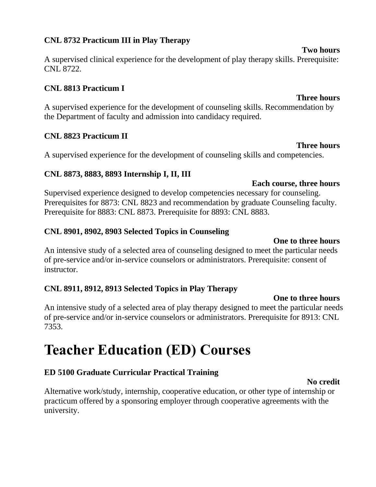#### **CNL 8732 Practicum III in Play Therapy**

A supervised clinical experience for the development of play therapy skills. Prerequisite: CNL 8722.

#### **CNL 8813 Practicum I**

A supervised experience for the development of counseling skills. Recommendation by the Department of faculty and admission into candidacy required.

#### **CNL 8823 Practicum II**

A supervised experience for the development of counseling skills and competencies.

#### **CNL 8873, 8883, 8893 Internship I, II, III**

**Each course, three hours** Supervised experience designed to develop competencies necessary for counseling. Prerequisites for 8873: CNL 8823 and recommendation by graduate Counseling faculty. Prerequisite for 8883: CNL 8873. Prerequisite for 8893: CNL 8883.

#### **CNL 8901, 8902, 8903 Selected Topics in Counseling**

#### **One to three hours**

An intensive study of a selected area of counseling designed to meet the particular needs of pre-service and/or in-service counselors or administrators. Prerequisite: consent of instructor.

#### **CNL 8911, 8912, 8913 Selected Topics in Play Therapy**

**One to three hours**

**No credit**

An intensive study of a selected area of play therapy designed to meet the particular needs of pre-service and/or in-service counselors or administrators. Prerequisite for 8913: CNL 7353.

# **Teacher Education (ED) Courses**

#### **ED 5100 Graduate Curricular Practical Training**

Alternative work/study, internship, cooperative education, or other type of internship or practicum offered by a sponsoring employer through cooperative agreements with the university.

#### **Two hours**

**Three hours**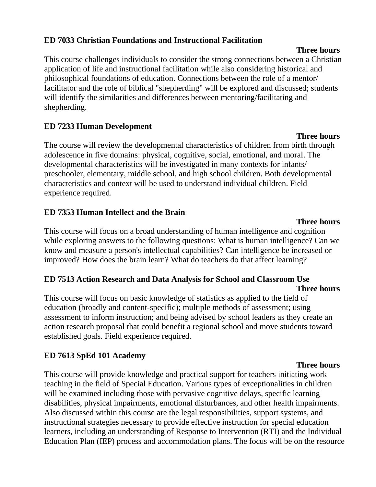#### **ED 7033 Christian Foundations and Instructional Facilitation**

This course challenges individuals to consider the strong connections between a Christian application of life and instructional facilitation while also considering historical and philosophical foundations of education. Connections between the role of a mentor/ facilitator and the role of biblical "shepherding" will be explored and discussed; students will identify the similarities and differences between mentoring/facilitating and shepherding.

#### **ED 7233 Human Development**

The course will review the developmental characteristics of children from birth through adolescence in five domains: physical, cognitive, social, emotional, and moral. The developmental characteristics will be investigated in many contexts for infants/ preschooler, elementary, middle school, and high school children. Both developmental characteristics and context will be used to understand individual children. Field experience required.

#### **ED 7353 Human Intellect and the Brain**

This course will focus on a broad understanding of human intelligence and cognition while exploring answers to the following questions: What is human intelligence? Can we know and measure a person's intellectual capabilities? Can intelligence be increased or improved? How does the brain learn? What do teachers do that affect learning?

#### **ED 7513 Action Research and Data Analysis for School and Classroom Use Three hours**

This course will focus on basic knowledge of statistics as applied to the field of education (broadly and content-specific); multiple methods of assessment; using assessment to inform instruction; and being advised by school leaders as they create an action research proposal that could benefit a regional school and move students toward established goals. Field experience required.

#### **ED 7613 SpEd 101 Academy**

This course will provide knowledge and practical support for teachers initiating work teaching in the field of Special Education. Various types of exceptionalities in children will be examined including those with pervasive cognitive delays, specific learning disabilities, physical impairments, emotional disturbances, and other health impairments. Also discussed within this course are the legal responsibilities, support systems, and instructional strategies necessary to provide effective instruction for special education learners, including an understanding of Response to Intervention (RTI) and the Individual Education Plan (IEP) process and accommodation plans. The focus will be on the resource

#### **Three hours**

#### **Three hours**

#### **Three hours**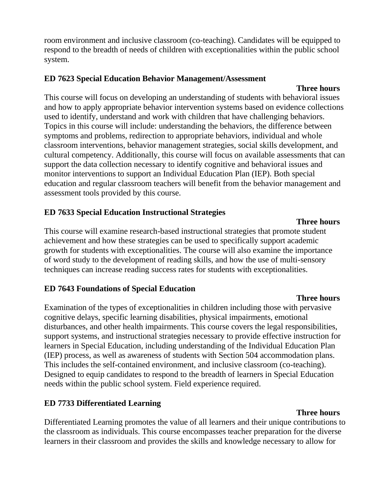room environment and inclusive classroom (co-teaching). Candidates will be equipped to respond to the breadth of needs of children with exceptionalities within the public school system.

#### **ED 7623 Special Education Behavior Management/Assessment**

#### **Three hours**

This course will focus on developing an understanding of students with behavioral issues and how to apply appropriate behavior intervention systems based on evidence collections used to identify, understand and work with children that have challenging behaviors. Topics in this course will include: understanding the behaviors, the difference between symptoms and problems, redirection to appropriate behaviors, individual and whole classroom interventions, behavior management strategies, social skills development, and cultural competency. Additionally, this course will focus on available assessments that can support the data collection necessary to identify cognitive and behavioral issues and monitor interventions to support an Individual Education Plan (IEP). Both special education and regular classroom teachers will benefit from the behavior management and assessment tools provided by this course.

### **ED 7633 Special Education Instructional Strategies**

This course will examine research-based instructional strategies that promote student achievement and how these strategies can be used to specifically support academic growth for students with exceptionalities. The course will also examine the importance of word study to the development of reading skills, and how the use of multi-sensory techniques can increase reading success rates for students with exceptionalities.

### **ED 7643 Foundations of Special Education**

Examination of the types of exceptionalities in children including those with pervasive cognitive delays, specific learning disabilities, physical impairments, emotional disturbances, and other health impairments. This course covers the legal responsibilities, support systems, and instructional strategies necessary to provide effective instruction for learners in Special Education, including understanding of the Individual Education Plan (IEP) process, as well as awareness of students with Section 504 accommodation plans. This includes the self-contained environment, and inclusive classroom (co-teaching). Designed to equip candidates to respond to the breadth of learners in Special Education needs within the public school system. Field experience required.

### **ED 7733 Differentiated Learning**

#### **Three hours**

Differentiated Learning promotes the value of all learners and their unique contributions to the classroom as individuals. This course encompasses teacher preparation for the diverse learners in their classroom and provides the skills and knowledge necessary to allow for

#### **Three hours**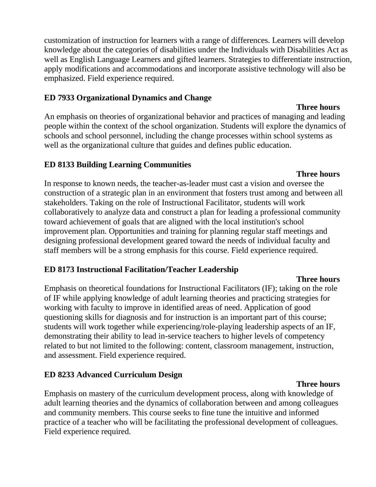customization of instruction for learners with a range of differences. Learners will develop knowledge about the categories of disabilities under the Individuals with Disabilities Act as well as English Language Learners and gifted learners. Strategies to differentiate instruction, apply modifications and accommodations and incorporate assistive technology will also be emphasized. Field experience required.

#### **ED 7933 Organizational Dynamics and Change**

An emphasis on theories of organizational behavior and practices of managing and leading people within the context of the school organization. Students will explore the dynamics of schools and school personnel, including the change processes within school systems as well as the organizational culture that guides and defines public education.

#### **ED 8133 Building Learning Communities**

In response to known needs, the teacher-as-leader must cast a vision and oversee the construction of a strategic plan in an environment that fosters trust among and between all stakeholders. Taking on the role of Instructional Facilitator, students will work collaboratively to analyze data and construct a plan for leading a professional community toward achievement of goals that are aligned with the local institution's school improvement plan. Opportunities and training for planning regular staff meetings and designing professional development geared toward the needs of individual faculty and staff members will be a strong emphasis for this course. Field experience required.

#### **ED 8173 Instructional Facilitation/Teacher Leadership**

#### **Three hours**

Emphasis on theoretical foundations for Instructional Facilitators (IF); taking on the role of IF while applying knowledge of adult learning theories and practicing strategies for working with faculty to improve in identified areas of need. Application of good questioning skills for diagnosis and for instruction is an important part of this course; students will work together while experiencing/role-playing leadership aspects of an IF, demonstrating their ability to lead in-service teachers to higher levels of competency related to but not limited to the following: content, classroom management, instruction, and assessment. Field experience required.

#### **ED 8233 Advanced Curriculum Design**

Emphasis on mastery of the curriculum development process, along with knowledge of adult learning theories and the dynamics of collaboration between and among colleagues and community members. This course seeks to fine tune the intuitive and informed practice of a teacher who will be facilitating the professional development of colleagues. Field experience required.

#### **Three hours**

#### **Three hours**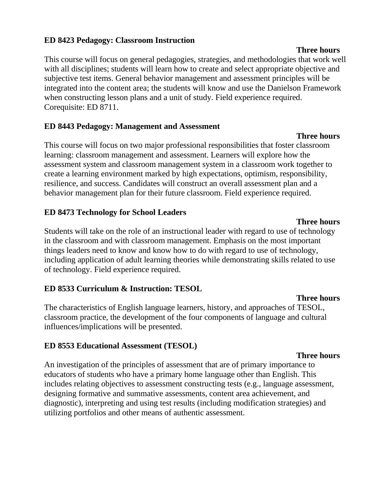#### **ED 8423 Pedagogy: Classroom Instruction**

This course will focus on general pedagogies, strategies, and methodologies that work well with all disciplines; students will learn how to create and select appropriate objective and subjective test items. General behavior management and assessment principles will be integrated into the content area; the students will know and use the Danielson Framework when constructing lesson plans and a unit of study. Field experience required. Corequisite: ED 8711.

#### **ED 8443 Pedagogy: Management and Assessment**

This course will focus on two major professional responsibilities that foster classroom learning: classroom management and assessment. Learners will explore how the assessment system and classroom management system in a classroom work together to create a learning environment marked by high expectations, optimism, responsibility, resilience, and success. Candidates will construct an overall assessment plan and a behavior management plan for their future classroom. Field experience required.

#### **ED 8473 Technology for School Leaders**

Students will take on the role of an instructional leader with regard to use of technology in the classroom and with classroom management. Emphasis on the most important things leaders need to know and know how to do with regard to use of technology, including application of adult learning theories while demonstrating skills related to use of technology. Field experience required.

#### **ED 8533 Curriculum & Instruction: TESOL**

The characteristics of English language learners, history, and approaches of TESOL, classroom practice, the development of the four components of language and cultural influences/implications will be presented.

#### **ED 8553 Educational Assessment (TESOL)**

#### An investigation of the principles of assessment that are of primary importance to educators of students who have a primary home language other than English. This includes relating objectives to assessment constructing tests (e.g., language assessment, designing formative and summative assessments, content area achievement, and diagnostic), interpreting and using test results (including modification strategies) and utilizing portfolios and other means of authentic assessment.

#### **Three hours**

#### **Three hours**

#### **Three hours**

**Three hours**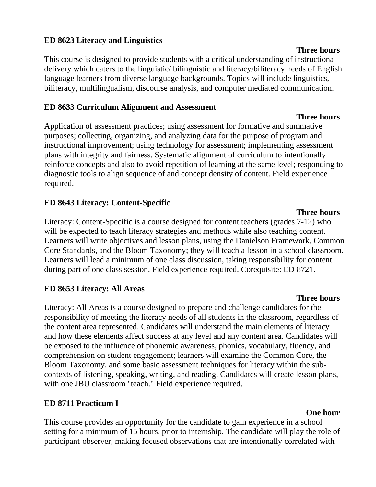#### **ED 8623 Literacy and Linguistics**

This course is designed to provide students with a critical understanding of instructional delivery which caters to the linguistic/ bilinguistic and literacy/biliteracy needs of English language learners from diverse language backgrounds. Topics will include linguistics, biliteracy, multilingualism, discourse analysis, and computer mediated communication.

#### **ED 8633 Curriculum Alignment and Assessment**

Application of assessment practices; using assessment for formative and summative purposes; collecting, organizing, and analyzing data for the purpose of program and instructional improvement; using technology for assessment; implementing assessment plans with integrity and fairness. Systematic alignment of curriculum to intentionally reinforce concepts and also to avoid repetition of learning at the same level; responding to diagnostic tools to align sequence of and concept density of content. Field experience required.

#### **ED 8643 Literacy: Content-Specific**

Literacy: Content-Specific is a course designed for content teachers (grades 7-12) who will be expected to teach literacy strategies and methods while also teaching content. Learners will write objectives and lesson plans, using the Danielson Framework, Common Core Standards, and the Bloom Taxonomy; they will teach a lesson in a school classroom. Learners will lead a minimum of one class discussion, taking responsibility for content during part of one class session. Field experience required. Corequisite: ED 8721.

#### **ED 8653 Literacy: All Areas**

Literacy: All Areas is a course designed to prepare and challenge candidates for the responsibility of meeting the literacy needs of all students in the classroom, regardless of the content area represented. Candidates will understand the main elements of literacy and how these elements affect success at any level and any content area. Candidates will be exposed to the influence of phonemic awareness, phonics, vocabulary, fluency, and comprehension on student engagement; learners will examine the Common Core, the Bloom Taxonomy, and some basic assessment techniques for literacy within the subcontexts of listening, speaking, writing, and reading. Candidates will create lesson plans, with one JBU classroom "teach." Field experience required.

#### **ED 8711 Practicum I**

This course provides an opportunity for the candidate to gain experience in a school setting for a minimum of 15 hours, prior to internship. The candidate will play the role of participant-observer, making focused observations that are intentionally correlated with

#### **Three hours**

## **Three hours**

#### **Three hours**

#### **One hour**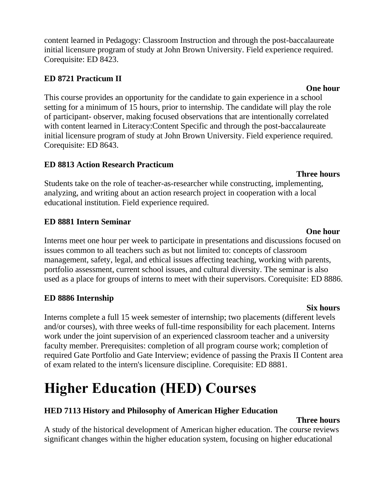content learned in Pedagogy: Classroom Instruction and through the post-baccalaureate initial licensure program of study at John Brown University. Field experience required. Corequisite: ED 8423.

#### **ED 8721 Practicum II**

This course provides an opportunity for the candidate to gain experience in a school setting for a minimum of 15 hours, prior to internship. The candidate will play the role of participant- observer, making focused observations that are intentionally correlated with content learned in Literacy:Content Specific and through the post-baccalaureate initial licensure program of study at John Brown University. Field experience required. Corequisite: ED 8643.

#### **ED 8813 Action Research Practicum**

Students take on the role of teacher-as-researcher while constructing, implementing, analyzing, and writing about an action research project in cooperation with a local educational institution. Field experience required.

#### **ED 8881 Intern Seminar**

Interns meet one hour per week to participate in presentations and discussions focused on issues common to all teachers such as but not limited to: concepts of classroom management, safety, legal, and ethical issues affecting teaching, working with parents, portfolio assessment, current school issues, and cultural diversity. The seminar is also used as a place for groups of interns to meet with their supervisors. Corequisite: ED 8886.

#### **ED 8886 Internship**

Interns complete a full 15 week semester of internship; two placements (different levels and/or courses), with three weeks of full-time responsibility for each placement. Interns work under the joint supervision of an experienced classroom teacher and a university faculty member. Prerequisites: completion of all program course work; completion of required Gate Portfolio and Gate Interview; evidence of passing the Praxis II Content area of exam related to the intern's licensure discipline. Corequisite: ED 8881.

# **Higher Education (HED) Courses**

### **HED 7113 History and Philosophy of American Higher Education**

#### **Three hours**

A study of the historical development of American higher education. The course reviews significant changes within the higher education system, focusing on higher educational

#### **Three hours**

#### **One hour**

**Six hours**

#### **One hour**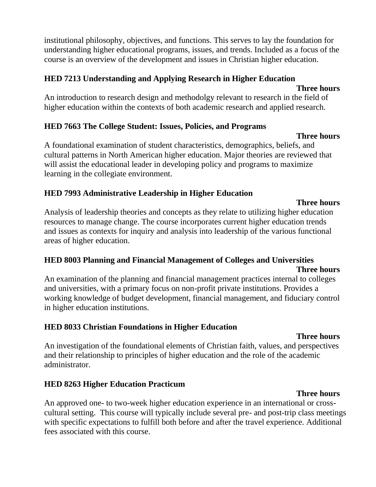institutional philosophy, objectives, and functions. This serves to lay the foundation for understanding higher educational programs, issues, and trends. Included as a focus of the course is an overview of the development and issues in Christian higher education.

#### **HED 7213 Understanding and Applying Research in Higher Education**

#### **Three hours**

An introduction to research design and methodolgy relevant to research in the field of higher education within the contexts of both academic research and applied research.

#### **HED 7663 The College Student: Issues, Policies, and Programs**

#### **Three hours**

A foundational examination of student characteristics, demographics, beliefs, and cultural patterns in North American higher education. Major theories are reviewed that will assist the educational leader in developing policy and programs to maximize learning in the collegiate environment.

#### **HED 7993 Administrative Leadership in Higher Education**

Analysis of leadership theories and concepts as they relate to utilizing higher education resources to manage change. The course incorporates current higher education trends and issues as contexts for inquiry and analysis into leadership of the various functional areas of higher education.

#### **HED 8003 Planning and Financial Management of Colleges and Universities Three hours**

An examination of the planning and financial management practices internal to colleges and universities, with a primary focus on non-profit private institutions. Provides a working knowledge of budget development, financial management, and fiduciary control in higher education institutions.

### **HED 8033 Christian Foundations in Higher Education**

#### **Three hours**

An investigation of the foundational elements of Christian faith, values, and perspectives and their relationship to principles of higher education and the role of the academic administrator.

### **HED 8263 Higher Education Practicum**

#### **Three hours**

An approved one- to two-week higher education experience in an international or crosscultural setting. This course will typically include several pre- and post-trip class meetings with specific expectations to fulfill both before and after the travel experience. Additional fees associated with this course.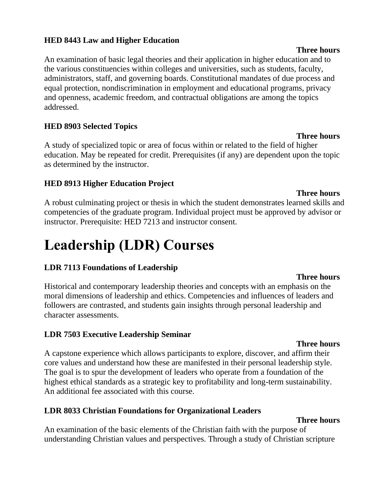#### **HED 8443 Law and Higher Education**

An examination of basic legal theories and their application in higher education and to the various constituencies within colleges and universities, such as students, faculty, administrators, staff, and governing boards. Constitutional mandates of due process and equal protection, nondiscrimination in employment and educational programs, privacy and openness, academic freedom, and contractual obligations are among the topics addressed.

#### **HED 8903 Selected Topics**

A study of specialized topic or area of focus within or related to the field of higher education. May be repeated for credit. Prerequisites (if any) are dependent upon the topic as determined by the instructor.

#### **HED 8913 Higher Education Project**

A robust culminating project or thesis in which the student demonstrates learned skills and competencies of the graduate program. Individual project must be approved by advisor or instructor. Prerequisite: HED 7213 and instructor consent.

# **Leadership (LDR) Courses**

#### **LDR 7113 Foundations of Leadership**

Historical and contemporary leadership theories and concepts with an emphasis on the moral dimensions of leadership and ethics. Competencies and influences of leaders and followers are contrasted, and students gain insights through personal leadership and character assessments.

#### **LDR 7503 Executive Leadership Seminar**

#### **Three hours** A capstone experience which allows participants to explore, discover, and affirm their core values and understand how these are manifested in their personal leadership style. The goal is to spur the development of leaders who operate from a foundation of the highest ethical standards as a strategic key to profitability and long-term sustainability. An additional fee associated with this course.

#### **LDR 8033 Christian Foundations for Organizational Leaders**

#### **Three hours**

An examination of the basic elements of the Christian faith with the purpose of understanding Christian values and perspectives. Through a study of Christian scripture

#### **Three hours**

#### **Three hours**

#### **Three hours**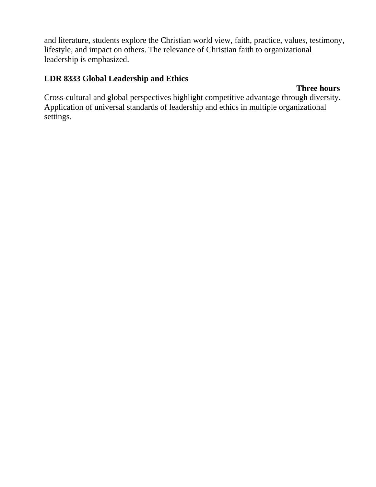and literature, students explore the Christian world view, faith, practice, values, testimony, lifestyle, and impact on others. The relevance of Christian faith to organizational leadership is emphasized.

#### **LDR 8333 Global Leadership and Ethics**

#### **Three hours**

Cross-cultural and global perspectives highlight competitive advantage through diversity. Application of universal standards of leadership and ethics in multiple organizational settings.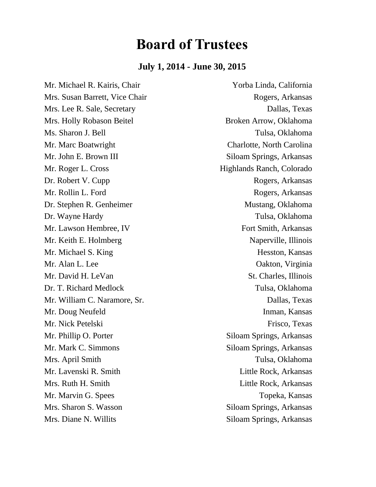# **Board of Trustees**

#### **July 1, 2014 - June 30, 2015**

Mr. Michael R. Kairis, Chair Yorba Linda, California Mrs. Susan Barrett, Vice Chair Rogers, Arkansas Mrs. Lee R. Sale, Secretary Dallas, Texas Mrs. Holly Robason Beitel Broken Arrow, Oklahoma Ms. Sharon J. Bell Tulsa, Oklahoma Mr. Marc Boatwright Charlotte, North Carolina Mr. John E. Brown III Siloam Springs, Arkansas Mr. Roger L. Cross Highlands Ranch, Colorado Dr. Robert V. Cupp Rogers, Arkansas Mr. Rollin L. Ford Rogers, Arkansas Dr. Stephen R. Genheimer Mustang, Oklahoma Dr. Wayne Hardy Tulsa, Oklahoma Mr. Lawson Hembree, IV Fort Smith, Arkansas Mr. Keith E. Holmberg Naperville, Illinois Mr. Michael S. King Hesston, Kansas Mr. Alan L. Lee Oakton, Virginia Mr. David H. LeVan St. Charles, Illinois Dr. T. Richard Medlock Tulsa, Oklahoma Mr. William C. Naramore, Sr. Dallas, Texas Mr. Doug Neufeld Inman, Kansas Mr. Nick Petelski Frisco, Texas Mr. Phillip O. Porter Siloam Springs, Arkansas Mr. Mark C. Simmons Siloam Springs, Arkansas Mrs. April Smith Tulsa, Oklahoma Mr. Lavenski R. Smith Little Rock, Arkansas Mrs. Ruth H. Smith Little Rock, Arkansas Mr. Marvin G. Spees Topeka, Kansas Mrs. Sharon S. Wasson Siloam Springs, Arkansas

Mrs. Diane N. Willits Siloam Springs, Arkansas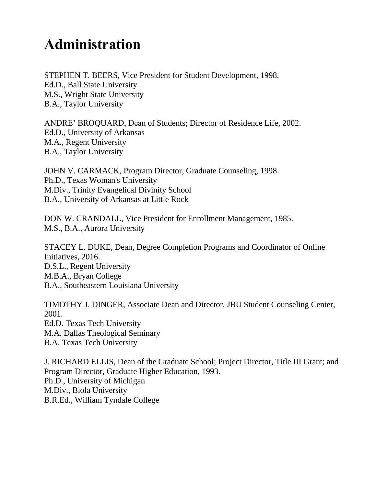# **Administration**

STEPHEN T. BEERS, Vice President for Student Development, 1998. Ed.D., Ball State University M.S., Wright State University B.A., Taylor University

ANDRE' BROQUARD, Dean of Students; Director of Residence Life, 2002. Ed.D., University of Arkansas M.A., Regent University B.A., Taylor University

JOHN V. CARMACK, Program Director, Graduate Counseling, 1998. Ph.D., Texas Woman's University M.Div., Trinity Evangelical Divinity School B.A., University of Arkansas at Little Rock

DON W. CRANDALL, Vice President for Enrollment Management, 1985. M.S., B.A., Aurora University

STACEY L. DUKE, Dean, Degree Completion Programs and Coordinator of Online Initiatives, 2016. D.S.L., Regent University M.B.A., Bryan College B.A., Southeastern Louisiana University

TIMOTHY J. DINGER, Associate Dean and Director, JBU Student Counseling Center, 2001. Ed.D. Texas Tech University M.A. Dallas Theological Seminary B.A. Texas Tech University

J. RICHARD ELLIS, Dean of the Graduate School; Project Director, Title III Grant; and Program Director, Graduate Higher Education, 1993. Ph.D., University of Michigan M.Div., Biola University B.R.Ed., William Tyndale College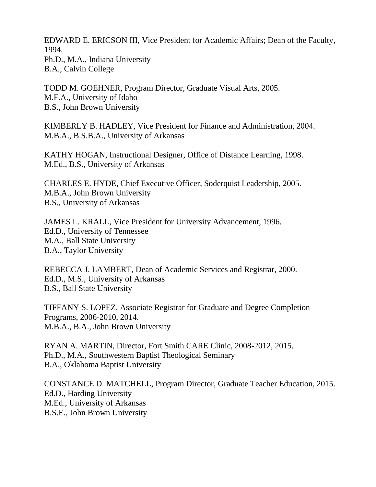EDWARD E. ERICSON III, Vice President for Academic Affairs; Dean of the Faculty, 1994. Ph.D., M.A., Indiana University B.A., Calvin College

TODD M. GOEHNER, Program Director, Graduate Visual Arts, 2005. M.F.A., University of Idaho B.S., John Brown University

KIMBERLY B. HADLEY, Vice President for Finance and Administration, 2004. M.B.A., B.S.B.A., University of Arkansas

KATHY HOGAN, Instructional Designer, Office of Distance Learning, 1998. M.Ed., B.S., University of Arkansas

CHARLES E. HYDE, Chief Executive Officer, Soderquist Leadership, 2005. M.B.A., John Brown University B.S., University of Arkansas

JAMES L. KRALL, Vice President for University Advancement, 1996. Ed.D., University of Tennessee M.A., Ball State University B.A., Taylor University

REBECCA J. LAMBERT, Dean of Academic Services and Registrar, 2000. Ed.D., M.S., University of Arkansas B.S., Ball State University

TIFFANY S. LOPEZ, Associate Registrar for Graduate and Degree Completion Programs, 2006-2010, 2014. M.B.A., B.A., John Brown University

RYAN A. MARTIN, Director, Fort Smith CARE Clinic, 2008-2012, 2015. Ph.D., M.A., Southwestern Baptist Theological Seminary B.A., Oklahoma Baptist University

CONSTANCE D. MATCHELL, Program Director, Graduate Teacher Education, 2015. Ed.D., Harding University M.Ed., University of Arkansas B.S.E., John Brown University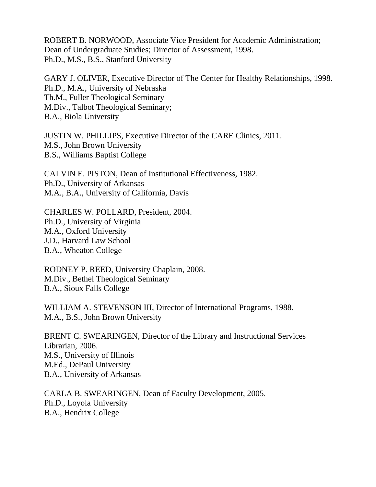ROBERT B. NORWOOD, Associate Vice President for Academic Administration; Dean of Undergraduate Studies; Director of Assessment, 1998. Ph.D., M.S., B.S., Stanford University

GARY J. OLIVER, Executive Director of The Center for Healthy Relationships, 1998. Ph.D., M.A., University of Nebraska Th.M., Fuller Theological Seminary M.Div., Talbot Theological Seminary; B.A., Biola University

JUSTIN W. PHILLIPS, Executive Director of the CARE Clinics, 2011. M.S., John Brown University B.S., Williams Baptist College

CALVIN E. PISTON, Dean of Institutional Effectiveness, 1982. Ph.D., University of Arkansas M.A., B.A., University of California, Davis

CHARLES W. POLLARD, President, 2004. Ph.D., University of Virginia M.A., Oxford University J.D., Harvard Law School B.A., Wheaton College

RODNEY P. REED, University Chaplain, 2008. M.Div., Bethel Theological Seminary B.A., Sioux Falls College

WILLIAM A. STEVENSON III, Director of International Programs, 1988. M.A., B.S., John Brown University

BRENT C. SWEARINGEN, Director of the Library and Instructional Services Librarian, 2006. M.S., University of Illinois M.Ed., DePaul University B.A., University of Arkansas

CARLA B. SWEARINGEN, Dean of Faculty Development, 2005. Ph.D., Loyola University B.A., Hendrix College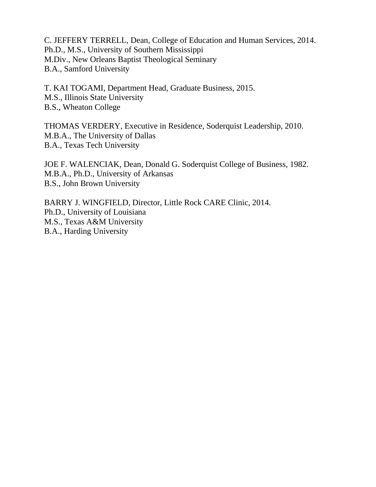C. JEFFERY TERRELL, Dean, College of Education and Human Services, 2014. Ph.D., M.S., University of Southern Mississippi M.Div., New Orleans Baptist Theological Seminary B.A., Samford University

T. KAI TOGAMI, Department Head, Graduate Business, 2015. M.S., Illinois State University B.S., Wheaton College

THOMAS VERDERY, Executive in Residence, Soderquist Leadership, 2010. M.B.A., The University of Dallas B.A., Texas Tech University

JOE F. WALENCIAK, Dean, Donald G. Soderquist College of Business, 1982. M.B.A., Ph.D., University of Arkansas B.S., John Brown University

BARRY J. WINGFIELD, Director, Little Rock CARE Clinic, 2014. Ph.D., University of Louisiana M.S., Texas A&M University B.A., Harding University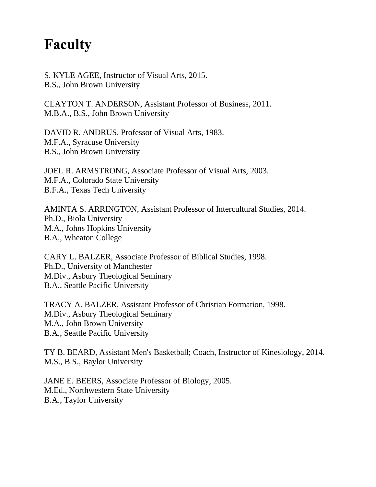# **Faculty**

S. KYLE AGEE, Instructor of Visual Arts, 2015. B.S., John Brown University

CLAYTON T. ANDERSON, Assistant Professor of Business, 2011. M.B.A., B.S., John Brown University

DAVID R. ANDRUS, Professor of Visual Arts, 1983. M.F.A., Syracuse University B.S., John Brown University

JOEL R. ARMSTRONG, Associate Professor of Visual Arts, 2003. M.F.A., Colorado State University B.F.A., Texas Tech University

AMINTA S. ARRINGTON, Assistant Professor of Intercultural Studies, 2014. Ph.D., Biola University M.A., Johns Hopkins University B.A., Wheaton College

CARY L. BALZER, Associate Professor of Biblical Studies, 1998. Ph.D., University of Manchester M.Div., Asbury Theological Seminary B.A., Seattle Pacific University

TRACY A. BALZER, Assistant Professor of Christian Formation, 1998. M.Div., Asbury Theological Seminary M.A., John Brown University B.A., Seattle Pacific University

TY B. BEARD, Assistant Men's Basketball; Coach, Instructor of Kinesiology, 2014. M.S., B.S., Baylor University

JANE E. BEERS, Associate Professor of Biology, 2005. M.Ed., Northwestern State University B.A., Taylor University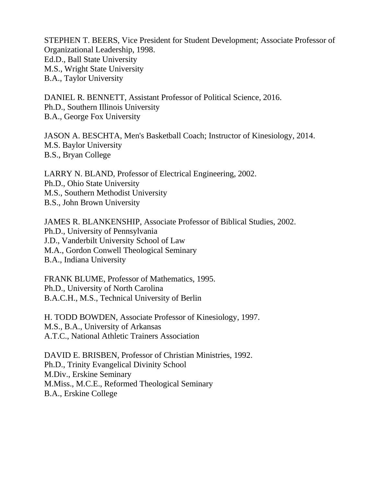STEPHEN T. BEERS, Vice President for Student Development; Associate Professor of Organizational Leadership, 1998. Ed.D., Ball State University M.S., Wright State University B.A., Taylor University

DANIEL R. BENNETT, Assistant Professor of Political Science, 2016. Ph.D., Southern Illinois University B.A., George Fox University

JASON A. BESCHTA, Men's Basketball Coach; Instructor of Kinesiology, 2014. M.S. Baylor University B.S., Bryan College

LARRY N. BLAND, Professor of Electrical Engineering, 2002. Ph.D., Ohio State University M.S., Southern Methodist University B.S., John Brown University

JAMES R. BLANKENSHIP, Associate Professor of Biblical Studies, 2002. Ph.D., University of Pennsylvania J.D., Vanderbilt University School of Law M.A., Gordon Conwell Theological Seminary B.A., Indiana University

FRANK BLUME, Professor of Mathematics, 1995. Ph.D., University of North Carolina B.A.C.H., M.S., Technical University of Berlin

H. TODD BOWDEN, Associate Professor of Kinesiology, 1997. M.S., B.A., University of Arkansas A.T.C., National Athletic Trainers Association

DAVID E. BRISBEN, Professor of Christian Ministries, 1992. Ph.D., Trinity Evangelical Divinity School M.Div., Erskine Seminary M.Miss., M.C.E., Reformed Theological Seminary B.A., Erskine College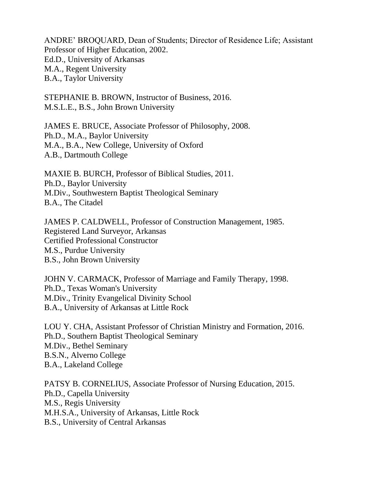ANDRE' BROQUARD, Dean of Students; Director of Residence Life; Assistant Professor of Higher Education, 2002. Ed.D., University of Arkansas M.A., Regent University B.A., Taylor University

STEPHANIE B. BROWN, Instructor of Business, 2016. M.S.L.E., B.S., John Brown University

JAMES E. BRUCE, Associate Professor of Philosophy, 2008. Ph.D., M.A., Baylor University M.A., B.A., New College, University of Oxford A.B., Dartmouth College

MAXIE B. BURCH, Professor of Biblical Studies, 2011. Ph.D., Baylor University M.Div., Southwestern Baptist Theological Seminary B.A., The Citadel

JAMES P. CALDWELL, Professor of Construction Management, 1985. Registered Land Surveyor, Arkansas Certified Professional Constructor M.S., Purdue University B.S., John Brown University

JOHN V. CARMACK, Professor of Marriage and Family Therapy, 1998. Ph.D., Texas Woman's University M.Div., Trinity Evangelical Divinity School B.A., University of Arkansas at Little Rock

LOU Y. CHA, Assistant Professor of Christian Ministry and Formation, 2016. Ph.D., Southern Baptist Theological Seminary M.Div., Bethel Seminary B.S.N., Alverno College B.A., Lakeland College

PATSY B. CORNELIUS, Associate Professor of Nursing Education, 2015. Ph.D., Capella University M.S., Regis University M.H.S.A., University of Arkansas, Little Rock B.S., University of Central Arkansas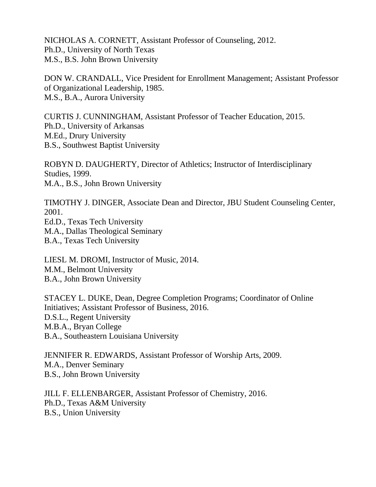NICHOLAS A. CORNETT, Assistant Professor of Counseling, 2012. Ph.D., University of North Texas M.S., B.S. John Brown University

DON W. CRANDALL, Vice President for Enrollment Management; Assistant Professor of Organizational Leadership, 1985. M.S., B.A., Aurora University

CURTIS J. CUNNINGHAM, Assistant Professor of Teacher Education, 2015. Ph.D., University of Arkansas M.Ed., Drury University B.S., Southwest Baptist University

ROBYN D. DAUGHERTY, Director of Athletics; Instructor of Interdisciplinary Studies, 1999. M.A., B.S., John Brown University

TIMOTHY J. DINGER, Associate Dean and Director, JBU Student Counseling Center, 2001. Ed.D., Texas Tech University M.A., Dallas Theological Seminary B.A., Texas Tech University

LIESL M. DROMI, Instructor of Music, 2014. M.M., Belmont University B.A., John Brown University

STACEY L. DUKE, Dean, Degree Completion Programs; Coordinator of Online Initiatives; Assistant Professor of Business, 2016. D.S.L., Regent University M.B.A., Bryan College B.A., Southeastern Louisiana University

JENNIFER R. EDWARDS, Assistant Professor of Worship Arts, 2009. M.A., Denver Seminary B.S., John Brown University

JILL F. ELLENBARGER, Assistant Professor of Chemistry, 2016. Ph.D., Texas A&M University B.S., Union University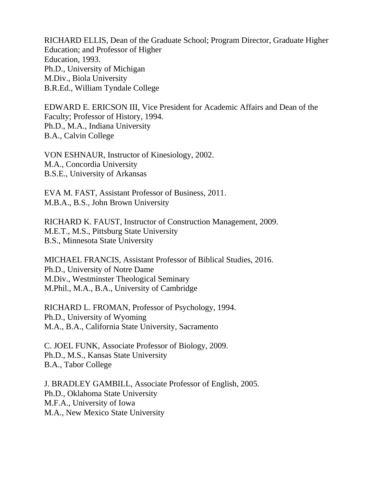RICHARD ELLIS, Dean of the Graduate School; Program Director, Graduate Higher Education; and Professor of Higher Education, 1993. Ph.D., University of Michigan M.Div., Biola University B.R.Ed., William Tyndale College

EDWARD E. ERICSON III, Vice President for Academic Affairs and Dean of the Faculty; Professor of History, 1994. Ph.D., M.A., Indiana University B.A., Calvin College

VON ESHNAUR, Instructor of Kinesiology, 2002. M.A., Concordia University B.S.E., University of Arkansas

EVA M. FAST, Assistant Professor of Business, 2011. M.B.A., B.S., John Brown University

RICHARD K. FAUST, Instructor of Construction Management, 2009. M.E.T., M.S., Pittsburg State University B.S., Minnesota State University

MICHAEL FRANCIS, Assistant Professor of Biblical Studies, 2016. Ph.D., University of Notre Dame M.Div., Westminster Theological Seminary M.Phil., M.A., B.A., University of Cambridge

RICHARD L. FROMAN, Professor of Psychology, 1994. Ph.D., University of Wyoming M.A., B.A., California State University, Sacramento

C. JOEL FUNK, Associate Professor of Biology, 2009. Ph.D., M.S., Kansas State University B.A., Tabor College

J. BRADLEY GAMBILL, Associate Professor of English, 2005. Ph.D., Oklahoma State University M.F.A., University of Iowa M.A., New Mexico State University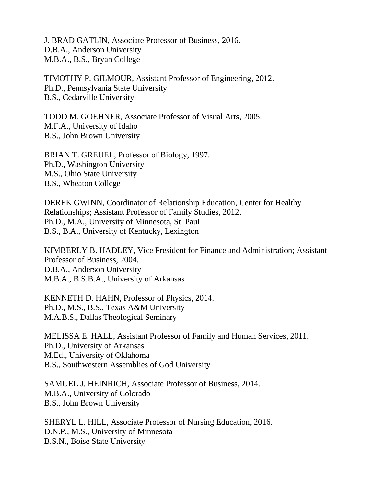J. BRAD GATLIN, Associate Professor of Business, 2016. D.B.A., Anderson University M.B.A., B.S., Bryan College

TIMOTHY P. GILMOUR, Assistant Professor of Engineering, 2012. Ph.D., Pennsylvania State University B.S., Cedarville University

TODD M. GOEHNER, Associate Professor of Visual Arts, 2005. M.F.A., University of Idaho B.S., John Brown University

BRIAN T. GREUEL, Professor of Biology, 1997. Ph.D., Washington University M.S., Ohio State University B.S., Wheaton College

DEREK GWINN, Coordinator of Relationship Education, Center for Healthy Relationships; Assistant Professor of Family Studies, 2012. Ph.D., M.A., University of Minnesota, St. Paul B.S., B.A., University of Kentucky, Lexington

KIMBERLY B. HADLEY, Vice President for Finance and Administration; Assistant Professor of Business, 2004. D.B.A., Anderson University M.B.A., B.S.B.A., University of Arkansas

KENNETH D. HAHN, Professor of Physics, 2014. Ph.D., M.S., B.S., Texas A&M University M.A.B.S., Dallas Theological Seminary

MELISSA E. HALL, Assistant Professor of Family and Human Services, 2011. Ph.D., University of Arkansas M.Ed., University of Oklahoma B.S., Southwestern Assemblies of God University

SAMUEL J. HEINRICH, Associate Professor of Business, 2014. M.B.A., University of Colorado B.S., John Brown University

SHERYL L. HILL, Associate Professor of Nursing Education, 2016. D.N.P., M.S., University of Minnesota B.S.N., Boise State University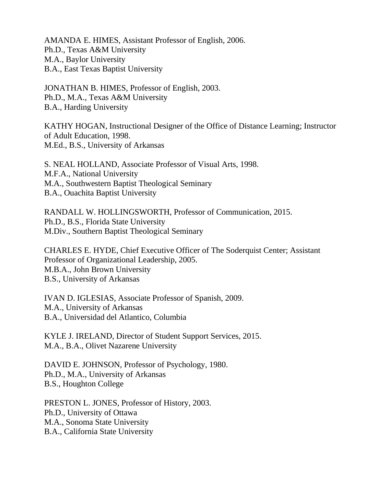AMANDA E. HIMES, Assistant Professor of English, 2006. Ph.D., Texas A&M University M.A., Baylor University B.A., East Texas Baptist University

JONATHAN B. HIMES, Professor of English, 2003. Ph.D., M.A., Texas A&M University B.A., Harding University

KATHY HOGAN, Instructional Designer of the Office of Distance Learning; Instructor of Adult Education, 1998. M.Ed., B.S., University of Arkansas

S. NEAL HOLLAND, Associate Professor of Visual Arts, 1998. M.F.A., National University M.A., Southwestern Baptist Theological Seminary B.A., Ouachita Baptist University

RANDALL W. HOLLINGSWORTH, Professor of Communication, 2015. Ph.D., B.S., Florida State University M.Div., Southern Baptist Theological Seminary

CHARLES E. HYDE, Chief Executive Officer of The Soderquist Center; Assistant Professor of Organizational Leadership, 2005. M.B.A., John Brown University B.S., University of Arkansas

IVAN D. IGLESIAS, Associate Professor of Spanish, 2009. M.A., University of Arkansas B.A., Universidad del Atlantico, Columbia

KYLE J. IRELAND, Director of Student Support Services, 2015. M.A., B.A., Olivet Nazarene University

DAVID E. JOHNSON, Professor of Psychology, 1980. Ph.D., M.A., University of Arkansas B.S., Houghton College

PRESTON L. JONES, Professor of History, 2003. Ph.D., University of Ottawa M.A., Sonoma State University B.A., California State University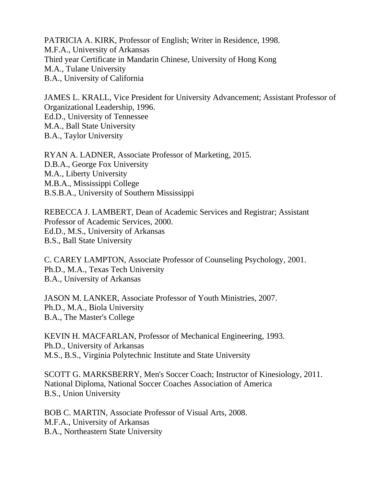PATRICIA A. KIRK, Professor of English; Writer in Residence, 1998. M.F.A., University of Arkansas Third year Certificate in Mandarin Chinese, University of Hong Kong M.A., Tulane University B.A., University of California

JAMES L. KRALL, Vice President for University Advancement; Assistant Professor of Organizational Leadership, 1996. Ed.D., University of Tennessee M.A., Ball State University B.A., Taylor University

RYAN A. LADNER, Associate Professor of Marketing, 2015. D.B.A., George Fox University M.A., Liberty University M.B.A., Mississippi College B.S.B.A., University of Southern Mississippi

REBECCA J. LAMBERT, Dean of Academic Services and Registrar; Assistant Professor of Academic Services, 2000. Ed.D., M.S., University of Arkansas B.S., Ball State University

C. CAREY LAMPTON, Associate Professor of Counseling Psychology, 2001. Ph.D., M.A., Texas Tech University B.A., University of Arkansas

JASON M. LANKER, Associate Professor of Youth Ministries, 2007. Ph.D., M.A., Biola University B.A., The Master's College

KEVIN H. MACFARLAN, Professor of Mechanical Engineering, 1993. Ph.D., University of Arkansas M.S., B.S., Virginia Polytechnic Institute and State University

SCOTT G. MARKSBERRY, Men's Soccer Coach; Instructor of Kinesiology, 2011. National Diploma, National Soccer Coaches Association of America B.S., Union University

BOB C. MARTIN, Associate Professor of Visual Arts, 2008. M.F.A., University of Arkansas B.A., Northeastern State University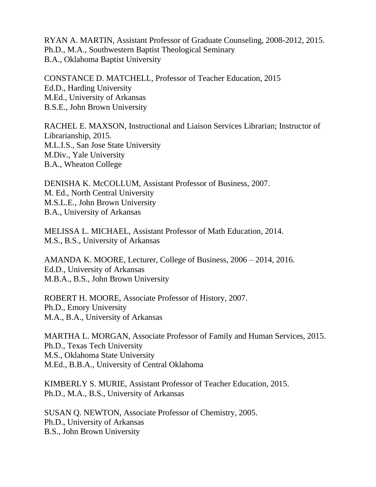RYAN A. MARTIN, Assistant Professor of Graduate Counseling, 2008-2012, 2015. Ph.D., M.A., Southwestern Baptist Theological Seminary B.A., Oklahoma Baptist University

CONSTANCE D. MATCHELL, Professor of Teacher Education, 2015 Ed.D., Harding University M.Ed., University of Arkansas B.S.E., John Brown University

RACHEL E. MAXSON, Instructional and Liaison Services Librarian; Instructor of Librarianship, 2015. M.L.I.S., San Jose State University M.Div., Yale University B.A., Wheaton College

DENISHA K. McCOLLUM, Assistant Professor of Business, 2007. M. Ed., North Central University M.S.L.E., John Brown University B.A., University of Arkansas

MELISSA L. MICHAEL, Assistant Professor of Math Education, 2014. M.S., B.S., University of Arkansas

AMANDA K. MOORE, Lecturer, College of Business, 2006 – 2014, 2016. Ed.D., University of Arkansas M.B.A., B.S., John Brown University

ROBERT H. MOORE, Associate Professor of History, 2007. Ph.D., Emory University M.A., B.A., University of Arkansas

MARTHA L. MORGAN, Associate Professor of Family and Human Services, 2015. Ph.D., Texas Tech University M.S., Oklahoma State University M.Ed., B.B.A., University of Central Oklahoma

KIMBERLY S. MURIE, Assistant Professor of Teacher Education, 2015. Ph.D., M.A., B.S., University of Arkansas

SUSAN Q. NEWTON, Associate Professor of Chemistry, 2005. Ph.D., University of Arkansas B.S., John Brown University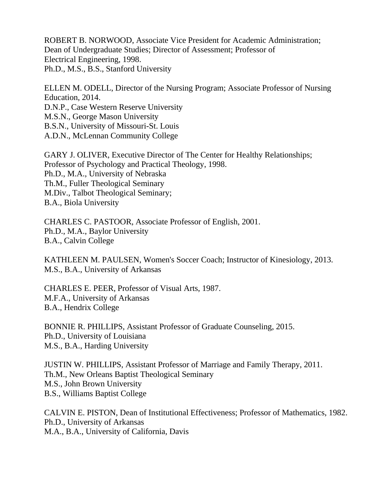ROBERT B. NORWOOD, Associate Vice President for Academic Administration; Dean of Undergraduate Studies; Director of Assessment; Professor of Electrical Engineering, 1998. Ph.D., M.S., B.S., Stanford University

ELLEN M. ODELL, Director of the Nursing Program; Associate Professor of Nursing Education, 2014. D.N.P., Case Western Reserve University M.S.N., George Mason University B.S.N., University of Missouri-St. Louis A.D.N., McLennan Community College

GARY J. OLIVER, Executive Director of The Center for Healthy Relationships; Professor of Psychology and Practical Theology, 1998. Ph.D., M.A., University of Nebraska Th.M., Fuller Theological Seminary M.Div., Talbot Theological Seminary; B.A., Biola University

CHARLES C. PASTOOR, Associate Professor of English, 2001. Ph.D., M.A., Baylor University B.A., Calvin College

KATHLEEN M. PAULSEN, Women's Soccer Coach; Instructor of Kinesiology, 2013. M.S., B.A., University of Arkansas

CHARLES E. PEER, Professor of Visual Arts, 1987. M.F.A., University of Arkansas B.A., Hendrix College

BONNIE R. PHILLIPS, Assistant Professor of Graduate Counseling, 2015. Ph.D., University of Louisiana M.S., B.A., Harding University

JUSTIN W. PHILLIPS, Assistant Professor of Marriage and Family Therapy, 2011. Th.M., New Orleans Baptist Theological Seminary M.S., John Brown University B.S., Williams Baptist College

CALVIN E. PISTON, Dean of Institutional Effectiveness; Professor of Mathematics, 1982. Ph.D., University of Arkansas M.A., B.A., University of California, Davis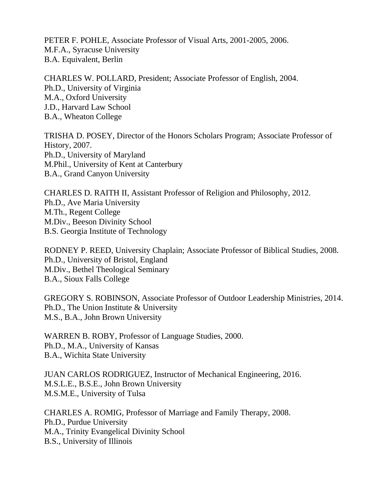PETER F. POHLE, Associate Professor of Visual Arts, 2001-2005, 2006. M.F.A., Syracuse University B.A. Equivalent, Berlin

CHARLES W. POLLARD, President; Associate Professor of English, 2004. Ph.D., University of Virginia M.A., Oxford University J.D., Harvard Law School B.A., Wheaton College

TRISHA D. POSEY, Director of the Honors Scholars Program; Associate Professor of History, 2007. Ph.D., University of Maryland M.Phil., University of Kent at Canterbury B.A., Grand Canyon University

CHARLES D. RAITH II, Assistant Professor of Religion and Philosophy, 2012. Ph.D., Ave Maria University M.Th., Regent College M.Div., Beeson Divinity School B.S. Georgia Institute of Technology

RODNEY P. REED, University Chaplain; Associate Professor of Biblical Studies, 2008. Ph.D., University of Bristol, England M.Div., Bethel Theological Seminary B.A., Sioux Falls College

GREGORY S. ROBINSON, Associate Professor of Outdoor Leadership Ministries, 2014. Ph.D., The Union Institute & University M.S., B.A., John Brown University

WARREN B. ROBY, Professor of Language Studies, 2000. Ph.D., M.A., University of Kansas B.A., Wichita State University

JUAN CARLOS RODRIGUEZ, Instructor of Mechanical Engineering, 2016. M.S.L.E., B.S.E., John Brown University M.S.M.E., University of Tulsa

CHARLES A. ROMIG, Professor of Marriage and Family Therapy, 2008. Ph.D., Purdue University M.A., Trinity Evangelical Divinity School B.S., University of Illinois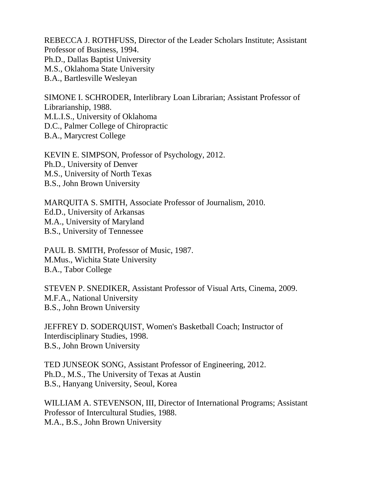REBECCA J. ROTHFUSS, Director of the Leader Scholars Institute; Assistant Professor of Business, 1994. Ph.D., Dallas Baptist University M.S., Oklahoma State University B.A., Bartlesville Wesleyan

SIMONE I. SCHRODER, Interlibrary Loan Librarian; Assistant Professor of Librarianship, 1988. M.L.I.S., University of Oklahoma D.C., Palmer College of Chiropractic B.A., Marycrest College

KEVIN E. SIMPSON, Professor of Psychology, 2012. Ph.D., University of Denver M.S., University of North Texas B.S., John Brown University

MARQUITA S. SMITH, Associate Professor of Journalism, 2010. Ed.D., University of Arkansas M.A., University of Maryland B.S., University of Tennessee

PAUL B. SMITH, Professor of Music, 1987. M.Mus., Wichita State University B.A., Tabor College

STEVEN P. SNEDIKER, Assistant Professor of Visual Arts, Cinema, 2009. M.F.A., National University B.S., John Brown University

JEFFREY D. SODERQUIST, Women's Basketball Coach; Instructor of Interdisciplinary Studies, 1998. B.S., John Brown University

TED JUNSEOK SONG, Assistant Professor of Engineering, 2012. Ph.D., M.S., The University of Texas at Austin B.S., Hanyang University, Seoul, Korea

WILLIAM A. STEVENSON, III, Director of International Programs; Assistant Professor of Intercultural Studies, 1988. M.A., B.S., John Brown University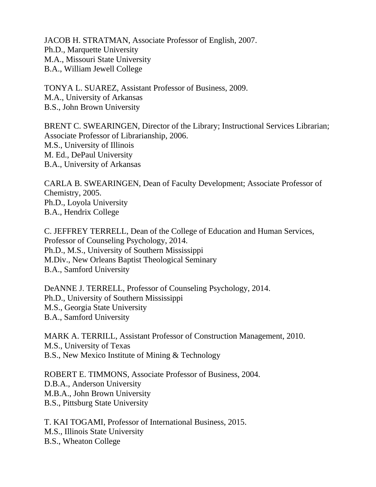JACOB H. STRATMAN, Associate Professor of English, 2007. Ph.D., Marquette University M.A., Missouri State University B.A., William Jewell College

TONYA L. SUAREZ, Assistant Professor of Business, 2009. M.A., University of Arkansas B.S., John Brown University

BRENT C. SWEARINGEN, Director of the Library; Instructional Services Librarian; Associate Professor of Librarianship, 2006. M.S., University of Illinois M. Ed., DePaul University B.A., University of Arkansas

CARLA B. SWEARINGEN, Dean of Faculty Development; Associate Professor of Chemistry, 2005. Ph.D., Loyola University B.A., Hendrix College

C. JEFFREY TERRELL, Dean of the College of Education and Human Services, Professor of Counseling Psychology, 2014. Ph.D., M.S., University of Southern Mississippi M.Div., New Orleans Baptist Theological Seminary B.A., Samford University

DeANNE J. TERRELL, Professor of Counseling Psychology, 2014. Ph.D., University of Southern Mississippi M.S., Georgia State University B.A., Samford University

MARK A. TERRILL, Assistant Professor of Construction Management, 2010. M.S., University of Texas B.S., New Mexico Institute of Mining & Technology

ROBERT E. TIMMONS, Associate Professor of Business, 2004. D.B.A., Anderson University M.B.A., John Brown University B.S., Pittsburg State University

T. KAI TOGAMI, Professor of International Business, 2015. M.S., Illinois State University B.S., Wheaton College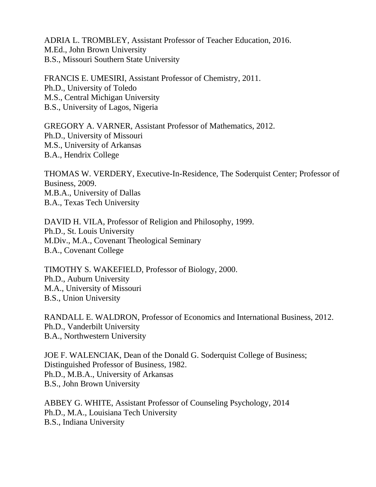ADRIA L. TROMBLEY, Assistant Professor of Teacher Education, 2016. M.Ed., John Brown University B.S., Missouri Southern State University

FRANCIS E. UMESIRI, Assistant Professor of Chemistry, 2011. Ph.D., University of Toledo M.S., Central Michigan University B.S., University of Lagos, Nigeria

GREGORY A. VARNER, Assistant Professor of Mathematics, 2012. Ph.D., University of Missouri M.S., University of Arkansas B.A., Hendrix College

THOMAS W. VERDERY, Executive-In-Residence, The Soderquist Center; Professor of Business, 2009. M.B.A., University of Dallas B.A., Texas Tech University

DAVID H. VILA, Professor of Religion and Philosophy, 1999. Ph.D., St. Louis University M.Div., M.A., Covenant Theological Seminary B.A., Covenant College

TIMOTHY S. WAKEFIELD, Professor of Biology, 2000. Ph.D., Auburn University M.A., University of Missouri B.S., Union University

RANDALL E. WALDRON, Professor of Economics and International Business, 2012. Ph.D., Vanderbilt University B.A., Northwestern University

JOE F. WALENCIAK, Dean of the Donald G. Soderquist College of Business; Distinguished Professor of Business, 1982. Ph.D., M.B.A., University of Arkansas B.S., John Brown University

ABBEY G. WHITE, Assistant Professor of Counseling Psychology, 2014 Ph.D., M.A., Louisiana Tech University B.S., Indiana University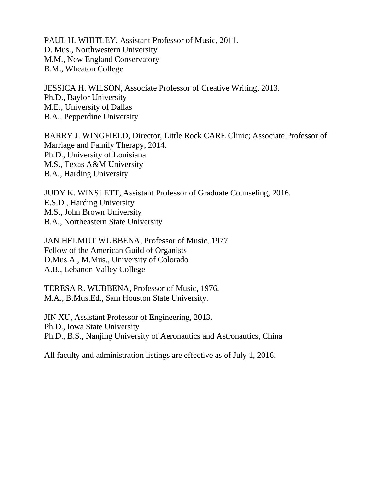PAUL H. WHITLEY, Assistant Professor of Music, 2011. D. Mus., Northwestern University M.M., New England Conservatory B.M., Wheaton College

JESSICA H. WILSON, Associate Professor of Creative Writing, 2013. Ph.D., Baylor University M.E., University of Dallas B.A., Pepperdine University

BARRY J. WINGFIELD, Director, Little Rock CARE Clinic; Associate Professor of Marriage and Family Therapy, 2014. Ph.D., University of Louisiana M.S., Texas A&M University B.A., Harding University

JUDY K. WINSLETT, Assistant Professor of Graduate Counseling, 2016. E.S.D., Harding University M.S., John Brown University B.A., Northeastern State University

JAN HELMUT WUBBENA, Professor of Music, 1977. Fellow of the American Guild of Organists D.Mus.A., M.Mus., University of Colorado A.B., Lebanon Valley College

TERESA R. WUBBENA, Professor of Music, 1976. M.A., B.Mus.Ed., Sam Houston State University.

JIN XU, Assistant Professor of Engineering, 2013. Ph.D., Iowa State University Ph.D., B.S., Nanjing University of Aeronautics and Astronautics, China

All faculty and administration listings are effective as of July 1, 2016.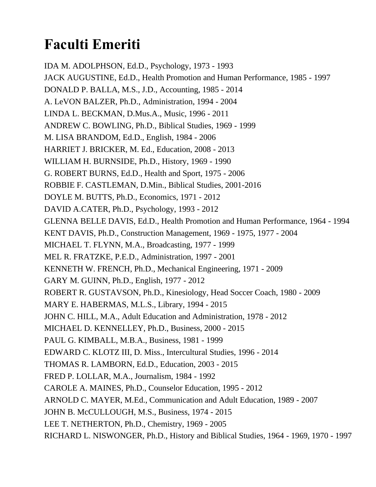## **Faculti Emeriti**

IDA M. ADOLPHSON, Ed.D., Psychology, 1973 - 1993 JACK AUGUSTINE, Ed.D., Health Promotion and Human Performance, 1985 - 1997 DONALD P. BALLA, M.S., J.D., Accounting, 1985 - 2014 A. LeVON BALZER, Ph.D., Administration, 1994 - 2004 LINDA L. BECKMAN, D.Mus.A., Music, 1996 - 2011 ANDREW C. BOWLING, Ph.D., Biblical Studies, 1969 - 1999 M. LISA BRANDOM, Ed.D., English, 1984 - 2006 HARRIET J. BRICKER, M. Ed., Education, 2008 - 2013 WILLIAM H. BURNSIDE, Ph.D., History, 1969 - 1990 G. ROBERT BURNS, Ed.D., Health and Sport, 1975 - 2006 ROBBIE F. CASTLEMAN, D.Min., Biblical Studies, 2001-2016 DOYLE M. BUTTS, Ph.D., Economics, 1971 - 2012 DAVID A.CATER, Ph.D., Psychology, 1993 - 2012 GLENNA BELLE DAVIS, Ed.D., Health Promotion and Human Performance, 1964 - 1994 KENT DAVIS, Ph.D., Construction Management, 1969 - 1975, 1977 - 2004 MICHAEL T. FLYNN, M.A., Broadcasting, 1977 - 1999 MEL R. FRATZKE, P.E.D., Administration, 1997 - 2001 KENNETH W. FRENCH, Ph.D., Mechanical Engineering, 1971 - 2009 GARY M. GUINN, Ph.D., English, 1977 - 2012 ROBERT R. GUSTAVSON, Ph.D., Kinesiology, Head Soccer Coach, 1980 - 2009 MARY E. HABERMAS, M.L.S., Library, 1994 - 2015 JOHN C. HILL, M.A., Adult Education and Administration, 1978 - 2012 MICHAEL D. KENNELLEY, Ph.D., Business, 2000 - 2015 PAUL G. KIMBALL, M.B.A., Business, 1981 - 1999 EDWARD C. KLOTZ III, D. Miss., Intercultural Studies, 1996 - 2014 THOMAS R. LAMBORN, Ed.D., Education, 2003 - 2015 FRED P. LOLLAR, M.A., Journalism, 1984 - 1992 CAROLE A. MAINES, Ph.D., Counselor Education, 1995 - 2012 ARNOLD C. MAYER, M.Ed., Communication and Adult Education, 1989 - 2007 JOHN B. McCULLOUGH, M.S., Business, 1974 - 2015 LEE T. NETHERTON, Ph.D., Chemistry, 1969 - 2005 RICHARD L. NISWONGER, Ph.D., History and Biblical Studies, 1964 - 1969, 1970 - 1997